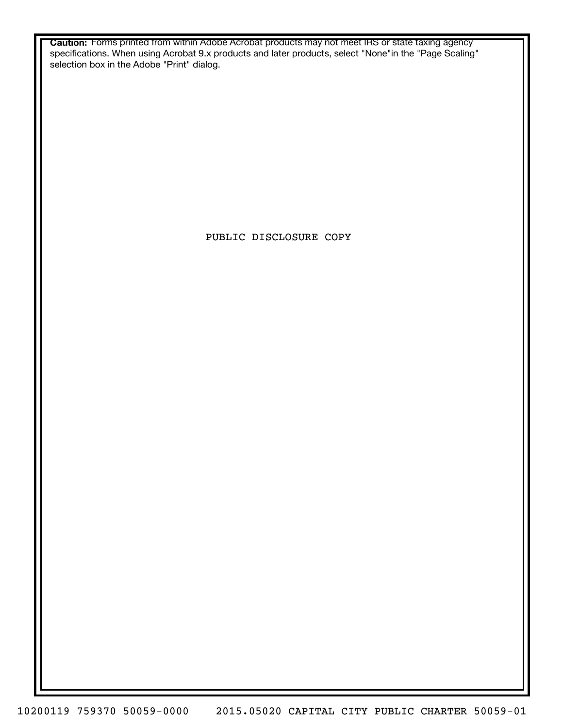**Caution:** Forms printed from within Adobe Acrobat products may not meet IRS or state taxing agency specifications. When using Acrobat 9.x products and later products, select "None"in the "Page Scaling" selection box in the Adobe "Print" dialog.

PUBLIC DISCLOSURE COPY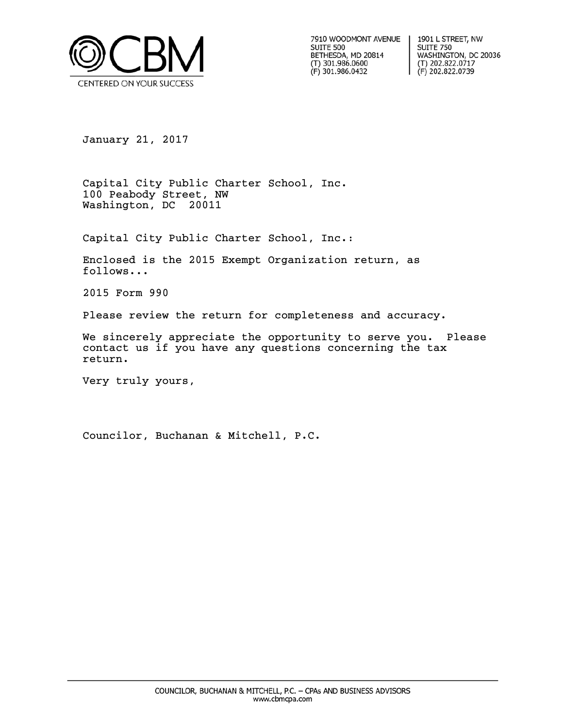

7910 WOODMONT AVENUE **SUITE 500** BETHESDA, MD 20814 (T) 301.986.0600  $(F)$  301.986.0432

1901 L STREET, NW **SUITE 750** WASHINGTON, DC 20036 (T) 202.822.0717 (F) 202.822.0739

January 21, 2017

 Capital City Public Charter School, Inc. 100 Peabody Street, NW Washington, DC 20011

Capital City Public Charter School, Inc.:

 Enclosed is the 2015 Exempt Organization return, as follows...

2015 Form 990

Please review the return for completeness and accuracy.

 We sincerely appreciate the opportunity to serve you. Please contact us if you have any questions concerning the tax return.

Very truly yours,

Councilor, Buchanan & Mitchell, P.C.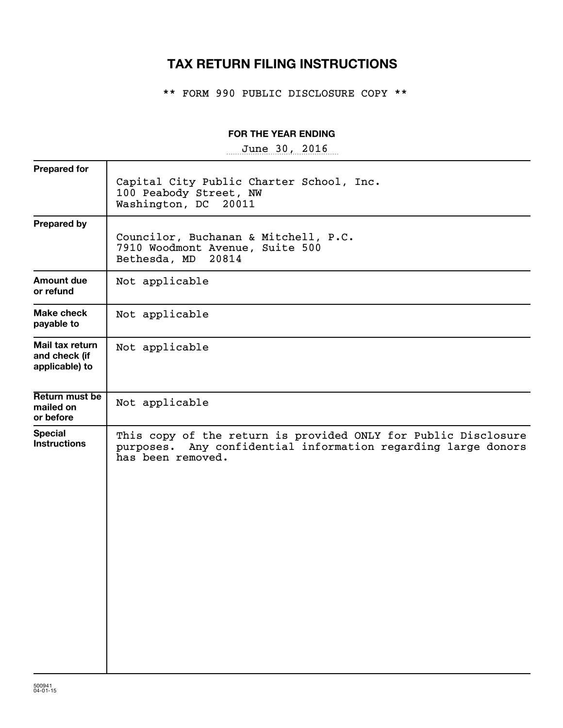## **TAX RETURN FILING INSTRUCTIONS**

\*\* FORM 990 PUBLIC DISCLOSURE COPY \*\*

### **FOR THE YEAR ENDING**

~~~~~~~~~~~~~~~~~ June 30, 2016

| <b>Prepared for</b>                                | Capital City Public Charter School, Inc.<br>100 Peabody Street, NW<br>Washington, DC<br>20011                                                           |
|----------------------------------------------------|---------------------------------------------------------------------------------------------------------------------------------------------------------|
| <b>Prepared by</b>                                 | Councilor, Buchanan & Mitchell, P.C.<br>7910 Woodmont Avenue, Suite 500<br>Bethesda, MD<br>20814                                                        |
| Amount due<br>or refund                            | Not applicable                                                                                                                                          |
| Make check<br>payable to                           | Not applicable                                                                                                                                          |
| Mail tax return<br>and check (if<br>applicable) to | Not applicable                                                                                                                                          |
| Return must be<br>mailed on<br>or before           | Not applicable                                                                                                                                          |
| <b>Special</b><br><b>Instructions</b>              | This copy of the return is provided ONLY for Public Disclosure<br>Any confidential information regarding large donors<br>purposes.<br>has been removed. |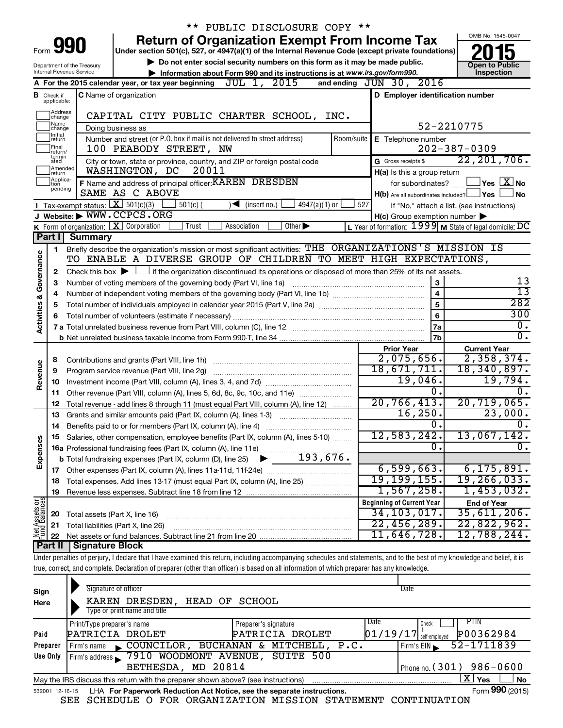|                                                                                                                                                                                                              |                                     |                                             | PUBLIC DISCLOSURE COPY **                                                                                                                                                  |     |                                                     |                                                                                                      |  |
|--------------------------------------------------------------------------------------------------------------------------------------------------------------------------------------------------------------|-------------------------------------|---------------------------------------------|----------------------------------------------------------------------------------------------------------------------------------------------------------------------------|-----|-----------------------------------------------------|------------------------------------------------------------------------------------------------------|--|
|                                                                                                                                                                                                              |                                     |                                             | <b>Return of Organization Exempt From Income Tax</b>                                                                                                                       |     |                                                     | OMB No. 1545-0047                                                                                    |  |
| 990<br>Form<br>Under section 501(c), 527, or 4947(a)(1) of the Internal Revenue Code (except private foundations)<br>Do not enter social security numbers on this form as it may be made public.             |                                     |                                             |                                                                                                                                                                            |     |                                                     |                                                                                                      |  |
| Department of the Treasury                                                                                                                                                                                   | <b>Open to Public</b><br>Inspection |                                             |                                                                                                                                                                            |     |                                                     |                                                                                                      |  |
| Internal Revenue Service<br>Information about Form 990 and its instructions is at www.irs.gov/form990.<br>A For the 2015 calendar year, or tax year beginning $JUL$ 1, $2015$<br>and ending $JUN$ 30, $2016$ |                                     |                                             |                                                                                                                                                                            |     |                                                     |                                                                                                      |  |
|                                                                                                                                                                                                              |                                     |                                             |                                                                                                                                                                            |     |                                                     |                                                                                                      |  |
|                                                                                                                                                                                                              | <b>B</b> Check if<br>applicable:    |                                             | <b>C</b> Name of organization                                                                                                                                              |     | D Employer identification number                    |                                                                                                      |  |
|                                                                                                                                                                                                              | Address<br> change                  |                                             | CAPITAL CITY PUBLIC CHARTER SCHOOL, INC.                                                                                                                                   |     |                                                     |                                                                                                      |  |
|                                                                                                                                                                                                              | Name<br>change                      |                                             | Doing business as                                                                                                                                                          |     |                                                     | 52-2210775                                                                                           |  |
|                                                                                                                                                                                                              | Initial<br>return                   |                                             | Number and street (or P.O. box if mail is not delivered to street address)<br>Room/suite                                                                                   |     | E Telephone number                                  |                                                                                                      |  |
|                                                                                                                                                                                                              | Final<br>return/                    |                                             | 100 PEABODY STREET, NW                                                                                                                                                     |     |                                                     | $202 - 387 - 0309$                                                                                   |  |
|                                                                                                                                                                                                              | termin-<br>ated<br>Amended          |                                             | City or town, state or province, country, and ZIP or foreign postal code                                                                                                   |     | G Gross receipts \$                                 | 22, 201, 706.                                                                                        |  |
|                                                                                                                                                                                                              | return<br>Applica-                  |                                             | 20011<br>WASHINGTON, DC                                                                                                                                                    |     | H(a) Is this a group return                         |                                                                                                      |  |
|                                                                                                                                                                                                              | tion<br>pending                     |                                             | F Name and address of principal officer: KAREN DRESDEN<br>SAME AS C ABOVE                                                                                                  |     |                                                     | for subordinates? $\frac{\Box}{\Box}$ Yes $\boxed{X}$ No                                             |  |
|                                                                                                                                                                                                              |                                     | <b>I</b> Tax-exempt status: $X \ 501(c)(3)$ | $4947(a)(1)$ or<br>$501(c)$ (<br>$\sqrt{\frac{1}{1}}$ (insert no.)                                                                                                         | 527 |                                                     | $H(b)$ Are all subordinates included? $\Box$ Yes<br>No<br>If "No," attach a list. (see instructions) |  |
|                                                                                                                                                                                                              |                                     |                                             | J Website: WWW.CCPCS.ORG                                                                                                                                                   |     | $H(c)$ Group exemption number $\blacktriangleright$ |                                                                                                      |  |
|                                                                                                                                                                                                              |                                     | K Form of organization: X Corporation       | Trust<br>Association<br>Other $\blacktriangleright$                                                                                                                        |     |                                                     | L Year of formation: $1999$ M State of legal domicile: DC                                            |  |
|                                                                                                                                                                                                              | Part I                              | Summary                                     |                                                                                                                                                                            |     |                                                     |                                                                                                      |  |
|                                                                                                                                                                                                              | 1                                   |                                             | Briefly describe the organization's mission or most significant activities: THE ORGANIZATIONS'S MISSION IS                                                                 |     |                                                     |                                                                                                      |  |
| Governance                                                                                                                                                                                                   |                                     |                                             | TO ENABLE A DIVERSE GROUP OF CHILDREN TO MEET HIGH EXPECTATIONS,                                                                                                           |     |                                                     |                                                                                                      |  |
|                                                                                                                                                                                                              | 2                                   |                                             | Check this box $\blacktriangleright$ $\Box$ if the organization discontinued its operations or disposed of more than 25% of its net assets.                                |     |                                                     |                                                                                                      |  |
|                                                                                                                                                                                                              | з                                   |                                             | Number of voting members of the governing body (Part VI, line 1a)                                                                                                          |     | 3                                                   | 13                                                                                                   |  |
|                                                                                                                                                                                                              | 4                                   |                                             |                                                                                                                                                                            |     | $\overline{\mathbf{4}}$                             | $\overline{13}$                                                                                      |  |
|                                                                                                                                                                                                              | 5                                   |                                             |                                                                                                                                                                            |     | 5                                                   | $\overline{282}$                                                                                     |  |
| <b>Activities &amp;</b>                                                                                                                                                                                      | 6                                   |                                             |                                                                                                                                                                            |     | 6                                                   | 300                                                                                                  |  |
|                                                                                                                                                                                                              |                                     |                                             |                                                                                                                                                                            |     | 7a                                                  | $\overline{0}$ .                                                                                     |  |
|                                                                                                                                                                                                              |                                     |                                             |                                                                                                                                                                            |     | 7 <sub>b</sub>                                      | σ.                                                                                                   |  |
|                                                                                                                                                                                                              |                                     |                                             |                                                                                                                                                                            |     | <b>Prior Year</b>                                   | <b>Current Year</b>                                                                                  |  |
|                                                                                                                                                                                                              | 8                                   |                                             | Contributions and grants (Part VIII, line 1h)                                                                                                                              |     | 2,075,656.                                          | 2,358,374.                                                                                           |  |
|                                                                                                                                                                                                              | 9                                   |                                             | Program service revenue (Part VIII, line 2g)                                                                                                                               |     | 18,671,711.                                         | 18,340,897.                                                                                          |  |
| Revenue                                                                                                                                                                                                      | 10                                  |                                             |                                                                                                                                                                            |     | $19,046$ .                                          | 19,794.                                                                                              |  |
|                                                                                                                                                                                                              | 11                                  |                                             | Other revenue (Part VIII, column (A), lines 5, 6d, 8c, 9c, 10c, and 11e)                                                                                                   |     | Ο.                                                  | 0.                                                                                                   |  |
|                                                                                                                                                                                                              | 12                                  |                                             | Total revenue - add lines 8 through 11 (must equal Part VIII, column (A), line 12)                                                                                         |     | 20, 766, 413.                                       | 20, 719, 065.                                                                                        |  |
|                                                                                                                                                                                                              | 13                                  |                                             | Grants and similar amounts paid (Part IX, column (A), lines 1-3)                                                                                                           |     | 16, 250.<br>$\Omega$                                | 23,000.                                                                                              |  |
|                                                                                                                                                                                                              | 14                                  |                                             | Benefits paid to or for members (Part IX, column (A), line 4)                                                                                                              |     | 12,583,242.                                         | о.<br>13,067,142.                                                                                    |  |
| Expenses                                                                                                                                                                                                     |                                     |                                             | 15 Salaries, other compensation, employee benefits (Part IX, column (A), lines 5-10)                                                                                       |     | 0                                                   | Ο.                                                                                                   |  |
|                                                                                                                                                                                                              |                                     |                                             |                                                                                                                                                                            |     |                                                     |                                                                                                      |  |
|                                                                                                                                                                                                              |                                     |                                             |                                                                                                                                                                            |     | 6,599,663.                                          | 6, 175, 891.                                                                                         |  |
|                                                                                                                                                                                                              |                                     |                                             |                                                                                                                                                                            |     | 19,199,155.                                         | 19,266,033.                                                                                          |  |
|                                                                                                                                                                                                              | 18<br>19                            |                                             | Total expenses. Add lines 13-17 (must equal Part IX, column (A), line 25)                                                                                                  |     | $1,567,258$ .                                       | 1,453,032.                                                                                           |  |
|                                                                                                                                                                                                              |                                     |                                             |                                                                                                                                                                            |     | <b>Beginning of Current Year</b>                    | <b>End of Year</b>                                                                                   |  |
| Net Assets or                                                                                                                                                                                                | 20                                  | Total assets (Part X, line 16)              |                                                                                                                                                                            |     | 34,103,017.                                         | 35,611,206.                                                                                          |  |
|                                                                                                                                                                                                              | 21                                  |                                             | Total liabilities (Part X, line 26)                                                                                                                                        |     | 22,456,289.                                         | 22,822,962.                                                                                          |  |
|                                                                                                                                                                                                              | 22                                  |                                             |                                                                                                                                                                            |     | 11,646,728.                                         | 12,788,244.                                                                                          |  |
|                                                                                                                                                                                                              | Part II                             | <b>Signature Block</b>                      |                                                                                                                                                                            |     |                                                     |                                                                                                      |  |
|                                                                                                                                                                                                              |                                     |                                             | Under penalties of perjury, I declare that I have examined this return, including accompanying schedules and statements, and to the best of my knowledge and belief, it is |     |                                                     |                                                                                                      |  |
|                                                                                                                                                                                                              |                                     |                                             | true, correct, and complete. Declaration of preparer (other than officer) is based on all information of which preparer has any knowledge.                                 |     |                                                     |                                                                                                      |  |
|                                                                                                                                                                                                              |                                     |                                             |                                                                                                                                                                            |     |                                                     |                                                                                                      |  |

| Sign     | Signature of officer                                                                                         |                                      | Date                                  |  |  |  |  |  |  |  |
|----------|--------------------------------------------------------------------------------------------------------------|--------------------------------------|---------------------------------------|--|--|--|--|--|--|--|
| Here     | KAREN DRESDEN,<br>HEAD OF SCHOOL                                                                             |                                      |                                       |  |  |  |  |  |  |  |
|          | Type or print name and title                                                                                 |                                      |                                       |  |  |  |  |  |  |  |
|          | Print/Type preparer's name                                                                                   | Date<br>Preparer's signature         | PTIN<br>Check                         |  |  |  |  |  |  |  |
| Paid     | PATRICIA DROLET                                                                                              | PATRICIA DROLET                      | P00362984<br>$01/19/17$ self-employed |  |  |  |  |  |  |  |
| Preparer | Firm's name                                                                                                  | COUNCILOR, BUCHANAN & MITCHELL, P.C. | 52-1711839<br>Firm's EIN              |  |  |  |  |  |  |  |
| Use Only | Firm's address 3910 WOODMONT AVENUE, SUITE 500                                                               |                                      |                                       |  |  |  |  |  |  |  |
|          | BETHESDA, MD 20814                                                                                           |                                      | Phone no. $(301)$ 986-0600            |  |  |  |  |  |  |  |
|          | May the IRS discuss this return with the preparer shown above? (see instructions)                            |                                      | X.<br><b>No</b><br>Yes                |  |  |  |  |  |  |  |
|          | Form 990 (2015)<br>LHA For Paperwork Reduction Act Notice, see the separate instructions.<br>532001 12-16-15 |                                      |                                       |  |  |  |  |  |  |  |

SEE SCHEDULE O FOR ORGANIZATION MISSION STATEMENT CONTINUATION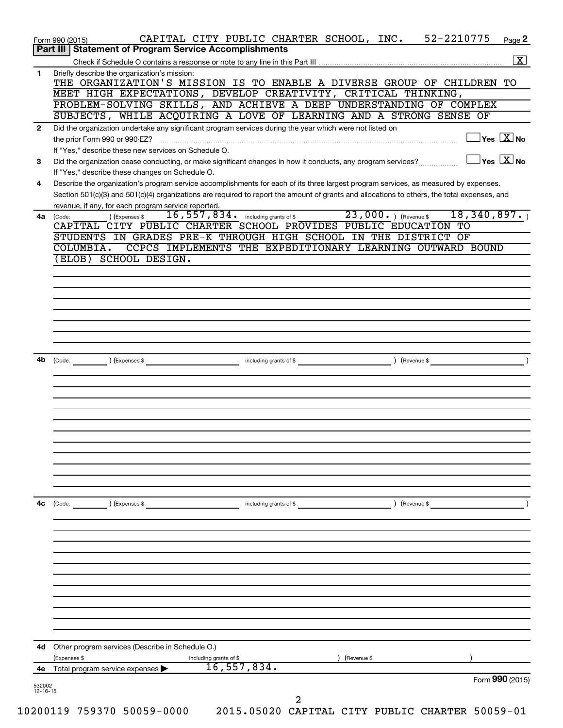| (Expenses \$<br>Other program services (Describe in Schedule O.)<br>Total program service expenses                                                                                                                                                                                   | including grants of \$                                     | including grants of \$<br>16,557,834.        |                                                                | (Revenue \$                         | (Revenue \$ |             | Form 990 (2015)                                                                                                               |
|--------------------------------------------------------------------------------------------------------------------------------------------------------------------------------------------------------------------------------------------------------------------------------------|------------------------------------------------------------|----------------------------------------------|----------------------------------------------------------------|-------------------------------------|-------------|-------------|-------------------------------------------------------------------------------------------------------------------------------|
|                                                                                                                                                                                                                                                                                      |                                                            |                                              |                                                                |                                     |             |             |                                                                                                                               |
|                                                                                                                                                                                                                                                                                      |                                                            |                                              |                                                                |                                     |             |             |                                                                                                                               |
|                                                                                                                                                                                                                                                                                      |                                                            |                                              |                                                                |                                     |             |             |                                                                                                                               |
|                                                                                                                                                                                                                                                                                      |                                                            |                                              |                                                                |                                     |             |             |                                                                                                                               |
|                                                                                                                                                                                                                                                                                      |                                                            |                                              |                                                                |                                     |             |             |                                                                                                                               |
|                                                                                                                                                                                                                                                                                      |                                                            |                                              |                                                                |                                     |             |             |                                                                                                                               |
|                                                                                                                                                                                                                                                                                      |                                                            |                                              |                                                                |                                     |             |             |                                                                                                                               |
|                                                                                                                                                                                                                                                                                      |                                                            |                                              |                                                                |                                     |             |             |                                                                                                                               |
|                                                                                                                                                                                                                                                                                      |                                                            |                                              |                                                                |                                     |             |             |                                                                                                                               |
|                                                                                                                                                                                                                                                                                      |                                                            |                                              |                                                                |                                     |             |             |                                                                                                                               |
|                                                                                                                                                                                                                                                                                      |                                                            |                                              |                                                                |                                     |             |             |                                                                                                                               |
|                                                                                                                                                                                                                                                                                      |                                                            |                                              |                                                                |                                     |             |             |                                                                                                                               |
|                                                                                                                                                                                                                                                                                      |                                                            |                                              |                                                                |                                     |             |             |                                                                                                                               |
|                                                                                                                                                                                                                                                                                      |                                                            |                                              |                                                                |                                     |             |             |                                                                                                                               |
|                                                                                                                                                                                                                                                                                      |                                                            |                                              |                                                                |                                     |             |             |                                                                                                                               |
|                                                                                                                                                                                                                                                                                      |                                                            |                                              |                                                                |                                     |             |             |                                                                                                                               |
|                                                                                                                                                                                                                                                                                      |                                                            |                                              |                                                                |                                     |             |             |                                                                                                                               |
|                                                                                                                                                                                                                                                                                      |                                                            |                                              |                                                                |                                     |             |             |                                                                                                                               |
|                                                                                                                                                                                                                                                                                      |                                                            |                                              |                                                                |                                     |             |             |                                                                                                                               |
|                                                                                                                                                                                                                                                                                      |                                                            |                                              |                                                                |                                     |             |             |                                                                                                                               |
|                                                                                                                                                                                                                                                                                      |                                                            |                                              |                                                                |                                     |             |             |                                                                                                                               |
|                                                                                                                                                                                                                                                                                      |                                                            |                                              |                                                                |                                     |             |             |                                                                                                                               |
| (Code: ) (Expenses \$                                                                                                                                                                                                                                                                |                                                            |                                              |                                                                | including grants of \$ (Revenue \$) |             |             |                                                                                                                               |
|                                                                                                                                                                                                                                                                                      |                                                            |                                              |                                                                |                                     |             |             |                                                                                                                               |
|                                                                                                                                                                                                                                                                                      |                                                            |                                              |                                                                |                                     |             |             |                                                                                                                               |
|                                                                                                                                                                                                                                                                                      |                                                            |                                              |                                                                |                                     |             |             |                                                                                                                               |
|                                                                                                                                                                                                                                                                                      |                                                            |                                              |                                                                |                                     |             |             |                                                                                                                               |
|                                                                                                                                                                                                                                                                                      |                                                            |                                              |                                                                |                                     |             |             |                                                                                                                               |
| (ELOB) SCHOOL DESIGN.                                                                                                                                                                                                                                                                |                                                            |                                              |                                                                |                                     |             |             |                                                                                                                               |
| CCPCS IMPLEMENTS THE EXPEDITIONARY LEARNING OUTWARD BOUND                                                                                                                                                                                                                            |                                                            |                                              |                                                                |                                     |             |             |                                                                                                                               |
| STUDENTS IN GRADES PRE-K THROUGH HIGH SCHOOL IN THE DISTRICT OF                                                                                                                                                                                                                      |                                                            |                                              |                                                                |                                     |             |             |                                                                                                                               |
| ) (Expenses \$<br>CAPITAL CITY PUBLIC CHARTER SCHOOL PROVIDES PUBLIC EDUCATION TO                                                                                                                                                                                                    | 16, 557, 834. including grants of \$23, 000. ) (Revenue \$ |                                              |                                                                |                                     |             | 18,340,897. |                                                                                                                               |
| revenue, if any, for each program service reported.                                                                                                                                                                                                                                  |                                                            |                                              |                                                                |                                     |             |             |                                                                                                                               |
| Describe the organization's program service accomplishments for each of its three largest program services, as measured by expenses.<br>Section 501(c)(3) and 501(c)(4) organizations are required to report the amount of grants and allocations to others, the total expenses, and |                                                            |                                              |                                                                |                                     |             |             |                                                                                                                               |
| If "Yes," describe these changes on Schedule O.                                                                                                                                                                                                                                      |                                                            |                                              |                                                                |                                     |             |             |                                                                                                                               |
| Did the organization cease conducting, or make significant changes in how it conducts, any program services?                                                                                                                                                                         |                                                            |                                              |                                                                |                                     |             |             | $\exists$ Yes $\boxed{\text{X}}$ No                                                                                           |
| the prior Form 990 or 990-EZ?<br>If "Yes," describe these new services on Schedule O.                                                                                                                                                                                                |                                                            |                                              |                                                                |                                     |             |             |                                                                                                                               |
| Did the organization undertake any significant program services during the year which were not listed on                                                                                                                                                                             |                                                            |                                              |                                                                |                                     |             |             | $\overline{\ }$ Yes $\overline{\phantom{a}X}$ No                                                                              |
| SUBJECTS, WHILE ACQUIRING A LOVE OF LEARNING AND A STRONG SENSE OF                                                                                                                                                                                                                   |                                                            |                                              |                                                                |                                     |             |             |                                                                                                                               |
| PROBLEM-SOLVING SKILLS, AND ACHIEVE A DEEP UNDERSTANDING OF COMPLEX                                                                                                                                                                                                                  |                                                            |                                              |                                                                |                                     |             |             |                                                                                                                               |
| MEET HIGH EXPECTATIONS, DEVELOP CREATIVITY, CRITICAL THINKING,                                                                                                                                                                                                                       |                                                            |                                              |                                                                |                                     |             |             |                                                                                                                               |
|                                                                                                                                                                                                                                                                                      |                                                            |                                              |                                                                |                                     |             |             |                                                                                                                               |
|                                                                                                                                                                                                                                                                                      |                                                            |                                              |                                                                |                                     |             |             | $\boxed{\mathbf{X}}$                                                                                                          |
|                                                                                                                                                                                                                                                                                      |                                                            | Briefly describe the organization's mission: | <b>Part III   Statement of Program Service Accomplishments</b> |                                     |             |             | CAPITAL CITY PUBLIC CHARTER SCHOOL, INC. 52-2210775<br>THE ORGANIZATION'S MISSION IS TO ENABLE A DIVERSE GROUP OF CHILDREN TO |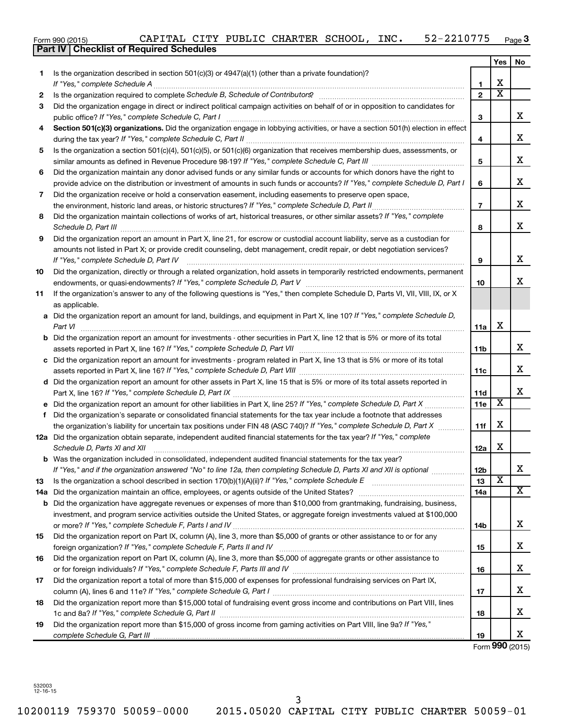| Form 990 (2015) |  |
|-----------------|--|

|     | <b>Part IV   Checklist of Required Schedules</b>                                                                                                                                                                                    |                         |                         |    |
|-----|-------------------------------------------------------------------------------------------------------------------------------------------------------------------------------------------------------------------------------------|-------------------------|-------------------------|----|
|     |                                                                                                                                                                                                                                     |                         | Yes                     | No |
| 1.  | Is the organization described in section $501(c)(3)$ or $4947(a)(1)$ (other than a private foundation)?                                                                                                                             |                         |                         |    |
|     |                                                                                                                                                                                                                                     | 1                       | х                       |    |
| 2   | Is the organization required to complete Schedule B, Schedule of Contributors? [11] [12] the organization required to complete Schedule B, Schedule of Contributors?                                                                | $\overline{2}$          | $\overline{\text{x}}$   |    |
| 3   | Did the organization engage in direct or indirect political campaign activities on behalf of or in opposition to candidates for                                                                                                     |                         |                         |    |
|     |                                                                                                                                                                                                                                     | 3                       |                         | X  |
| 4   | Section 501(c)(3) organizations. Did the organization engage in lobbying activities, or have a section 501(h) election in effect                                                                                                    |                         |                         |    |
|     |                                                                                                                                                                                                                                     | $\overline{\mathbf{4}}$ |                         | X  |
|     | Is the organization a section 501(c)(4), 501(c)(5), or 501(c)(6) organization that receives membership dues, assessments, or                                                                                                        |                         |                         |    |
| 5   |                                                                                                                                                                                                                                     |                         |                         | X  |
|     |                                                                                                                                                                                                                                     | 5                       |                         |    |
| 6   | Did the organization maintain any donor advised funds or any similar funds or accounts for which donors have the right to                                                                                                           |                         |                         | х  |
|     | provide advice on the distribution or investment of amounts in such funds or accounts? If "Yes," complete Schedule D, Part I                                                                                                        | 6                       |                         |    |
| 7   | Did the organization receive or hold a conservation easement, including easements to preserve open space,                                                                                                                           |                         |                         | х  |
|     |                                                                                                                                                                                                                                     | $\overline{7}$          |                         |    |
| 8   | Did the organization maintain collections of works of art, historical treasures, or other similar assets? If "Yes," complete                                                                                                        |                         |                         | X  |
|     | Schedule D, Part III <b>Marting Community</b> Contains and Contains and Contains and Contains and Contains and Contains and Contains and Contains and Contains and Contains and Contains and Contains and Contains and Contains and | 8                       |                         |    |
| 9   | Did the organization report an amount in Part X, line 21, for escrow or custodial account liability, serve as a custodian for                                                                                                       |                         |                         |    |
|     | amounts not listed in Part X; or provide credit counseling, debt management, credit repair, or debt negotiation services?                                                                                                           |                         |                         |    |
|     |                                                                                                                                                                                                                                     | 9                       |                         | X  |
| 10  | Did the organization, directly or through a related organization, hold assets in temporarily restricted endowments, permanent                                                                                                       |                         |                         |    |
|     |                                                                                                                                                                                                                                     | 10                      |                         | х  |
| 11  | If the organization's answer to any of the following questions is "Yes," then complete Schedule D, Parts VI, VII, VIII, IX, or X                                                                                                    |                         |                         |    |
|     | as applicable.                                                                                                                                                                                                                      |                         |                         |    |
|     | a Did the organization report an amount for land, buildings, and equipment in Part X, line 10? If "Yes," complete Schedule D,                                                                                                       |                         |                         |    |
|     | Part VI                                                                                                                                                                                                                             | 11a                     | X                       |    |
|     | <b>b</b> Did the organization report an amount for investments - other securities in Part X, line 12 that is 5% or more of its total                                                                                                |                         |                         |    |
|     |                                                                                                                                                                                                                                     | 11b                     |                         | х  |
|     | c Did the organization report an amount for investments - program related in Part X, line 13 that is 5% or more of its total                                                                                                        |                         |                         |    |
|     |                                                                                                                                                                                                                                     | 11c                     |                         | х  |
|     | d Did the organization report an amount for other assets in Part X, line 15 that is 5% or more of its total assets reported in                                                                                                      |                         |                         |    |
|     |                                                                                                                                                                                                                                     | 11d                     |                         | X  |
|     |                                                                                                                                                                                                                                     | 11e                     | $\overline{\textbf{x}}$ |    |
|     | f Did the organization's separate or consolidated financial statements for the tax year include a footnote that addresses                                                                                                           |                         |                         |    |
|     | the organization's liability for uncertain tax positions under FIN 48 (ASC 740)? If "Yes," complete Schedule D, Part X                                                                                                              | 11f                     | X                       |    |
|     | 12a Did the organization obtain separate, independent audited financial statements for the tax year? If "Yes," complete                                                                                                             |                         |                         |    |
|     | Schedule D, Parts XI and XII                                                                                                                                                                                                        | 12a                     | X                       |    |
| b   | Was the organization included in consolidated, independent audited financial statements for the tax year?                                                                                                                           |                         |                         |    |
|     | If "Yes," and if the organization answered "No" to line 12a, then completing Schedule D, Parts XI and XII is optional <i>manumum</i>                                                                                                | 12 <sub>b</sub>         |                         | х  |
| 13  |                                                                                                                                                                                                                                     | 13                      | $\overline{\textbf{x}}$ |    |
| 14a |                                                                                                                                                                                                                                     | 14a                     |                         | х  |
| b   | Did the organization have aggregate revenues or expenses of more than \$10,000 from grantmaking, fundraising, business,                                                                                                             |                         |                         |    |
|     | investment, and program service activities outside the United States, or aggregate foreign investments valued at \$100,000                                                                                                          |                         |                         |    |
|     |                                                                                                                                                                                                                                     | 14b                     |                         | х  |
| 15  | Did the organization report on Part IX, column (A), line 3, more than \$5,000 of grants or other assistance to or for any                                                                                                           |                         |                         |    |
|     |                                                                                                                                                                                                                                     | 15                      |                         | х  |
| 16  | Did the organization report on Part IX, column (A), line 3, more than \$5,000 of aggregate grants or other assistance to                                                                                                            |                         |                         |    |
|     |                                                                                                                                                                                                                                     | 16                      |                         | х  |
| 17  | Did the organization report a total of more than \$15,000 of expenses for professional fundraising services on Part IX,                                                                                                             |                         |                         |    |
|     |                                                                                                                                                                                                                                     | 17                      |                         | х  |
| 18  | Did the organization report more than \$15,000 total of fundraising event gross income and contributions on Part VIII, lines                                                                                                        |                         |                         |    |
|     |                                                                                                                                                                                                                                     | 18                      |                         | х  |
| 19  | Did the organization report more than \$15,000 of gross income from gaming activities on Part VIII, line 9a? If "Yes,"                                                                                                              |                         |                         |    |
|     |                                                                                                                                                                                                                                     | 19                      |                         | х  |

Form **990** (2015)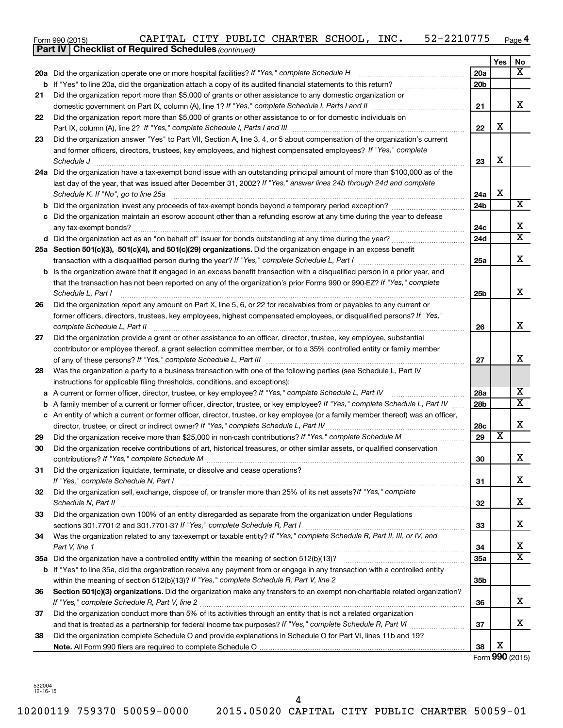| Form 990 (2015) | CAPITAL CITY PUBLIC CHARTER SCHOOL, |  |  |  | INC. | 52-2210775 | Page 4 |
|-----------------|-------------------------------------|--|--|--|------|------------|--------|
|-----------------|-------------------------------------|--|--|--|------|------------|--------|

|    | <b>Part IV   Checklist of Required Schedules (continued)</b>                                                                        |            |                         |                         |
|----|-------------------------------------------------------------------------------------------------------------------------------------|------------|-------------------------|-------------------------|
|    |                                                                                                                                     |            | Yes                     | No                      |
|    | 20a Did the organization operate one or more hospital facilities? If "Yes," complete Schedule H                                     | 20a        |                         | x                       |
|    |                                                                                                                                     | 20b        |                         |                         |
| 21 | Did the organization report more than \$5,000 of grants or other assistance to any domestic organization or                         |            |                         |                         |
|    |                                                                                                                                     | 21         |                         | х                       |
| 22 | Did the organization report more than \$5,000 of grants or other assistance to or for domestic individuals on                       |            |                         |                         |
|    |                                                                                                                                     | 22         | X                       |                         |
| 23 | Did the organization answer "Yes" to Part VII, Section A, line 3, 4, or 5 about compensation of the organization's current          |            |                         |                         |
|    | and former officers, directors, trustees, key employees, and highest compensated employees? If "Yes," complete                      |            |                         |                         |
|    |                                                                                                                                     | 23         | X                       |                         |
|    | 24a Did the organization have a tax-exempt bond issue with an outstanding principal amount of more than \$100,000 as of the         |            |                         |                         |
|    | last day of the year, that was issued after December 31, 2002? If "Yes," answer lines 24b through 24d and complete                  |            |                         |                         |
|    | Schedule K. If "No", go to line 25a                                                                                                 | 24a        | X                       |                         |
| b  |                                                                                                                                     | 24b        |                         | х                       |
|    | c Did the organization maintain an escrow account other than a refunding escrow at any time during the year to defease              |            |                         |                         |
|    |                                                                                                                                     | 24c        |                         | X                       |
|    |                                                                                                                                     | 24d        |                         | $\overline{\textbf{X}}$ |
|    | 25a Section 501(c)(3), 501(c)(4), and 501(c)(29) organizations. Did the organization engage in an excess benefit                    |            |                         |                         |
|    |                                                                                                                                     | 25a        |                         | X                       |
|    | <b>b</b> Is the organization aware that it engaged in an excess benefit transaction with a disqualified person in a prior year, and |            |                         |                         |
|    | that the transaction has not been reported on any of the organization's prior Forms 990 or 990-EZ? If "Yes," complete               |            |                         |                         |
|    | Schedule L, Part I                                                                                                                  | 25b        |                         | х                       |
| 26 | Did the organization report any amount on Part X, line 5, 6, or 22 for receivables from or payables to any current or               |            |                         |                         |
|    | former officers, directors, trustees, key employees, highest compensated employees, or disqualified persons? If "Yes,"              |            |                         |                         |
|    |                                                                                                                                     | 26         |                         | х                       |
| 27 | Did the organization provide a grant or other assistance to an officer, director, trustee, key employee, substantial                |            |                         |                         |
|    | contributor or employee thereof, a grant selection committee member, or to a 35% controlled entity or family member                 |            |                         |                         |
|    |                                                                                                                                     | 27         |                         | x                       |
| 28 | Was the organization a party to a business transaction with one of the following parties (see Schedule L, Part IV                   |            |                         |                         |
|    | instructions for applicable filing thresholds, conditions, and exceptions):                                                         |            |                         |                         |
| а  | A current or former officer, director, trustee, or key employee? If "Yes," complete Schedule L, Part IV                             | 28a        |                         | х                       |
| b  | A family member of a current or former officer, director, trustee, or key employee? If "Yes," complete Schedule L, Part IV          | 28b        |                         | $\overline{\text{X}}$   |
|    | c An entity of which a current or former officer, director, trustee, or key employee (or a family member thereof) was an officer,   |            |                         |                         |
|    | director, trustee, or direct or indirect owner? If "Yes," complete Schedule L, Part IV                                              | 28c        |                         | X                       |
| 29 |                                                                                                                                     | 29         | $\overline{\textbf{x}}$ |                         |
| 30 | Did the organization receive contributions of art, historical treasures, or other similar assets, or qualified conservation         |            |                         |                         |
|    |                                                                                                                                     | 30         |                         | ▵                       |
| 31 | Did the organization liquidate, terminate, or dissolve and cease operations?                                                        |            |                         |                         |
|    |                                                                                                                                     | 31         |                         | х                       |
| 32 | Did the organization sell, exchange, dispose of, or transfer more than 25% of its net assets?/f "Yes," complete                     |            |                         |                         |
|    |                                                                                                                                     | 32         |                         | х                       |
| 33 | Did the organization own 100% of an entity disregarded as separate from the organization under Regulations                          |            |                         |                         |
|    |                                                                                                                                     | 33         |                         | х                       |
| 34 | Was the organization related to any tax-exempt or taxable entity? If "Yes," complete Schedule R, Part II, III, or IV, and           |            |                         |                         |
|    | Part V, line 1                                                                                                                      | 34         |                         | х                       |
|    |                                                                                                                                     | <b>35a</b> |                         | X                       |
|    | b If "Yes" to line 35a, did the organization receive any payment from or engage in any transaction with a controlled entity         |            |                         |                         |
|    |                                                                                                                                     | 35b        |                         |                         |
| 36 | Section 501(c)(3) organizations. Did the organization make any transfers to an exempt non-charitable related organization?          |            |                         |                         |
|    |                                                                                                                                     | 36         |                         | х                       |
| 37 | Did the organization conduct more than 5% of its activities through an entity that is not a related organization                    |            |                         |                         |
|    |                                                                                                                                     | 37         |                         | x                       |
| 38 | Did the organization complete Schedule O and provide explanations in Schedule O for Part VI, lines 11b and 19?                      |            |                         |                         |
|    |                                                                                                                                     | 38         | х                       |                         |
|    |                                                                                                                                     |            |                         | Form 990 (2015)         |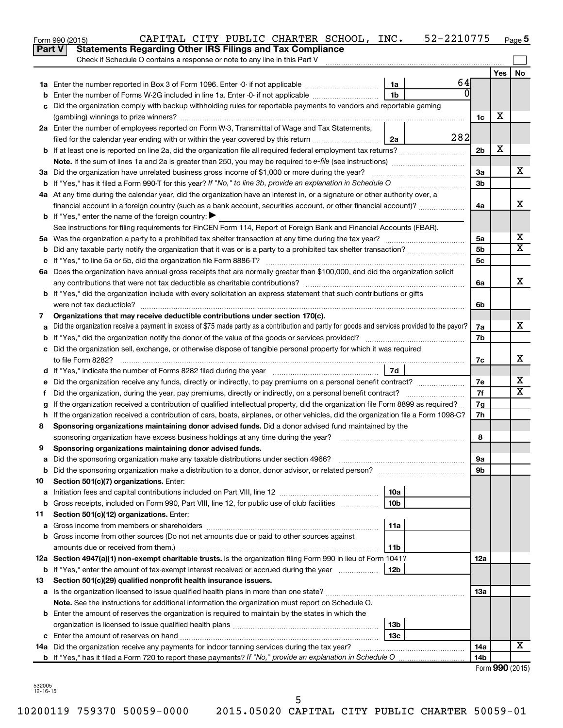|               | 52-2210775<br>CAPITAL CITY PUBLIC CHARTER SCHOOL, INC.<br>Form 990 (2015)                                                                                          |                 |                 | Page 5 |
|---------------|--------------------------------------------------------------------------------------------------------------------------------------------------------------------|-----------------|-----------------|--------|
| <b>Part V</b> | <b>Statements Regarding Other IRS Filings and Tax Compliance</b>                                                                                                   |                 |                 |        |
|               | Check if Schedule O contains a response or note to any line in this Part V                                                                                         |                 |                 |        |
|               |                                                                                                                                                                    |                 | Yes             | No     |
|               | 64<br>1a                                                                                                                                                           |                 |                 |        |
| b             | $\Omega$<br>1 <sub>b</sub><br>Enter the number of Forms W-2G included in line 1a. Enter -0- if not applicable                                                      |                 |                 |        |
| c             | Did the organization comply with backup withholding rules for reportable payments to vendors and reportable gaming                                                 |                 |                 |        |
|               |                                                                                                                                                                    | 1c              | X               |        |
|               | 2a Enter the number of employees reported on Form W-3, Transmittal of Wage and Tax Statements,                                                                     |                 |                 |        |
|               | 282<br>filed for the calendar year ending with or within the year covered by this return<br>2a                                                                     |                 |                 |        |
|               |                                                                                                                                                                    | 2 <sub>b</sub>  | х               |        |
|               |                                                                                                                                                                    |                 |                 |        |
|               |                                                                                                                                                                    | 3a              |                 | x      |
|               |                                                                                                                                                                    | 3 <sub>b</sub>  |                 |        |
|               | 4a At any time during the calendar year, did the organization have an interest in, or a signature or other authority over, a                                       |                 |                 |        |
|               | financial account in a foreign country (such as a bank account, securities account, or other financial account)?                                                   | 4a              |                 | х      |
|               | <b>b</b> If "Yes," enter the name of the foreign country: $\blacktriangleright$                                                                                    |                 |                 |        |
|               | See instructions for filing requirements for FinCEN Form 114, Report of Foreign Bank and Financial Accounts (FBAR).                                                |                 |                 |        |
|               |                                                                                                                                                                    | 5a              |                 | х<br>X |
| b             |                                                                                                                                                                    | 5 <sub>b</sub>  |                 |        |
|               |                                                                                                                                                                    | 5c              |                 |        |
|               | 6a Does the organization have annual gross receipts that are normally greater than \$100,000, and did the organization solicit                                     |                 |                 | x      |
|               |                                                                                                                                                                    | 6a              |                 |        |
|               | <b>b</b> If "Yes," did the organization include with every solicitation an express statement that such contributions or gifts                                      |                 |                 |        |
| 7             | Organizations that may receive deductible contributions under section 170(c).                                                                                      | 6b              |                 |        |
| a             | Did the organization receive a payment in excess of \$75 made partly as a contribution and partly for goods and services provided to the payor?                    | 7a              |                 | x      |
| b             |                                                                                                                                                                    | 7b              |                 |        |
|               | c Did the organization sell, exchange, or otherwise dispose of tangible personal property for which it was required                                                |                 |                 |        |
|               |                                                                                                                                                                    | 7с              |                 | x      |
|               | 7d                                                                                                                                                                 |                 |                 |        |
|               |                                                                                                                                                                    | 7e              |                 | х      |
| Ť.            | Did the organization, during the year, pay premiums, directly or indirectly, on a personal benefit contract?                                                       | 7f              |                 | X      |
| g             | If the organization received a contribution of qualified intellectual property, did the organization file Form 8899 as required?                                   | 7g              |                 |        |
|               | h If the organization received a contribution of cars, boats, airplanes, or other vehicles, did the organization file a Form 1098-C?                               | 7h              |                 |        |
| 8             | Sponsoring organizations maintaining donor advised funds. Did a donor advised fund maintained by the                                                               |                 |                 |        |
|               |                                                                                                                                                                    | 8               |                 |        |
|               | Sponsoring organizations maintaining donor advised funds.                                                                                                          |                 |                 |        |
| а             | Did the sponsoring organization make any taxable distributions under section 4966?                                                                                 | 9а              |                 |        |
| b             | Did the sponsoring organization make a distribution to a donor, donor advisor, or related person?                                                                  | 9b              |                 |        |
| 10            | Section 501(c)(7) organizations. Enter:                                                                                                                            |                 |                 |        |
| a             | 10a                                                                                                                                                                |                 |                 |        |
| b             | 10 <sub>b</sub><br>Gross receipts, included on Form 990, Part VIII, line 12, for public use of club facilities                                                     |                 |                 |        |
| 11            | Section 501(c)(12) organizations. Enter:                                                                                                                           |                 |                 |        |
| а             | 11a                                                                                                                                                                |                 |                 |        |
| b             | Gross income from other sources (Do not net amounts due or paid to other sources against                                                                           |                 |                 |        |
|               | amounts due or received from them.)<br>11b<br>12a Section 4947(a)(1) non-exempt charitable trusts. Is the organization filing Form 990 in lieu of Form 1041?       | 12a             |                 |        |
|               | 12b                                                                                                                                                                |                 |                 |        |
| 13            | <b>b</b> If "Yes," enter the amount of tax-exempt interest received or accrued during the year<br>Section 501(c)(29) qualified nonprofit health insurance issuers. |                 |                 |        |
| а             | Is the organization licensed to issue qualified health plans in more than one state?                                                                               | 13a             |                 |        |
|               | Note. See the instructions for additional information the organization must report on Schedule O.                                                                  |                 |                 |        |
|               | <b>b</b> Enter the amount of reserves the organization is required to maintain by the states in which the                                                          |                 |                 |        |
|               | 13b                                                                                                                                                                |                 |                 |        |
| c             | 13c                                                                                                                                                                |                 |                 |        |
|               | 14a Did the organization receive any payments for indoor tanning services during the tax year?                                                                     | 14a             |                 | x      |
|               |                                                                                                                                                                    | 14 <sub>b</sub> |                 |        |
|               |                                                                                                                                                                    |                 | Form 990 (2015) |        |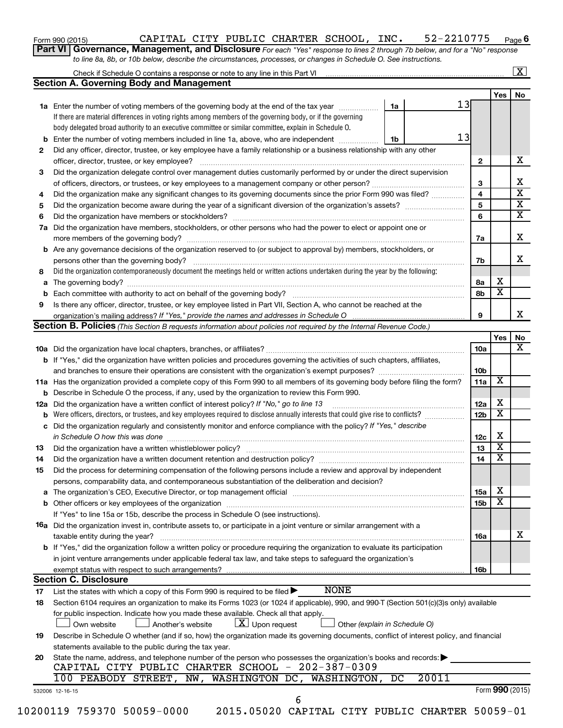| Form 990 (2015) |  |  |
|-----------------|--|--|
|-----------------|--|--|

#### Form 990 (2015) CAPITAL CITY PUBLIC CHARTER SCHOOL, INC. 52-2210775 Page **6**

| Part VI   Governance, Management, and Disclosure For each "Yes" response to lines 2 through 7b below, and for a "No" response |
|-------------------------------------------------------------------------------------------------------------------------------|
| to line 8a, 8b, or 10b below, describe the circumstances, processes, or changes in Schedule O. See instructions.              |

|     |                                                                                                                                           |    |       |                 |                         | $\mathbf{x}$            |
|-----|-------------------------------------------------------------------------------------------------------------------------------------------|----|-------|-----------------|-------------------------|-------------------------|
|     | <b>Section A. Governing Body and Management</b>                                                                                           |    |       |                 |                         |                         |
|     |                                                                                                                                           |    |       |                 | Yes                     | No                      |
|     | <b>1a</b> Enter the number of voting members of the governing body at the end of the tax year                                             | 1a | 13    |                 |                         |                         |
|     | If there are material differences in voting rights among members of the governing body, or if the governing                               |    |       |                 |                         |                         |
|     | body delegated broad authority to an executive committee or similar committee, explain in Schedule O.                                     |    |       |                 |                         |                         |
| b   | Enter the number of voting members included in line 1a, above, who are independent                                                        | 1b | 13    |                 |                         |                         |
| 2   | Did any officer, director, trustee, or key employee have a family relationship or a business relationship with any other                  |    |       |                 |                         |                         |
|     | officer, director, trustee, or key employee?                                                                                              |    |       | 2               |                         | х                       |
| 3   | Did the organization delegate control over management duties customarily performed by or under the direct supervision                     |    |       |                 |                         |                         |
|     |                                                                                                                                           |    |       | 3               |                         | х                       |
| 4   | Did the organization make any significant changes to its governing documents since the prior Form 990 was filed?                          |    |       | 4               |                         | $\overline{\mathbf{x}}$ |
| 5   |                                                                                                                                           |    |       | 5               |                         | $\overline{\textbf{X}}$ |
| 6   |                                                                                                                                           |    |       | 6               |                         | $\overline{\textbf{X}}$ |
| 7a  | Did the organization have members, stockholders, or other persons who had the power to elect or appoint one or                            |    |       |                 |                         |                         |
|     |                                                                                                                                           |    |       | 7a              |                         | x                       |
|     | <b>b</b> Are any governance decisions of the organization reserved to (or subject to approval by) members, stockholders, or               |    |       |                 |                         |                         |
|     |                                                                                                                                           |    |       | 7b              |                         | x                       |
| 8   | Did the organization contemporaneously document the meetings held or written actions undertaken during the year by the following:         |    |       |                 |                         |                         |
| а   |                                                                                                                                           |    |       | 8а              | х                       |                         |
| b   |                                                                                                                                           |    |       | 8b              | $\overline{\textbf{x}}$ |                         |
| 9   | Is there any officer, director, trustee, or key employee listed in Part VII, Section A, who cannot be reached at the                      |    |       |                 |                         |                         |
|     |                                                                                                                                           |    |       | 9               |                         | x                       |
|     | Section B. Policies (This Section B requests information about policies not required by the Internal Revenue Code.)                       |    |       |                 |                         |                         |
|     |                                                                                                                                           |    |       |                 | Yes                     | No                      |
|     |                                                                                                                                           |    |       | 10a             |                         | x                       |
|     | <b>b</b> If "Yes," did the organization have written policies and procedures governing the activities of such chapters, affiliates,       |    |       |                 |                         |                         |
|     |                                                                                                                                           |    |       | 10 <sub>b</sub> |                         |                         |
|     | 11a Has the organization provided a complete copy of this Form 990 to all members of its governing body before filing the form?           |    |       | 11a             | X                       |                         |
|     | Describe in Schedule O the process, if any, used by the organization to review this Form 990.<br>b                                        |    |       |                 |                         |                         |
| 12a | Did the organization have a written conflict of interest policy? If "No," go to line 13                                                   |    |       |                 | х                       |                         |
| b   | Were officers, directors, or trustees, and key employees required to disclose annually interests that could give rise to conflicts?       |    |       | 12 <sub>b</sub> | х                       |                         |
| с   | Did the organization regularly and consistently monitor and enforce compliance with the policy? If "Yes," describe                        |    |       |                 |                         |                         |
|     | in Schedule O how this was done <i>maching and accordinational content of the setter and the setter and the setter</i>                    |    |       | 12c             | х                       |                         |
| 13  |                                                                                                                                           |    |       | 13              | $\overline{\textbf{x}}$ |                         |
| 14  | Did the organization have a written document retention and destruction policy? [11] manufaction manufaction in                            |    |       | 14              | $\overline{\mathbf{X}}$ |                         |
| 15  | Did the process for determining compensation of the following persons include a review and approval by independent                        |    |       |                 |                         |                         |
|     | persons, comparability data, and contemporaneous substantiation of the deliberation and decision?                                         |    |       |                 |                         |                         |
| а   |                                                                                                                                           |    |       | <b>15a</b>      | х                       |                         |
|     |                                                                                                                                           |    |       | 15 <sub>b</sub> | X                       |                         |
|     | If "Yes" to line 15a or 15b, describe the process in Schedule O (see instructions).                                                       |    |       |                 |                         |                         |
|     | <b>16a</b> Did the organization invest in, contribute assets to, or participate in a joint venture or similar arrangement with a          |    |       |                 |                         |                         |
|     | taxable entity during the year?                                                                                                           |    |       | 16a             |                         | x                       |
|     | b If "Yes," did the organization follow a written policy or procedure requiring the organization to evaluate its participation            |    |       |                 |                         |                         |
|     | in joint venture arrangements under applicable federal tax law, and take steps to safeguard the organization's                            |    |       |                 |                         |                         |
|     | exempt status with respect to such arrangements?                                                                                          |    |       | 16b             |                         |                         |
|     | <b>Section C. Disclosure</b>                                                                                                              |    |       |                 |                         |                         |
| 17  | <b>NONE</b><br>List the states with which a copy of this Form 990 is required to be filed $\blacktriangleright$                           |    |       |                 |                         |                         |
| 18  | Section 6104 requires an organization to make its Forms 1023 (or 1024 if applicable), 990, and 990-T (Section 501(c)(3)s only) available  |    |       |                 |                         |                         |
|     | for public inspection. Indicate how you made these available. Check all that apply.                                                       |    |       |                 |                         |                         |
|     | $\lfloor x \rfloor$ Upon request<br>Another's website<br>Other (explain in Schedule O)<br>Own website                                     |    |       |                 |                         |                         |
| 19  | Describe in Schedule O whether (and if so, how) the organization made its governing documents, conflict of interest policy, and financial |    |       |                 |                         |                         |
|     | statements available to the public during the tax year.                                                                                   |    |       |                 |                         |                         |
| 20  | State the name, address, and telephone number of the person who possesses the organization's books and records:                           |    |       |                 |                         |                         |
|     | CAPITAL CITY PUBLIC CHARTER SCHOOL - 202-387-0309<br>100 PEABODY STREET, NW, WASHINGTON DC, WASHINGTON,                                   | DC | 20011 |                 |                         |                         |
|     |                                                                                                                                           |    |       |                 |                         |                         |
|     | 532006 12-16-15<br>6                                                                                                                      |    |       |                 |                         | Form 990 (2015)         |
|     |                                                                                                                                           |    |       |                 |                         |                         |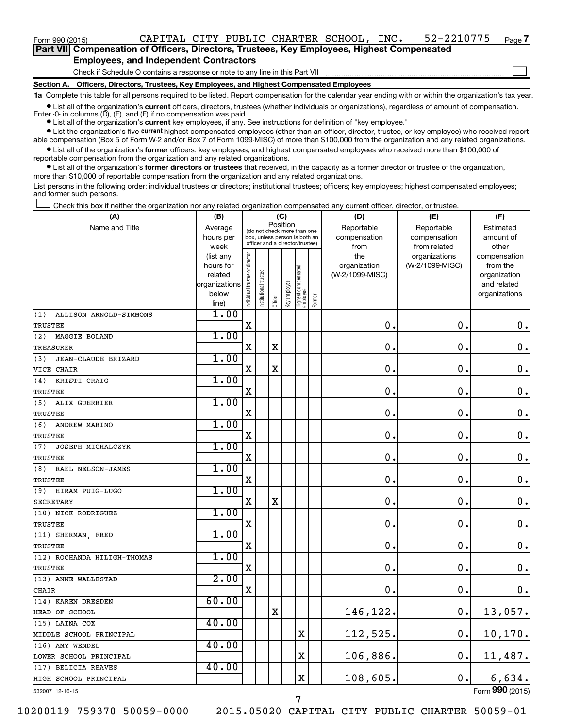$\Box$ 

|  |                                               |  | Part VII Compensation of Officers, Directors, Trustees, Key Employees, Highest Compensated |  |  |
|--|-----------------------------------------------|--|--------------------------------------------------------------------------------------------|--|--|
|  | <b>Employees, and Independent Contractors</b> |  |                                                                                            |  |  |

Check if Schedule O contains a response or note to any line in this Part VII

**Section A. Officers, Directors, Trustees, Key Employees, and Highest Compensated Employees**

**1a**  Complete this table for all persons required to be listed. Report compensation for the calendar year ending with or within the organization's tax year.

**•** List all of the organization's current officers, directors, trustees (whether individuals or organizations), regardless of amount of compensation. Enter -0- in columns  $(D)$ ,  $(E)$ , and  $(F)$  if no compensation was paid.

**•** List all of the organization's **current** key employees, if any. See instructions for definition of "key employee."

**•** List the organization's five current highest compensated employees (other than an officer, director, trustee, or key employee) who received reportable compensation (Box 5 of Form W-2 and/or Box 7 of Form 1099-MISC) of more than \$100,000 from the organization and any related organizations.

**•** List all of the organization's former officers, key employees, and highest compensated employees who received more than \$100,000 of reportable compensation from the organization and any related organizations.

**•** List all of the organization's former directors or trustees that received, in the capacity as a former director or trustee of the organization, more than \$10,000 of reportable compensation from the organization and any related organizations.

List persons in the following order: individual trustees or directors; institutional trustees; officers; key employees; highest compensated employees; and former such persons.

Check this box if neither the organization nor any related organization compensated any current officer, director, or trustee.  $\Box$ 

| (A)                           | (B)                  |                                |                                                                  | (C)         |              |                                   |        | (D)             | (E)             | (F)                         |
|-------------------------------|----------------------|--------------------------------|------------------------------------------------------------------|-------------|--------------|-----------------------------------|--------|-----------------|-----------------|-----------------------------|
| Name and Title                | Average              |                                | (do not check more than one                                      |             | Position     |                                   |        | Reportable      | Reportable      | Estimated                   |
|                               | hours per            |                                | box, unless person is both an<br>officer and a director/trustee) |             |              |                                   |        | compensation    | compensation    | amount of                   |
|                               | week                 |                                |                                                                  |             |              |                                   |        | from            | from related    | other                       |
|                               | (list any            |                                |                                                                  |             |              |                                   |        | the             | organizations   | compensation                |
|                               | hours for<br>related |                                |                                                                  |             |              |                                   |        | organization    | (W-2/1099-MISC) | from the                    |
|                               | organizations        |                                |                                                                  |             |              |                                   |        | (W-2/1099-MISC) |                 | organization<br>and related |
|                               | below                |                                |                                                                  |             |              |                                   |        |                 |                 | organizations               |
|                               | line)                | Individual trustee or director | nstitutional trustee                                             | Officer     | Key employee | Highest compensated<br>  employee | Former |                 |                 |                             |
| (1)<br>ALLISON ARNOLD-SIMMONS | 1.00                 |                                |                                                                  |             |              |                                   |        |                 |                 |                             |
| <b>TRUSTEE</b>                |                      | $\mathbf X$                    |                                                                  |             |              |                                   |        | $\mathbf 0$ .   | $\mathbf 0$ .   | 0.                          |
| <b>MAGGIE BOLAND</b><br>(2)   | 1.00                 |                                |                                                                  |             |              |                                   |        |                 |                 |                             |
| <b>TREASURER</b>              |                      | $\mathbf X$                    |                                                                  | $\mathbf X$ |              |                                   |        | 0.              | $\mathbf 0$ .   | 0.                          |
| (3)<br>JEAN-CLAUDE BRIZARD    | 1.00                 |                                |                                                                  |             |              |                                   |        |                 |                 |                             |
| VICE CHAIR                    |                      | X                              |                                                                  | X           |              |                                   |        | $\mathbf 0$ .   | 0.              | $\mathbf 0$ .               |
| KRISTI CRAIG<br>(4)           | 1.00                 |                                |                                                                  |             |              |                                   |        |                 |                 |                             |
| TRUSTEE                       |                      | $\mathbf X$                    |                                                                  |             |              |                                   |        | $\mathbf 0$ .   | $\mathbf 0$ .   | $\mathbf 0$ .               |
| (5)<br>ALIX GUERRIER          | 1.00                 |                                |                                                                  |             |              |                                   |        |                 |                 |                             |
| <b>TRUSTEE</b>                |                      | $\mathbf X$                    |                                                                  |             |              |                                   |        | $\mathbf 0$ .   | $\mathbf 0$ .   | 0.                          |
| ANDREW MARINO<br>(6)          | 1.00                 |                                |                                                                  |             |              |                                   |        |                 |                 |                             |
| <b>TRUSTEE</b>                |                      | $\mathbf X$                    |                                                                  |             |              |                                   |        | $\mathbf 0$ .   | $\mathbf 0$ .   | $\mathbf 0$ .               |
| (7)<br>JOSEPH MICHALCZYK      | 1.00                 |                                |                                                                  |             |              |                                   |        |                 |                 |                             |
| TRUSTEE                       |                      | $\mathbf X$                    |                                                                  |             |              |                                   |        | $\mathbf 0$ .   | $\mathbf 0$ .   | 0.                          |
| RAEL NELSON-JAMES<br>(8)      | 1.00                 |                                |                                                                  |             |              |                                   |        |                 |                 |                             |
| TRUSTEE                       |                      | $\mathbf X$                    |                                                                  |             |              |                                   |        | $\mathbf 0$ .   | $\mathbf 0$ .   | 0.                          |
| HIRAM PUIG-LUGO<br>(9)        | 1.00                 |                                |                                                                  |             |              |                                   |        |                 |                 |                             |
| <b>SECRETARY</b>              |                      | X                              |                                                                  | $\mathbf X$ |              |                                   |        | 0.              | $\mathbf 0$ .   | $\mathbf 0$ .               |
| (10) NICK RODRIGUEZ           | 1.00                 |                                |                                                                  |             |              |                                   |        |                 |                 |                             |
| <b>TRUSTEE</b>                |                      | X                              |                                                                  |             |              |                                   |        | $\mathbf 0$ .   | $\mathbf 0$ .   | 0.                          |
| (11) SHERMAN, FRED            | 1.00                 |                                |                                                                  |             |              |                                   |        |                 |                 |                             |
| TRUSTEE                       |                      | $\mathbf X$                    |                                                                  |             |              |                                   |        | 0.              | $\mathbf 0$     | $\mathbf 0$ .               |
| (12) ROCHANDA HILIGH-THOMAS   | 1.00                 |                                |                                                                  |             |              |                                   |        |                 |                 |                             |
| TRUSTEE                       |                      | $\mathbf X$                    |                                                                  |             |              |                                   |        | $\mathbf 0$ .   | $\mathbf 0$ .   | $\mathbf 0$ .               |
| (13) ANNE WALLESTAD           | 2.00                 |                                |                                                                  |             |              |                                   |        |                 |                 |                             |
| <b>CHAIR</b>                  |                      | $\mathbf X$                    |                                                                  |             |              |                                   |        | $\mathbf 0$ .   | $\mathbf 0$ .   | $0$ .                       |
| (14) KAREN DRESDEN            | 60.00                |                                |                                                                  |             |              |                                   |        |                 |                 |                             |
| HEAD OF SCHOOL                |                      |                                |                                                                  | $\mathbf X$ |              |                                   |        | 146,122.        | 0.              | 13,057.                     |
| (15) LAINA COX                | 40.00                |                                |                                                                  |             |              |                                   |        |                 |                 |                             |
| MIDDLE SCHOOL PRINCIPAL       |                      |                                |                                                                  |             |              | $\mathbf X$                       |        | 112,525.        | $\mathbf 0$ .   | 10, 170.                    |
| (16) AMY WENDEL               | 40.00                |                                |                                                                  |             |              |                                   |        |                 |                 |                             |
| LOWER SCHOOL PRINCIPAL        |                      |                                |                                                                  |             |              | $\mathbf X$                       |        | 106,886.        | $\mathbf 0$ .   | 11,487.                     |
| (17) BELICIA REAVES           | 40.00                |                                |                                                                  |             |              |                                   |        |                 |                 |                             |
| HIGH SCHOOL PRINCIPAL         |                      |                                |                                                                  |             |              | $\rm X$                           |        | 108,605.        | $\mathbf 0$ .   | 6,634.                      |
| 532007 12-16-15               |                      |                                |                                                                  |             |              |                                   |        |                 |                 | Form 990 (2015)             |

532007 12-16-15

10200119 759370 50059-0000 2015.05020 CAPITAL CITY PUBLIC CHARTER 50059-01

7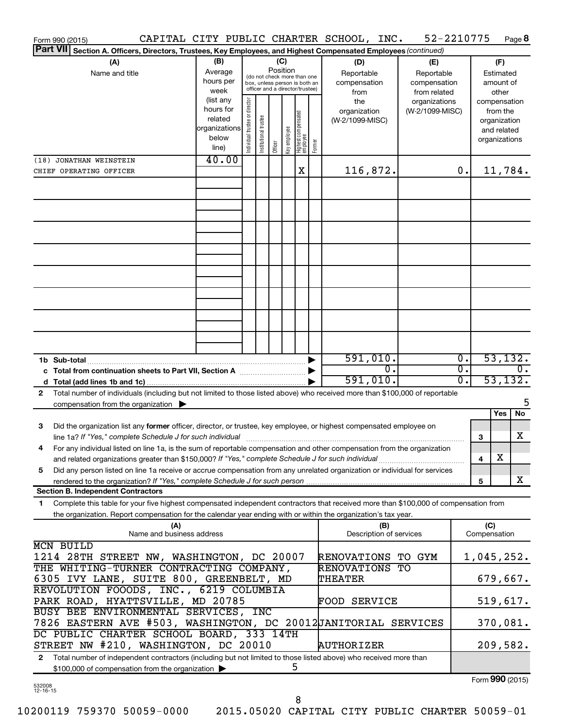| Form 990 (2015)                                                                                                                                                                                                                                                        |                                                                                                                                                                                                   |              |  |          |        |                                                                                                 |  | CAPITAL CITY PUBLIC CHARTER SCHOOL, INC.  | 52-2210775                                                               |                                            |                     |                                        | Page 8           |
|------------------------------------------------------------------------------------------------------------------------------------------------------------------------------------------------------------------------------------------------------------------------|---------------------------------------------------------------------------------------------------------------------------------------------------------------------------------------------------|--------------|--|----------|--------|-------------------------------------------------------------------------------------------------|--|-------------------------------------------|--------------------------------------------------------------------------|--------------------------------------------|---------------------|----------------------------------------|------------------|
| <b>Part VII</b><br>Section A. Officers, Directors, Trustees, Key Employees, and Highest Compensated Employees (continued)                                                                                                                                              |                                                                                                                                                                                                   |              |  |          |        |                                                                                                 |  |                                           |                                                                          |                                            |                     |                                        |                  |
| (A)<br>Name and title                                                                                                                                                                                                                                                  | (B)<br>Average<br>hours per<br>week                                                                                                                                                               |              |  | Position | (C)    | (do not check more than one<br>box, unless person is both an<br>officer and a director/trustee) |  | (D)<br>Reportable<br>compensation<br>from | (E)                                                                      | Reportable<br>compensation<br>from related |                     | (F)<br>Estimated<br>amount of<br>other |                  |
|                                                                                                                                                                                                                                                                        | (list any<br>Individual trustee or director<br>hours for<br>  Highest compensated<br>  employee<br>Institutional trustee<br>related<br>organizations<br>Key employee<br>below<br>Officer<br>line) |              |  |          | Former | the<br>organizations<br>organization<br>(W-2/1099-MISC)<br>(W-2/1099-MISC)                      |  |                                           | compensation<br>from the<br>organization<br>and related<br>organizations |                                            |                     |                                        |                  |
| (18) JONATHAN WEINSTEIN                                                                                                                                                                                                                                                | 40.00                                                                                                                                                                                             |              |  |          |        |                                                                                                 |  |                                           |                                                                          |                                            |                     |                                        |                  |
| 116,872.<br>X<br>0.<br>CHIEF OPERATING OFFICER                                                                                                                                                                                                                         |                                                                                                                                                                                                   |              |  |          |        |                                                                                                 |  |                                           |                                                                          |                                            |                     | 11,784.                                |                  |
|                                                                                                                                                                                                                                                                        |                                                                                                                                                                                                   |              |  |          |        |                                                                                                 |  |                                           |                                                                          |                                            |                     |                                        |                  |
|                                                                                                                                                                                                                                                                        |                                                                                                                                                                                                   |              |  |          |        |                                                                                                 |  |                                           |                                                                          |                                            |                     |                                        |                  |
|                                                                                                                                                                                                                                                                        |                                                                                                                                                                                                   |              |  |          |        |                                                                                                 |  |                                           |                                                                          |                                            |                     |                                        |                  |
|                                                                                                                                                                                                                                                                        |                                                                                                                                                                                                   |              |  |          |        |                                                                                                 |  | 591,010.                                  |                                                                          | $\overline{0}$ .                           |                     | 53,132.                                |                  |
|                                                                                                                                                                                                                                                                        |                                                                                                                                                                                                   |              |  |          |        |                                                                                                 |  | $\overline{0}$ .                          |                                                                          | $\overline{0}$ .                           |                     |                                        | $\overline{0}$ . |
| c Total from continuation sheets to Part VII, Section A manufactured by                                                                                                                                                                                                |                                                                                                                                                                                                   |              |  |          |        |                                                                                                 |  | 591,010.                                  |                                                                          | 0.                                         |                     | 53, 132.                               |                  |
| Total number of individuals (including but not limited to those listed above) who received more than \$100,000 of reportable<br>2<br>compensation from the organization $\blacktriangleright$                                                                          |                                                                                                                                                                                                   |              |  |          |        |                                                                                                 |  |                                           |                                                                          |                                            |                     |                                        | 5                |
| Did the organization list any former officer, director, or trustee, key employee, or highest compensated employee on<br>3                                                                                                                                              |                                                                                                                                                                                                   |              |  |          |        |                                                                                                 |  |                                           |                                                                          |                                            |                     | Yes                                    | No               |
| line 1a? If "Yes," complete Schedule J for such individual manufacture content to the set of the set of the schedule J for such individual<br>For any individual listed on line 1a, is the sum of reportable compensation and other compensation from the organization |                                                                                                                                                                                                   |              |  |          |        |                                                                                                 |  |                                           |                                                                          |                                            | 3                   |                                        | х                |
| and related organizations greater than \$150,000? If "Yes," complete Schedule J for such individual                                                                                                                                                                    |                                                                                                                                                                                                   |              |  |          |        |                                                                                                 |  |                                           |                                                                          |                                            | 4                   | х                                      |                  |
| Did any person listed on line 1a receive or accrue compensation from any unrelated organization or individual for services<br>5                                                                                                                                        |                                                                                                                                                                                                   |              |  |          |        |                                                                                                 |  |                                           |                                                                          |                                            | 5                   |                                        | X                |
| <b>Section B. Independent Contractors</b>                                                                                                                                                                                                                              |                                                                                                                                                                                                   |              |  |          |        |                                                                                                 |  |                                           |                                                                          |                                            |                     |                                        |                  |
| Complete this table for your five highest compensated independent contractors that received more than \$100,000 of compensation from<br>1.<br>the organization. Report compensation for the calendar year ending with or within the organization's tax year.           |                                                                                                                                                                                                   |              |  |          |        |                                                                                                 |  |                                           |                                                                          |                                            |                     |                                        |                  |
| (A)<br>Name and business address                                                                                                                                                                                                                                       |                                                                                                                                                                                                   |              |  |          |        |                                                                                                 |  | (B)<br>Description of services            |                                                                          |                                            | (C)<br>Compensation |                                        |                  |
| <b>MCN BUILD</b><br>1214 28TH STREET NW, WASHINGTON, DC 20007<br>THE WHITING-TURNER CONTRACTING COMPANY,                                                                                                                                                               |                                                                                                                                                                                                   |              |  |          |        |                                                                                                 |  | RENOVATIONS<br><b>RENOVATIONS TO</b>      | TO GYM                                                                   |                                            | 1,045,252.          |                                        |                  |
| 6305 IVY LANE, SUITE 800, GREENBELT, MD                                                                                                                                                                                                                                |                                                                                                                                                                                                   | THEATER      |  |          |        | 679,667.                                                                                        |  |                                           |                                                                          |                                            |                     |                                        |                  |
| REVOLUTION FOOODS, INC., 6219 COLUMBIA<br>PARK ROAD, HYATTSVILLE, MD 20785                                                                                                                                                                                             |                                                                                                                                                                                                   | FOOD SERVICE |  | 519,617. |        |                                                                                                 |  |                                           |                                                                          |                                            |                     |                                        |                  |
| BUSY BEE ENVIRONMENTAL SERVICES, INC<br>7826 EASTERN AVE #503, WASHINGTON, DC 20012JANITORIAL SERVICES                                                                                                                                                                 |                                                                                                                                                                                                   |              |  |          |        |                                                                                                 |  |                                           |                                                                          |                                            |                     | 370,081.                               |                  |
| DC PUBLIC CHARTER SCHOOL BOARD, 333 14TH<br>STREET NW #210, WASHINGTON, DC 20010                                                                                                                                                                                       |                                                                                                                                                                                                   |              |  |          |        |                                                                                                 |  | AUTHORIZER                                |                                                                          |                                            |                     | 209,582.                               |                  |
| Total number of independent contractors (including but not limited to those listed above) who received more than<br>2                                                                                                                                                  |                                                                                                                                                                                                   |              |  |          |        | 5                                                                                               |  |                                           |                                                                          |                                            |                     |                                        |                  |
| \$100,000 of compensation from the organization >                                                                                                                                                                                                                      |                                                                                                                                                                                                   |              |  |          |        |                                                                                                 |  |                                           |                                                                          |                                            | Form 990 (2015)     |                                        |                  |
|                                                                                                                                                                                                                                                                        |                                                                                                                                                                                                   |              |  |          |        |                                                                                                 |  |                                           |                                                                          |                                            |                     |                                        |                  |

532008 12-16-15

8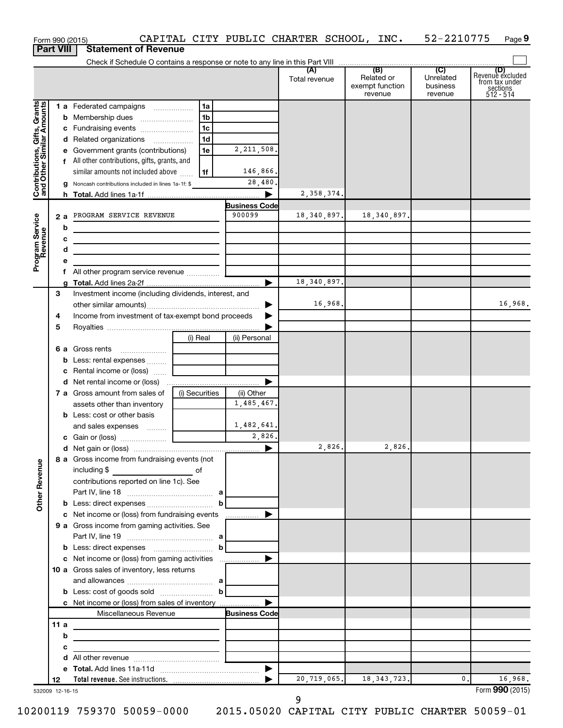|                                                           |                                                         |     | Form 990 (2015)                                                                                                        |                |                          | CAPITAL CITY PUBLIC CHARTER SCHOOL, INC. |                                          | 52-2210775                       | Page 9                                                      |
|-----------------------------------------------------------|---------------------------------------------------------|-----|------------------------------------------------------------------------------------------------------------------------|----------------|--------------------------|------------------------------------------|------------------------------------------|----------------------------------|-------------------------------------------------------------|
| <b>Part VIII</b>                                          |                                                         |     | <b>Statement of Revenue</b>                                                                                            |                |                          |                                          |                                          |                                  |                                                             |
|                                                           |                                                         |     |                                                                                                                        |                |                          |                                          |                                          |                                  |                                                             |
|                                                           |                                                         |     |                                                                                                                        |                |                          | Total revenue                            | Related or<br>exempt function<br>revenue | Unrelated<br>business<br>revenue | Revenue excluded<br>from tax under<br>sections<br>512 - 514 |
|                                                           |                                                         |     | 1 a Federated campaigns                                                                                                | 1a             |                          |                                          |                                          |                                  |                                                             |
| Contributions, Gifts, Grants<br>and Other Similar Amounts |                                                         |     |                                                                                                                        | 1 <sub>b</sub> |                          |                                          |                                          |                                  |                                                             |
|                                                           |                                                         |     | c Fundraising events                                                                                                   | 1c             |                          |                                          |                                          |                                  |                                                             |
|                                                           |                                                         |     | d Related organizations                                                                                                | 1 <sub>d</sub> |                          |                                          |                                          |                                  |                                                             |
|                                                           |                                                         |     | e Government grants (contributions)                                                                                    | 1e             | 2, 211, 508.             |                                          |                                          |                                  |                                                             |
|                                                           |                                                         |     | f All other contributions, gifts, grants, and                                                                          |                |                          |                                          |                                          |                                  |                                                             |
|                                                           |                                                         |     | similar amounts not included above                                                                                     | 1f             | 146,866.                 |                                          |                                          |                                  |                                                             |
|                                                           |                                                         |     | <b>g</b> Noncash contributions included in lines 1a-1f: \$                                                             |                | 28,480.                  |                                          |                                          |                                  |                                                             |
|                                                           |                                                         |     |                                                                                                                        |                |                          | 2, 358, 374.                             |                                          |                                  |                                                             |
|                                                           |                                                         |     |                                                                                                                        |                | <b>Business Code</b>     |                                          |                                          |                                  |                                                             |
|                                                           |                                                         | 2 a | PROGRAM SERVICE REVENUE                                                                                                |                | 900099                   | 18, 340, 897.                            | 18, 340, 897.                            |                                  |                                                             |
|                                                           |                                                         | b   | <u> 1989 - Johann Barn, mars eta bat erroman erroman erroman erroman erroman erroman erroman erroman erroman err</u>   |                |                          |                                          |                                          |                                  |                                                             |
|                                                           |                                                         | с   | <u> 1989 - Johann Barbara, martin amerikan basar dan basa dan basar dalam basa dalam basa dalam basa dalam basa d</u>  |                |                          |                                          |                                          |                                  |                                                             |
|                                                           |                                                         | d   | <u> 1989 - Johann Barbara, martxa alemaniar a</u>                                                                      |                |                          |                                          |                                          |                                  |                                                             |
| Program Service<br>Revenue                                |                                                         |     |                                                                                                                        |                |                          |                                          |                                          |                                  |                                                             |
|                                                           |                                                         |     |                                                                                                                        |                |                          |                                          |                                          |                                  |                                                             |
|                                                           |                                                         |     |                                                                                                                        |                | ▶                        | 18, 340, 897.                            |                                          |                                  |                                                             |
|                                                           | 3                                                       |     | Investment income (including dividends, interest, and                                                                  |                |                          |                                          |                                          |                                  |                                                             |
|                                                           |                                                         |     |                                                                                                                        |                | ▶                        | 16,968.                                  |                                          |                                  | 16,968.                                                     |
|                                                           | Income from investment of tax-exempt bond proceeds<br>4 |     |                                                                                                                        |                |                          |                                          |                                          |                                  |                                                             |
|                                                           | 5                                                       |     |                                                                                                                        |                |                          |                                          |                                          |                                  |                                                             |
|                                                           |                                                         |     |                                                                                                                        | (i) Real       | (ii) Personal            |                                          |                                          |                                  |                                                             |
|                                                           |                                                         |     |                                                                                                                        |                |                          |                                          |                                          |                                  |                                                             |
|                                                           |                                                         |     |                                                                                                                        |                |                          |                                          |                                          |                                  |                                                             |
|                                                           |                                                         |     | c Rental income or (loss)                                                                                              |                |                          |                                          |                                          |                                  |                                                             |
|                                                           |                                                         |     |                                                                                                                        |                | ▶                        |                                          |                                          |                                  |                                                             |
|                                                           |                                                         |     | 7 a Gross amount from sales of                                                                                         | (i) Securities | (ii) Other<br>1,485,467. |                                          |                                          |                                  |                                                             |
|                                                           |                                                         |     | assets other than inventory                                                                                            |                |                          |                                          |                                          |                                  |                                                             |
|                                                           |                                                         |     | <b>b</b> Less: cost or other basis<br>and sales expenses                                                               |                | 1,482,641.               |                                          |                                          |                                  |                                                             |
|                                                           |                                                         |     |                                                                                                                        |                | 2,826.                   |                                          |                                          |                                  |                                                             |
|                                                           |                                                         |     |                                                                                                                        |                |                          | 2,826.                                   | 2,826.                                   |                                  |                                                             |
|                                                           |                                                         |     | 8 a Gross income from fundraising events (not                                                                          |                |                          |                                          |                                          |                                  |                                                             |
| <b>Other Revenue</b>                                      |                                                         |     | including \$<br>$\overline{\phantom{a}}$ of                                                                            |                |                          |                                          |                                          |                                  |                                                             |
|                                                           |                                                         |     | contributions reported on line 1c). See                                                                                |                |                          |                                          |                                          |                                  |                                                             |
|                                                           |                                                         |     |                                                                                                                        |                |                          |                                          |                                          |                                  |                                                             |
|                                                           |                                                         |     |                                                                                                                        | b              |                          |                                          |                                          |                                  |                                                             |
|                                                           |                                                         |     | c Net income or (loss) from fundraising events                                                                         |                |                          |                                          |                                          |                                  |                                                             |
|                                                           |                                                         |     | 9 a Gross income from gaming activities. See                                                                           |                |                          |                                          |                                          |                                  |                                                             |
|                                                           |                                                         |     |                                                                                                                        |                |                          |                                          |                                          |                                  |                                                             |
|                                                           |                                                         |     |                                                                                                                        |                |                          |                                          |                                          |                                  |                                                             |
|                                                           |                                                         |     | 10 a Gross sales of inventory, less returns                                                                            |                |                          |                                          |                                          |                                  |                                                             |
|                                                           |                                                         |     |                                                                                                                        |                |                          |                                          |                                          |                                  |                                                             |
|                                                           |                                                         |     | <b>b</b> Less: cost of goods sold $\ldots$ <b>b</b>                                                                    |                |                          |                                          |                                          |                                  |                                                             |
|                                                           |                                                         |     |                                                                                                                        |                |                          |                                          |                                          |                                  |                                                             |
|                                                           |                                                         |     | Miscellaneous Revenue                                                                                                  |                | <b>Business Code</b>     |                                          |                                          |                                  |                                                             |
|                                                           | 11 a                                                    |     |                                                                                                                        |                |                          |                                          |                                          |                                  |                                                             |
|                                                           |                                                         | b   | <u> 1989 - Johann Stoff, fransk politik (d. 1989)</u><br><u> 1989 - Johann Stein, mars an deutscher Stein († 1958)</u> |                |                          |                                          |                                          |                                  |                                                             |
|                                                           |                                                         | с   | <u> 1989 - Johann Barbara, martin amerikan basar dan bagian dalam basar dalam basar dalam basar dalam basar dala</u>   |                |                          |                                          |                                          |                                  |                                                             |
|                                                           |                                                         |     |                                                                                                                        |                |                          |                                          |                                          |                                  |                                                             |
|                                                           |                                                         |     |                                                                                                                        |                |                          |                                          |                                          |                                  |                                                             |
|                                                           | 12                                                      |     |                                                                                                                        |                |                          | 20,719,065.                              | 18, 343, 723.                            | $\mathbf{0}$ .                   | 16,968.                                                     |
| 532009 12-16-15                                           |                                                         |     |                                                                                                                        |                |                          |                                          |                                          |                                  | Form 990 (2015)                                             |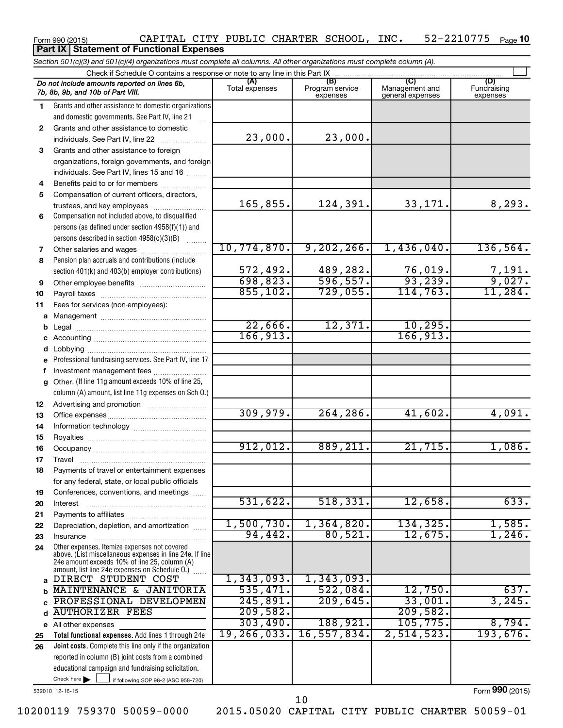#### Form 990 (2015)  $\,$  CAPITAL CITY PUBLIC CHARTER SCHOOL, INC.  $\,$  52-2210775  $\,$  Page 52-2210775 <sub>Page</sub> 10

**Total functional expenses.**  Add lines 1 through 24e **Joint costs.** Complete this line only if the organization **(A) (B) (C) (D)** Fundraising **1 2 3** Grants and other assistance to foreign **4 5 6 7 8 9 10 11 a** Management ~~~~~~~~~~~~~~~~ **b c d e f g 12 13 14 15 16 17 18 19 20 21 22 23 24 a b c d** AUTHORIZER FEES 209,582. 209,582. **e** All other expenses **25 26** *Section 501(c)(3) and 501(c)(4) organizations must complete all columns. All other organizations must complete column (A).* Grants and other assistance to domestic organizations and domestic governments. See Part IV, line 21 Compensation not included above, to disqualified persons (as defined under section 4958(f)(1)) and persons described in section  $4958(c)(3)(B)$   $\ldots$ Pension plan accruals and contributions (include section 401(k) and 403(b) employer contributions) Professional fundraising services. See Part IV, line 17 Other. (If line 11g amount exceeds 10% of line 25, column (A) amount, list line 11g expenses on Sch O.) Other expenses. Itemize expenses not covered above. (List miscellaneous expenses in line 24e. If line 24e amount exceeds 10% of line 25, column (A) amount, list line 24e expenses on Schedule O.)  $\, \, \ldots \,$ reported in column (B) joint costs from a combined educational campaign and fundraising solicitation. Check if Schedule O contains a response or note to any line in this Part IX Total expenses Program service expenses Management and general expenses expenses .<br>... Grants and other assistance to domestic  $individuals. See Part IV, line 22$  ............ organizations, foreign governments, and foreign individuals. See Part IV, lines 15 and 16  $\ldots$ Benefits paid to or for members .................... Compensation of current officers, directors, trustees, and key employees ........................ Other salaries and wages ~~~~~~~~~~ Other employee benefits ~~~~~~~~~~ Payroll taxes ~~~~~~~~~~~~~~~~ Fees for services (non-employees): Legal ~~~~~~~~~~~~~~~~~~~~ Accounting ~~~~~~~~~~~~~~~~~ Lobbying ~~~~~~~~~~~~~~~~~~ Investment management fees ........................ Advertising and promotion ........................... Office expenses ~~~~~~~~~~~~~~~ Information technology ~~~~~~~~~~~ Royalties ~~~~~~~~~~~~~~~~~~ Occupancy ~~~~~~~~~~~~~~~~~ Travel ~~~~~~~~~~~~~~~~~~~ Payments of travel or entertainment expenses for any federal, state, or local public officials Conferences, conventions, and meetings Interest ~~~~~~~~~~~~~~~~~~ Payments to affiliates ~~~~~~~~~~~~ Depreciation, depletion, and amortization ...... Insurance ~~~~~~~~~~~~~~~~~ *Do not include amounts reported on lines 6b, 7b, 8b, 9b, and 10b of Part VIII.* **Part IX Statement of Functional Expenses**  $\Box$ 23,000. 23,000. 165,855. 124,391. 33,171. 8,293. 10,774,870. 9,202,266. 1,436,040. 136,564. 572,492. 489,282. 76,019. 7,191.<br>698,823. 596,557. 93,239. 9,027. 698,823. 596,557. 93,239. 9,027. 855,102. 729,055. 114,763. 11,284. 22,666. 12,371. 10,295. 166,913. 309,979. 264,286. 41,602. 4,091. 912,012. 889,211. 21,715. 1,086. 531,622. 518,331. 12,658. 633. 1,500,730. 1,364,820. 134,325. 1,585. 94,442. 80,521. 12,675. 1,246. DIRECT STUDENT COST 1,343,093. 1,343,093. MAINTENANCE & JANITORIA 535,471. 522,084. 12,750. 637. PROFESSIONAL DEVELOPMEN 245,891. 209,645. 33,001. 3,245. 303,490. 188,921. 105,775. 8,794. 19,266,033. 16,557,834. 2,514,523. 193,676.

532010 12-16-15

Check here |

Form (2015) **990**

Check here  $\begin{array}{c} \begin{array}{|c} \hline \end{array} \end{array}$  if following SOP 98-2 (ASC 958-720)

10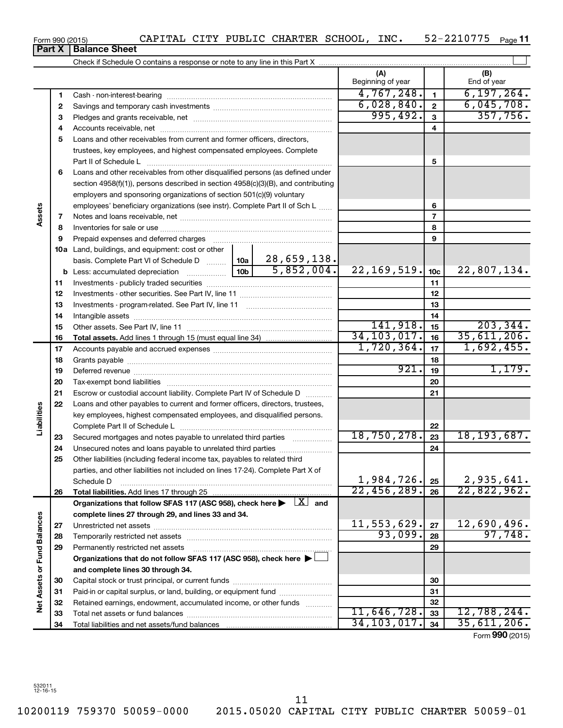|                        | 4  |                                                                                                                              |                 |                         |                                  | 4               |                           |
|------------------------|----|------------------------------------------------------------------------------------------------------------------------------|-----------------|-------------------------|----------------------------------|-----------------|---------------------------|
|                        | 5  | Loans and other receivables from current and former officers, directors,                                                     |                 |                         |                                  |                 |                           |
|                        |    | trustees, key employees, and highest compensated employees. Complete                                                         |                 |                         |                                  |                 |                           |
|                        |    | Part II of Schedule L                                                                                                        |                 |                         |                                  | 5               |                           |
|                        | 6  | Loans and other receivables from other disqualified persons (as defined under                                                |                 |                         |                                  |                 |                           |
|                        |    | section $4958(f)(1)$ , persons described in section $4958(c)(3)(B)$ , and contributing                                       |                 |                         |                                  |                 |                           |
|                        |    | employers and sponsoring organizations of section 501(c)(9) voluntary                                                        |                 |                         |                                  |                 |                           |
|                        |    | employees' beneficiary organizations (see instr). Complete Part II of Sch L                                                  |                 |                         |                                  | 6               |                           |
| Assets                 | 7  |                                                                                                                              |                 |                         |                                  | $\overline{7}$  |                           |
|                        | 8  |                                                                                                                              |                 |                         |                                  | 8               |                           |
|                        | 9  | Prepaid expenses and deferred charges                                                                                        |                 |                         |                                  | 9               |                           |
|                        |    | <b>10a</b> Land, buildings, and equipment: cost or other                                                                     |                 |                         |                                  |                 |                           |
|                        |    | basis. Complete Part VI of Schedule D                                                                                        | 10a $ $         | 28,659,138.             |                                  |                 |                           |
|                        |    | <b>b</b> Less: accumulated depreciation                                                                                      | 10 <sub>b</sub> | $\overline{5,852,004.}$ | 22, 169, 519.                    | 10 <sub>c</sub> | 22,807,134.               |
|                        | 11 |                                                                                                                              |                 |                         |                                  | 11              |                           |
|                        | 12 |                                                                                                                              |                 |                         |                                  | 12              |                           |
|                        | 13 |                                                                                                                              |                 |                         |                                  | 13              |                           |
|                        | 14 |                                                                                                                              |                 |                         |                                  | 14              |                           |
|                        | 15 |                                                                                                                              |                 |                         | 141,918.                         | 15              | 203, 344.                 |
|                        | 16 |                                                                                                                              |                 |                         | 34, 103, 017.                    | 16              | 35,611,206.               |
|                        | 17 |                                                                                                                              |                 |                         | 1,720,364.                       | 17              | 1,692,455.                |
|                        | 18 |                                                                                                                              |                 |                         |                                  | 18              |                           |
|                        | 19 |                                                                                                                              |                 |                         | 921.                             | 19              | 1,179.                    |
|                        | 20 |                                                                                                                              |                 |                         |                                  | 20              |                           |
|                        | 21 | Escrow or custodial account liability. Complete Part IV of Schedule D                                                        |                 |                         |                                  | 21              |                           |
|                        | 22 | Loans and other payables to current and former officers, directors, trustees,                                                |                 |                         |                                  |                 |                           |
| Liabilities            |    | key employees, highest compensated employees, and disqualified persons.                                                      |                 |                         |                                  |                 |                           |
|                        |    |                                                                                                                              |                 |                         | 22                               |                 |                           |
|                        | 23 | Secured mortgages and notes payable to unrelated third parties                                                               |                 |                         | 18,750,278.                      | 23              | 18, 193, 687.             |
|                        | 24 | Unsecured notes and loans payable to unrelated third parties                                                                 |                 |                         |                                  | 24              |                           |
|                        | 25 | Other liabilities (including federal income tax, payables to related third                                                   |                 |                         |                                  |                 |                           |
|                        |    | parties, and other liabilities not included on lines 17-24). Complete Part X of                                              |                 |                         |                                  |                 |                           |
|                        |    | Schedule D                                                                                                                   |                 |                         | $\frac{1,984,726.}{22,456,289.}$ | 25              | 2,935,641.<br>22,822,962. |
|                        | 26 |                                                                                                                              |                 |                         |                                  | 26              |                           |
|                        |    | Organizations that follow SFAS 117 (ASC 958), check here $\blacktriangleright \begin{array}{c} \boxed{X} \\ \end{array}$ and |                 |                         |                                  |                 |                           |
|                        |    | complete lines 27 through 29, and lines 33 and 34.                                                                           |                 |                         |                                  |                 |                           |
| ances                  | 27 |                                                                                                                              |                 |                         | 11,553,629.                      | 27              | 12,690,496.               |
|                        | 28 |                                                                                                                              |                 |                         | 93,099.                          | 28              | 97,748.                   |
|                        | 29 | Permanently restricted net assets                                                                                            |                 |                         |                                  | 29              |                           |
|                        |    | Organizations that do not follow SFAS 117 (ASC 958), check here >                                                            |                 |                         |                                  |                 |                           |
|                        |    | and complete lines 30 through 34.                                                                                            |                 |                         |                                  |                 |                           |
|                        | 30 |                                                                                                                              |                 |                         |                                  | 30              |                           |
|                        | 31 | Paid-in or capital surplus, or land, building, or equipment fund                                                             |                 |                         | 31                               |                 |                           |
| Net Assets or Fund Bal | 32 | Retained earnings, endowment, accumulated income, or other funds                                                             |                 |                         |                                  | 32              |                           |
|                        | 33 |                                                                                                                              |                 | 11,646,728.             | 33                               | 12,788,244.     |                           |
|                        | 34 |                                                                                                                              |                 |                         | 34,103,017.                      | 34              | 35,611,206.               |
|                        |    |                                                                                                                              |                 |                         |                                  |                 | Form 990 (2015)           |

11

10200119 759370 50059-0000 2015.05020 CAPITAL CITY PUBLIC CHARTER 50059-01

Check if Schedule O contains a response or note to any line in this Part X

Cash - non-interest-bearing ~~~~~~~~~~~~~~~~~~~~~~~~~ Savings and temporary cash investments ~~~~~~~~~~~~~~~~~~ Pledges and grants receivable, net ~~~~~~~~~~~~~~~~~~~~~

 $\perp$ 

**(A) (B)**

Beginning of year  $\parallel$  | End of year

4,767,248. 6,197,264.  $6,028,840.$  2 6,045,708.  $995,492.$  357,756.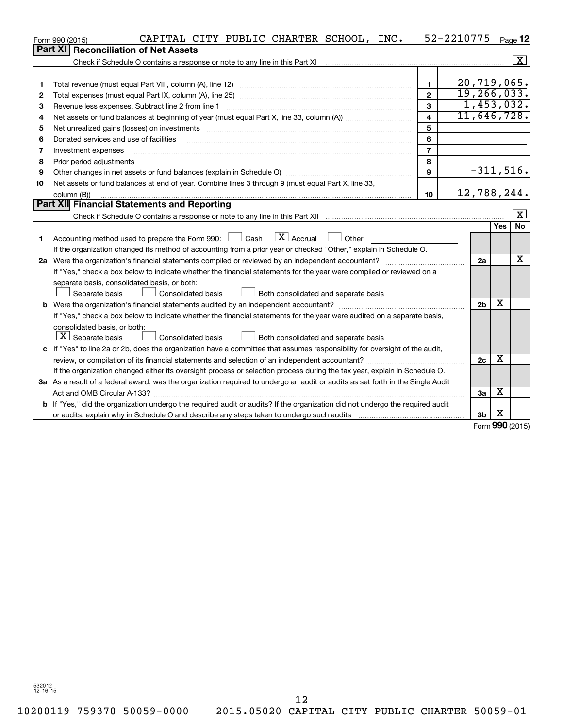|    | Form 990 (2015)                                                                                                                 |                                                                             |                           | CAPITAL CITY PUBLIC CHARTER SCHOOL, INC. |              |                         | 52-2210775     |             | Page 12                 |
|----|---------------------------------------------------------------------------------------------------------------------------------|-----------------------------------------------------------------------------|---------------------------|------------------------------------------|--------------|-------------------------|----------------|-------------|-------------------------|
|    | Part XI<br><b>Reconciliation of Net Assets</b>                                                                                  |                                                                             |                           |                                          |              |                         |                |             |                         |
|    |                                                                                                                                 | Check if Schedule O contains a response or note to any line in this Part XI |                           |                                          |              |                         |                |             | $\vert X \vert$         |
|    |                                                                                                                                 |                                                                             |                           |                                          |              |                         |                |             |                         |
| 1  |                                                                                                                                 |                                                                             |                           |                                          |              | 1.                      | 20,719,065.    |             |                         |
| 2  |                                                                                                                                 |                                                                             |                           |                                          |              | $\mathbf{2}$            | 19, 266, 033.  |             |                         |
| 3  | Revenue less expenses. Subtract line 2 from line 1                                                                              |                                                                             |                           |                                          |              | 3                       | 1,453,032.     |             |                         |
| 4  |                                                                                                                                 |                                                                             |                           |                                          |              | $\overline{\mathbf{4}}$ | 11,646,728.    |             |                         |
| 5  |                                                                                                                                 |                                                                             |                           |                                          |              | 5                       |                |             |                         |
| 6  | Donated services and use of facilities                                                                                          |                                                                             |                           |                                          |              | 6                       |                |             |                         |
| 7  | Investment expenses                                                                                                             |                                                                             |                           |                                          |              | $\overline{7}$          |                |             |                         |
| 8  | Prior period adjustments                                                                                                        |                                                                             |                           |                                          |              | 8                       |                |             |                         |
| 9  |                                                                                                                                 |                                                                             |                           |                                          |              | 9                       | $-311,516.$    |             |                         |
| 10 | Net assets or fund balances at end of year. Combine lines 3 through 9 (must equal Part X, line 33,                              |                                                                             |                           |                                          |              |                         |                |             |                         |
|    | column (B))                                                                                                                     |                                                                             |                           |                                          |              | 10                      | 12,788,244.    |             |                         |
|    | Part XII Financial Statements and Reporting                                                                                     |                                                                             |                           |                                          |              |                         |                |             |                         |
|    |                                                                                                                                 |                                                                             |                           |                                          |              |                         |                |             | $\overline{\textbf{X}}$ |
|    |                                                                                                                                 |                                                                             |                           |                                          |              |                         |                | Yes         | <b>No</b>               |
| 1  | Accounting method used to prepare the Form 990: $\Box$ Cash                                                                     |                                                                             |                           | $\mathbf{X}$ Accrual                     | <b>Other</b> |                         |                |             |                         |
|    | If the organization changed its method of accounting from a prior year or checked "Other," explain in Schedule O.               |                                                                             |                           |                                          |              |                         |                |             |                         |
|    | 2a Were the organization's financial statements compiled or reviewed by an independent accountant?                              |                                                                             |                           |                                          |              |                         | 2a             |             | X                       |
|    | If "Yes," check a box below to indicate whether the financial statements for the year were compiled or reviewed on a            |                                                                             |                           |                                          |              |                         |                |             |                         |
|    | separate basis, consolidated basis, or both:                                                                                    |                                                                             |                           |                                          |              |                         |                |             |                         |
|    | Separate basis                                                                                                                  |                                                                             | Consolidated basis        | Both consolidated and separate basis     |              |                         |                |             |                         |
|    |                                                                                                                                 |                                                                             |                           |                                          |              |                         | 2 <sub>b</sub> | х           |                         |
|    | If "Yes," check a box below to indicate whether the financial statements for the year were audited on a separate basis,         |                                                                             |                           |                                          |              |                         |                |             |                         |
|    | consolidated basis, or both:                                                                                                    |                                                                             |                           |                                          |              |                         |                |             |                         |
|    | $\lfloor \underline{X} \rfloor$ Separate basis                                                                                  |                                                                             | <b>Consolidated basis</b> | Both consolidated and separate basis     |              |                         |                |             |                         |
|    | c If "Yes" to line 2a or 2b, does the organization have a committee that assumes responsibility for oversight of the audit,     |                                                                             |                           |                                          |              |                         |                |             |                         |
|    | review, or compilation of its financial statements and selection of an independent accountant?                                  |                                                                             |                           |                                          |              |                         | 2c             | х           |                         |
|    | If the organization changed either its oversight process or selection process during the tax year, explain in Schedule O.       |                                                                             |                           |                                          |              |                         |                |             |                         |
|    | 3a As a result of a federal award, was the organization required to undergo an audit or audits as set forth in the Single Audit |                                                                             |                           |                                          |              |                         |                |             |                         |
|    |                                                                                                                                 |                                                                             |                           |                                          |              |                         | За             | х           |                         |
|    | b If "Yes," did the organization undergo the required audit or audits? If the organization did not undergo the required audit   |                                                                             |                           |                                          |              |                         |                |             |                         |
|    |                                                                                                                                 |                                                                             |                           |                                          |              |                         | 3 <sub>b</sub> | X<br>$\sim$ |                         |

Form (2015) **990**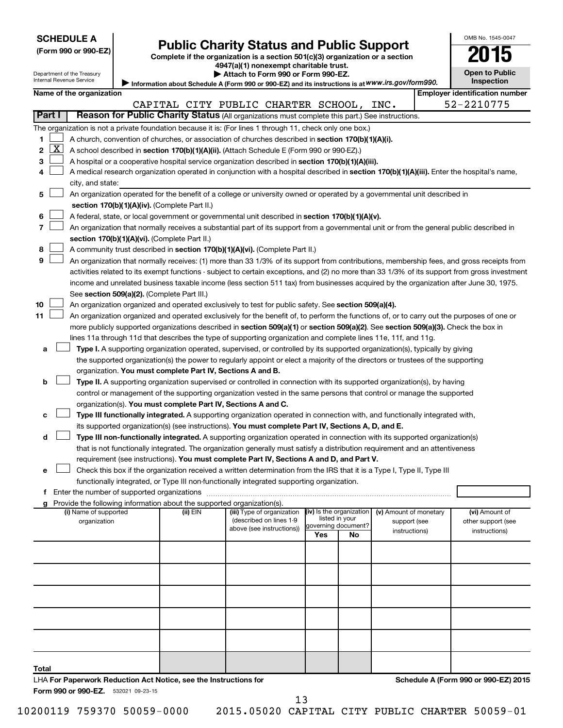Department of the Treasury

| (Form 990 or 990-EZ) |  |  |  |  |
|----------------------|--|--|--|--|
|----------------------|--|--|--|--|

# Form 990 or 990-EZ) **Public Charity Status and Public Support**<br>
Complete if the organization is a section 501(c)(3) organization or a section<br> **2015**

**4947(a)(1) nonexempt charitable trust. | Attach to Form 990 or Form 990-EZ.** 

|  | <b>Open to Public</b> |
|--|-----------------------|
|  | <b>Inspection</b>     |

OMB No. 1545-0047

Internal Revenue Service **Information about Schedule A (Form 990 or 990-EZ) and its instructions is at**  *www.irs.gov/form990.* **|** 

| Name of the organization |                                                                                                   |          | <b>Profitation about ocheans A</b> from 550 or 550-EE) and its matuculars at $\alpha$ in the sea                                              |                          |                     |                        | <b>Employer identification number</b> |
|--------------------------|---------------------------------------------------------------------------------------------------|----------|-----------------------------------------------------------------------------------------------------------------------------------------------|--------------------------|---------------------|------------------------|---------------------------------------|
|                          |                                                                                                   |          | CAPITAL CITY PUBLIC CHARTER SCHOOL, INC.                                                                                                      |                          |                     |                        | 52-2210775                            |
| Part I                   |                                                                                                   |          | Reason for Public Charity Status (All organizations must complete this part.) See instructions.                                               |                          |                     |                        |                                       |
|                          |                                                                                                   |          | The organization is not a private foundation because it is: (For lines 1 through 11, check only one box.)                                     |                          |                     |                        |                                       |
| 1.                       |                                                                                                   |          | A church, convention of churches, or association of churches described in section 170(b)(1)(A)(i).                                            |                          |                     |                        |                                       |
| $\mathbf{X}$<br>2        |                                                                                                   |          | A school described in section 170(b)(1)(A)(ii). (Attach Schedule E (Form 990 or 990-EZ).)                                                     |                          |                     |                        |                                       |
| з                        |                                                                                                   |          | A hospital or a cooperative hospital service organization described in section 170(b)(1)(A)(iii).                                             |                          |                     |                        |                                       |
| 4                        |                                                                                                   |          | A medical research organization operated in conjunction with a hospital described in section 170(b)(1)(A)(iii). Enter the hospital's name,    |                          |                     |                        |                                       |
|                          | city, and state:                                                                                  |          |                                                                                                                                               |                          |                     |                        |                                       |
| 5                        |                                                                                                   |          | An organization operated for the benefit of a college or university owned or operated by a governmental unit described in                     |                          |                     |                        |                                       |
|                          | section 170(b)(1)(A)(iv). (Complete Part II.)                                                     |          |                                                                                                                                               |                          |                     |                        |                                       |
| 6                        |                                                                                                   |          | A federal, state, or local government or governmental unit described in section 170(b)(1)(A)(v).                                              |                          |                     |                        |                                       |
| 7                        |                                                                                                   |          | An organization that normally receives a substantial part of its support from a governmental unit or from the general public described in     |                          |                     |                        |                                       |
|                          | section 170(b)(1)(A)(vi). (Complete Part II.)                                                     |          |                                                                                                                                               |                          |                     |                        |                                       |
| 8                        |                                                                                                   |          | A community trust described in section 170(b)(1)(A)(vi). (Complete Part II.)                                                                  |                          |                     |                        |                                       |
| 9                        |                                                                                                   |          | An organization that normally receives: (1) more than 33 1/3% of its support from contributions, membership fees, and gross receipts from     |                          |                     |                        |                                       |
|                          |                                                                                                   |          | activities related to its exempt functions - subject to certain exceptions, and (2) no more than 33 1/3% of its support from gross investment |                          |                     |                        |                                       |
|                          |                                                                                                   |          | income and unrelated business taxable income (less section 511 tax) from businesses acquired by the organization after June 30, 1975.         |                          |                     |                        |                                       |
|                          | See section 509(a)(2). (Complete Part III.)                                                       |          |                                                                                                                                               |                          |                     |                        |                                       |
| 10                       |                                                                                                   |          | An organization organized and operated exclusively to test for public safety. See section 509(a)(4).                                          |                          |                     |                        |                                       |
| 11                       |                                                                                                   |          | An organization organized and operated exclusively for the benefit of, to perform the functions of, or to carry out the purposes of one or    |                          |                     |                        |                                       |
|                          |                                                                                                   |          | more publicly supported organizations described in section 509(a)(1) or section 509(a)(2). See section 509(a)(3). Check the box in            |                          |                     |                        |                                       |
|                          |                                                                                                   |          | lines 11a through 11d that describes the type of supporting organization and complete lines 11e, 11f, and 11g.                                |                          |                     |                        |                                       |
| a                        |                                                                                                   |          | Type I. A supporting organization operated, supervised, or controlled by its supported organization(s), typically by giving                   |                          |                     |                        |                                       |
|                          |                                                                                                   |          | the supported organization(s) the power to regularly appoint or elect a majority of the directors or trustees of the supporting               |                          |                     |                        |                                       |
|                          | organization. You must complete Part IV, Sections A and B.                                        |          |                                                                                                                                               |                          |                     |                        |                                       |
| b                        |                                                                                                   |          | Type II. A supporting organization supervised or controlled in connection with its supported organization(s), by having                       |                          |                     |                        |                                       |
|                          |                                                                                                   |          | control or management of the supporting organization vested in the same persons that control or manage the supported                          |                          |                     |                        |                                       |
|                          | organization(s). You must complete Part IV, Sections A and C.                                     |          |                                                                                                                                               |                          |                     |                        |                                       |
| с                        |                                                                                                   |          | Type III functionally integrated. A supporting organization operated in connection with, and functionally integrated with,                    |                          |                     |                        |                                       |
|                          |                                                                                                   |          | its supported organization(s) (see instructions). You must complete Part IV, Sections A, D, and E.                                            |                          |                     |                        |                                       |
| d                        |                                                                                                   |          | Type III non-functionally integrated. A supporting organization operated in connection with its supported organization(s)                     |                          |                     |                        |                                       |
|                          |                                                                                                   |          | that is not functionally integrated. The organization generally must satisfy a distribution requirement and an attentiveness                  |                          |                     |                        |                                       |
|                          |                                                                                                   |          | requirement (see instructions). You must complete Part IV, Sections A and D, and Part V.                                                      |                          |                     |                        |                                       |
| е                        |                                                                                                   |          | Check this box if the organization received a written determination from the IRS that it is a Type I, Type II, Type III                       |                          |                     |                        |                                       |
|                          |                                                                                                   |          | functionally integrated, or Type III non-functionally integrated supporting organization.                                                     |                          |                     |                        |                                       |
|                          | f Enter the number of supported organizations                                                     |          |                                                                                                                                               |                          |                     |                        |                                       |
|                          | g Provide the following information about the supported organization(s).<br>(i) Name of supported | (ii) EIN | (iii) Type of organization                                                                                                                    | (iv) Is the organization |                     | (v) Amount of monetary | (vi) Amount of                        |
|                          | organization                                                                                      |          | (described on lines 1-9                                                                                                                       | listed in your           |                     | support (see           | other support (see                    |
|                          |                                                                                                   |          | above (see instructions))                                                                                                                     | Yes                      | governing document? | instructions)          | instructions)                         |
|                          |                                                                                                   |          |                                                                                                                                               |                          | No                  |                        |                                       |
|                          |                                                                                                   |          |                                                                                                                                               |                          |                     |                        |                                       |
|                          |                                                                                                   |          |                                                                                                                                               |                          |                     |                        |                                       |
|                          |                                                                                                   |          |                                                                                                                                               |                          |                     |                        |                                       |
|                          |                                                                                                   |          |                                                                                                                                               |                          |                     |                        |                                       |
|                          |                                                                                                   |          |                                                                                                                                               |                          |                     |                        |                                       |

Form 990 or 990-EZ. 532021 09-23-15 **Total** LHA **For Paperwork Reduction Act Notice, see the Instructions for** 

**Schedule A (Form 990 or 990-EZ) 2015**

13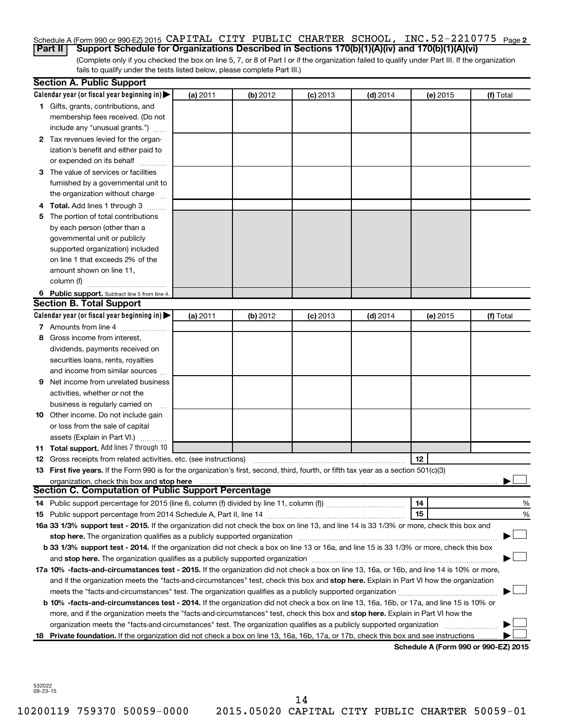#### **2** Schedule A (Form 990 or 990-EZ) 2015 Page **Part II Support Schedule for Organizations Described in Sections 170(b)(1)(A)(iv) and 170(b)(1)(A)(vi)** CAPITAL CITY PUBLIC CHARTER SCHOOL, INC.52-2210775

(Complete only if you checked the box on line 5, 7, or 8 of Part I or if the organization failed to qualify under Part III. If the organization fails to qualify under the tests listed below, please complete Part III.)

| Calendar year (or fiscal year beginning in)<br>(a) 2011<br>(b) 2012<br>$(c)$ 2013<br>$(d)$ 2014<br>(e) 2015<br>1 Gifts, grants, contributions, and<br>membership fees received. (Do not<br>include any "unusual grants.") | (f) Total |
|---------------------------------------------------------------------------------------------------------------------------------------------------------------------------------------------------------------------------|-----------|
|                                                                                                                                                                                                                           |           |
|                                                                                                                                                                                                                           |           |
|                                                                                                                                                                                                                           |           |
|                                                                                                                                                                                                                           |           |
| 2 Tax revenues levied for the organ-                                                                                                                                                                                      |           |
| ization's benefit and either paid to                                                                                                                                                                                      |           |
| or expended on its behalf                                                                                                                                                                                                 |           |
| 3 The value of services or facilities                                                                                                                                                                                     |           |
| furnished by a governmental unit to                                                                                                                                                                                       |           |
| the organization without charge                                                                                                                                                                                           |           |
| 4 Total. Add lines 1 through 3                                                                                                                                                                                            |           |
| 5 The portion of total contributions                                                                                                                                                                                      |           |
| by each person (other than a                                                                                                                                                                                              |           |
| governmental unit or publicly                                                                                                                                                                                             |           |
| supported organization) included                                                                                                                                                                                          |           |
| on line 1 that exceeds 2% of the                                                                                                                                                                                          |           |
| amount shown on line 11,                                                                                                                                                                                                  |           |
| column (f)                                                                                                                                                                                                                |           |
| 6 Public support. Subtract line 5 from line 4.                                                                                                                                                                            |           |
| <b>Section B. Total Support</b>                                                                                                                                                                                           |           |
| Calendar year (or fiscal year beginning in)<br>(a) 2011<br>(b) 2012<br>$(c)$ 2013<br>$(d)$ 2014<br>(e) 2015                                                                                                               | (f) Total |
| 7 Amounts from line 4                                                                                                                                                                                                     |           |
| 8 Gross income from interest,                                                                                                                                                                                             |           |
| dividends, payments received on                                                                                                                                                                                           |           |
|                                                                                                                                                                                                                           |           |
| securities loans, rents, royalties                                                                                                                                                                                        |           |
| and income from similar sources                                                                                                                                                                                           |           |
| Net income from unrelated business<br>9                                                                                                                                                                                   |           |
| activities, whether or not the                                                                                                                                                                                            |           |
| business is regularly carried on                                                                                                                                                                                          |           |
| 10 Other income. Do not include gain                                                                                                                                                                                      |           |
| or loss from the sale of capital                                                                                                                                                                                          |           |
| assets (Explain in Part VI.)                                                                                                                                                                                              |           |
| 11 Total support. Add lines 7 through 10                                                                                                                                                                                  |           |
| 12<br><b>12</b> Gross receipts from related activities, etc. (see instructions)                                                                                                                                           |           |
| 13 First five years. If the Form 990 is for the organization's first, second, third, fourth, or fifth tax year as a section 501(c)(3)                                                                                     |           |
| organization, check this box and stop here<br><b>Section C. Computation of Public Support Percentage</b>                                                                                                                  |           |
|                                                                                                                                                                                                                           |           |
| 14                                                                                                                                                                                                                        | %         |
| 15                                                                                                                                                                                                                        | %         |
| 16a 33 1/3% support test - 2015. If the organization did not check the box on line 13, and line 14 is 33 1/3% or more, check this box and                                                                                 |           |
| stop here. The organization qualifies as a publicly supported organization                                                                                                                                                |           |
| b 33 1/3% support test - 2014. If the organization did not check a box on line 13 or 16a, and line 15 is 33 1/3% or more, check this box                                                                                  |           |
|                                                                                                                                                                                                                           |           |
| 17a 10% -facts-and-circumstances test - 2015. If the organization did not check a box on line 13, 16a, or 16b, and line 14 is 10% or more,                                                                                |           |
| and if the organization meets the "facts-and-circumstances" test, check this box and stop here. Explain in Part VI how the organization                                                                                   |           |
| meets the "facts-and-circumstances" test. The organization qualifies as a publicly supported organization                                                                                                                 |           |
| b 10% -facts-and-circumstances test - 2014. If the organization did not check a box on line 13, 16a, 16b, or 17a, and line 15 is 10% or                                                                                   |           |
| more, and if the organization meets the "facts-and-circumstances" test, check this box and stop here. Explain in Part VI how the                                                                                          |           |
| organization meets the "facts-and-circumstances" test. The organization qualifies as a publicly supported organization                                                                                                    |           |
| 18 Private foundation. If the organization did not check a box on line 13, 16a, 16b, 17a, or 17b, check this box and see instructions.                                                                                    |           |

**Schedule A (Form 990 or 990-EZ) 2015**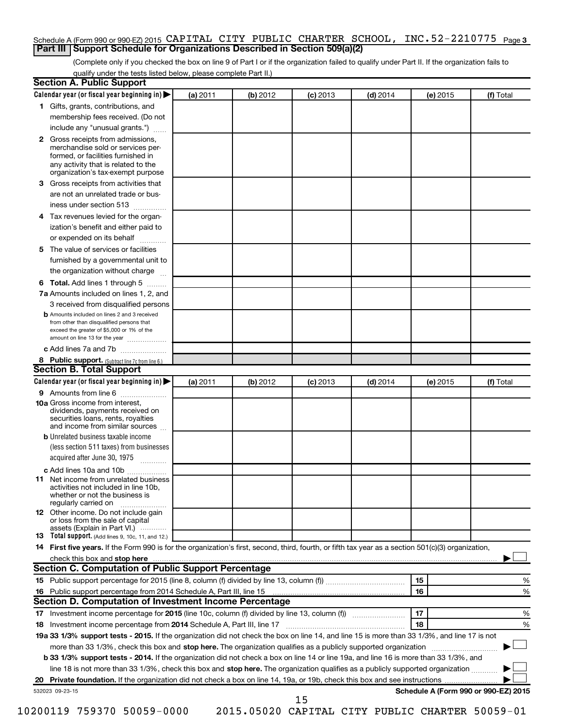#### Schedule A (Form 990 or 990-EZ) 2015 CAPITAL CITY PUBLIC CHARTER SCHOOL, INC.52-2210775 <sub>Page 3</sub> **Part III Support Schedule for Organizations Described in Section 509(a)(2)**

(Complete only if you checked the box on line 9 of Part I or if the organization failed to qualify under Part II. If the organization fails to qualify under the tests listed below, please complete Part II.)

| <b>Section A. Public Support</b>                                                                                                                                                                                               |          |          |            |            |          |                                      |
|--------------------------------------------------------------------------------------------------------------------------------------------------------------------------------------------------------------------------------|----------|----------|------------|------------|----------|--------------------------------------|
| Calendar year (or fiscal year beginning in)                                                                                                                                                                                    | (a) 2011 | (b) 2012 | $(c)$ 2013 | $(d)$ 2014 | (e) 2015 | (f) Total                            |
| 1 Gifts, grants, contributions, and                                                                                                                                                                                            |          |          |            |            |          |                                      |
| membership fees received. (Do not                                                                                                                                                                                              |          |          |            |            |          |                                      |
| include any "unusual grants.")                                                                                                                                                                                                 |          |          |            |            |          |                                      |
| 2 Gross receipts from admissions,<br>merchandise sold or services per-<br>formed, or facilities furnished in<br>any activity that is related to the<br>organization's tax-exempt purpose                                       |          |          |            |            |          |                                      |
| 3 Gross receipts from activities that                                                                                                                                                                                          |          |          |            |            |          |                                      |
| are not an unrelated trade or bus-                                                                                                                                                                                             |          |          |            |            |          |                                      |
| iness under section 513                                                                                                                                                                                                        |          |          |            |            |          |                                      |
| 4 Tax revenues levied for the organ-                                                                                                                                                                                           |          |          |            |            |          |                                      |
| ization's benefit and either paid to                                                                                                                                                                                           |          |          |            |            |          |                                      |
| or expended on its behalf                                                                                                                                                                                                      |          |          |            |            |          |                                      |
| 5 The value of services or facilities                                                                                                                                                                                          |          |          |            |            |          |                                      |
| furnished by a governmental unit to                                                                                                                                                                                            |          |          |            |            |          |                                      |
| the organization without charge                                                                                                                                                                                                |          |          |            |            |          |                                      |
|                                                                                                                                                                                                                                |          |          |            |            |          |                                      |
| 6 Total. Add lines 1 through 5                                                                                                                                                                                                 |          |          |            |            |          |                                      |
| 7a Amounts included on lines 1, 2, and                                                                                                                                                                                         |          |          |            |            |          |                                      |
| 3 received from disqualified persons<br><b>b</b> Amounts included on lines 2 and 3 received<br>from other than disqualified persons that<br>exceed the greater of \$5,000 or 1% of the<br>amount on line 13 for the year       |          |          |            |            |          |                                      |
| c Add lines 7a and 7b                                                                                                                                                                                                          |          |          |            |            |          |                                      |
| 8 Public support. (Subtract line 7c from line 6.)                                                                                                                                                                              |          |          |            |            |          |                                      |
| <b>Section B. Total Support</b>                                                                                                                                                                                                |          |          |            |            |          |                                      |
| Calendar year (or fiscal year beginning in)                                                                                                                                                                                    | (a) 2011 | (b) 2012 | $(c)$ 2013 | $(d)$ 2014 | (e) 2015 | (f) Total                            |
| <b>9</b> Amounts from line 6                                                                                                                                                                                                   |          |          |            |            |          |                                      |
| <b>10a</b> Gross income from interest,<br>dividends, payments received on<br>securities loans, rents, royalties<br>and income from similar sources                                                                             |          |          |            |            |          |                                      |
| <b>b</b> Unrelated business taxable income                                                                                                                                                                                     |          |          |            |            |          |                                      |
| (less section 511 taxes) from businesses<br>acquired after June 30, 1975                                                                                                                                                       |          |          |            |            |          |                                      |
| c Add lines 10a and 10b                                                                                                                                                                                                        |          |          |            |            |          |                                      |
| 11 Net income from unrelated business<br>activities not included in line 10b.<br>whether or not the business is<br>regularly carried on                                                                                        |          |          |            |            |          |                                      |
| <b>12</b> Other income. Do not include gain<br>or loss from the sale of capital<br>assets (Explain in Part VI.)                                                                                                                |          |          |            |            |          |                                      |
| <b>13</b> Total support. (Add lines 9, 10c, 11, and 12.)                                                                                                                                                                       |          |          |            |            |          |                                      |
| 14 First five years. If the Form 990 is for the organization's first, second, third, fourth, or fifth tax year as a section 501(c)(3) organization,                                                                            |          |          |            |            |          |                                      |
| check this box and stop here manufactured and stop here and stop here are manufactured and stop here and stop here and stop here and stop here and stop here and stop here and stop here are all the stop of the stop of the s |          |          |            |            |          |                                      |
| Section C. Computation of Public Support Percentage                                                                                                                                                                            |          |          |            |            |          |                                      |
|                                                                                                                                                                                                                                |          |          |            |            | 15       | ℅                                    |
| 16 Public support percentage from 2014 Schedule A, Part III, line 15                                                                                                                                                           |          |          |            |            | 16       | %                                    |
| Section D. Computation of Investment Income Percentage                                                                                                                                                                         |          |          |            |            |          |                                      |
|                                                                                                                                                                                                                                |          |          |            |            | 17       | %                                    |
| 18 Investment income percentage from 2014 Schedule A, Part III, line 17                                                                                                                                                        |          |          |            |            | 18       | %                                    |
| 19a 33 1/3% support tests - 2015. If the organization did not check the box on line 14, and line 15 is more than 33 1/3%, and line 17 is not                                                                                   |          |          |            |            |          |                                      |
| more than 33 1/3%, check this box and stop here. The organization qualifies as a publicly supported organization                                                                                                               |          |          |            |            |          |                                      |
| b 33 1/3% support tests - 2014. If the organization did not check a box on line 14 or line 19a, and line 16 is more than 33 1/3%, and                                                                                          |          |          |            |            |          |                                      |
| line 18 is not more than 33 1/3%, check this box and stop here. The organization qualifies as a publicly supported organization                                                                                                |          |          |            |            |          |                                      |
|                                                                                                                                                                                                                                |          |          |            |            |          |                                      |
| 532023 09-23-15                                                                                                                                                                                                                |          |          |            |            |          | Schedule A (Form 990 or 990-EZ) 2015 |
|                                                                                                                                                                                                                                |          |          | 15         |            |          |                                      |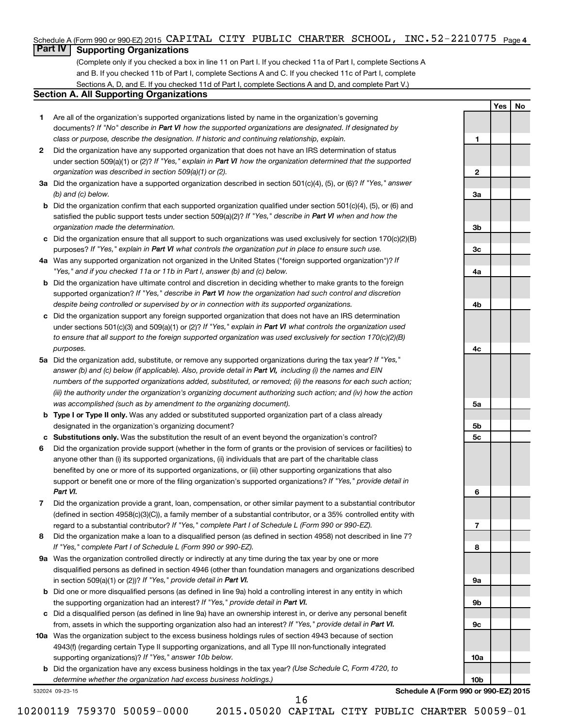#### Schedule A (Form 990 or 990-EZ) 2015 CAPITAL CITY PUBLIC CHARTER SCHOOL, INC.52-2210775 <sub>Page 4</sub>

## **Part IV Supporting Organizations**

(Complete only if you checked a box in line 11 on Part I. If you checked 11a of Part I, complete Sections A and B. If you checked 11b of Part I, complete Sections A and C. If you checked 11c of Part I, complete Sections A, D, and E. If you checked 11d of Part I, complete Sections A and D, and complete Part V.)

#### **Section A. All Supporting Organizations**

- **1** Are all of the organization's supported organizations listed by name in the organization's governing documents? If "No" describe in Part VI how the supported organizations are designated. If designated by *class or purpose, describe the designation. If historic and continuing relationship, explain.*
- **2** Did the organization have any supported organization that does not have an IRS determination of status under section 509(a)(1) or (2)? If "Yes," explain in Part VI how the organization determined that the supported *organization was described in section 509(a)(1) or (2).*
- **3a** Did the organization have a supported organization described in section 501(c)(4), (5), or (6)? If "Yes," answer *(b) and (c) below.*
- **b** Did the organization confirm that each supported organization qualified under section 501(c)(4), (5), or (6) and satisfied the public support tests under section 509(a)(2)? If "Yes," describe in Part VI when and how the *organization made the determination.*
- **c** Did the organization ensure that all support to such organizations was used exclusively for section 170(c)(2)(B) purposes? If "Yes," explain in Part VI what controls the organization put in place to ensure such use.
- **4 a** *If* Was any supported organization not organized in the United States ("foreign supported organization")? *"Yes," and if you checked 11a or 11b in Part I, answer (b) and (c) below.*
- **b** Did the organization have ultimate control and discretion in deciding whether to make grants to the foreign supported organization? If "Yes," describe in Part VI how the organization had such control and discretion *despite being controlled or supervised by or in connection with its supported organizations.*
- **c** Did the organization support any foreign supported organization that does not have an IRS determination under sections 501(c)(3) and 509(a)(1) or (2)? If "Yes," explain in Part VI what controls the organization used *to ensure that all support to the foreign supported organization was used exclusively for section 170(c)(2)(B) purposes.*
- **5a** Did the organization add, substitute, or remove any supported organizations during the tax year? If "Yes," answer (b) and (c) below (if applicable). Also, provide detail in Part VI, including (i) the names and EIN *numbers of the supported organizations added, substituted, or removed; (ii) the reasons for each such action; (iii) the authority under the organization's organizing document authorizing such action; and (iv) how the action was accomplished (such as by amendment to the organizing document).*
- **b Type I or Type II only.** Was any added or substituted supported organization part of a class already designated in the organization's organizing document?
- **c Substitutions only.**  Was the substitution the result of an event beyond the organization's control?
- **6** Did the organization provide support (whether in the form of grants or the provision of services or facilities) to support or benefit one or more of the filing organization's supported organizations? If "Yes," provide detail in anyone other than (i) its supported organizations, (ii) individuals that are part of the charitable class benefited by one or more of its supported organizations, or (iii) other supporting organizations that also *Part VI.*
- **7** Did the organization provide a grant, loan, compensation, or other similar payment to a substantial contributor regard to a substantial contributor? If "Yes," complete Part I of Schedule L (Form 990 or 990-EZ). (defined in section 4958(c)(3)(C)), a family member of a substantial contributor, or a 35% controlled entity with
- **8** Did the organization make a loan to a disqualified person (as defined in section 4958) not described in line 7? *If "Yes," complete Part I of Schedule L (Form 990 or 990-EZ).*
- **9 a** Was the organization controlled directly or indirectly at any time during the tax year by one or more in section 509(a)(1) or (2))? If "Yes," provide detail in Part VI. disqualified persons as defined in section 4946 (other than foundation managers and organizations described
- **b** Did one or more disqualified persons (as defined in line 9a) hold a controlling interest in any entity in which the supporting organization had an interest? If "Yes," provide detail in Part VI.
- **c** Did a disqualified person (as defined in line 9a) have an ownership interest in, or derive any personal benefit from, assets in which the supporting organization also had an interest? If "Yes," provide detail in Part VI.
- **10 a** Was the organization subject to the excess business holdings rules of section 4943 because of section supporting organizations)? If "Yes," answer 10b below. 4943(f) (regarding certain Type II supporting organizations, and all Type III non-functionally integrated
	- **b** Did the organization have any excess business holdings in the tax year? (Use Schedule C, Form 4720, to *determine whether the organization had excess business holdings.)*

532024 09-23-15

**Schedule A (Form 990 or 990-EZ) 2015**

**Yes No**

**1**

**2**

**3a**

**3b**

**3c**

**4a**

**4b**

**4c**

**5a**

**5b 5c**

**6**

**7**

**8**

**9a**

**9b**

**9c**

**10a**

**10b**

10200119 759370 50059-0000 2015.05020 CAPITAL CITY PUBLIC CHARTER 50059-01

16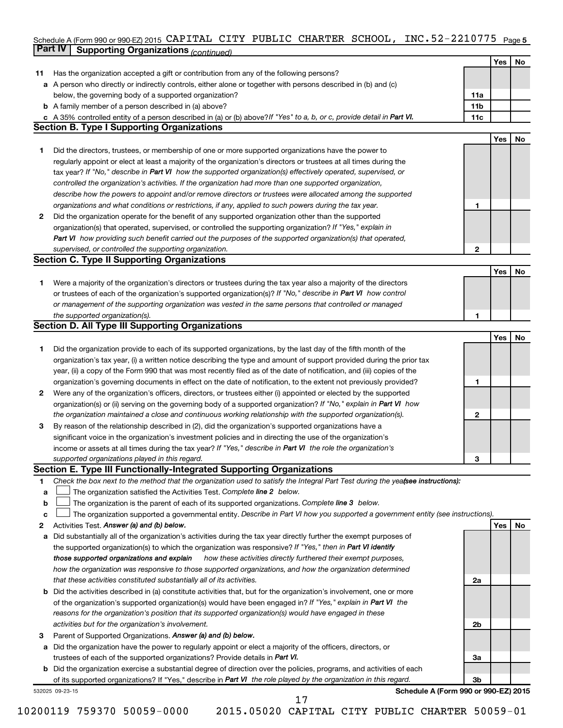#### **5** Schedule A (Form 990 or 990-EZ) 2015 Page **Part IV Supporting Organizations** *(continued)* CAPITAL CITY PUBLIC CHARTER SCHOOL, INC.52-2210775

|              |                                                                                                                                                                                                                                     |                 | Yes | No |
|--------------|-------------------------------------------------------------------------------------------------------------------------------------------------------------------------------------------------------------------------------------|-----------------|-----|----|
| 11           | Has the organization accepted a gift or contribution from any of the following persons?                                                                                                                                             |                 |     |    |
|              | a A person who directly or indirectly controls, either alone or together with persons described in (b) and (c)                                                                                                                      |                 |     |    |
|              | below, the governing body of a supported organization?                                                                                                                                                                              | 11a             |     |    |
|              | <b>b</b> A family member of a person described in (a) above?                                                                                                                                                                        | 11 <sub>b</sub> |     |    |
|              | c A 35% controlled entity of a person described in (a) or (b) above? If "Yes" to a, b, or c, provide detail in Part VI.                                                                                                             | 11c             |     |    |
|              | <b>Section B. Type I Supporting Organizations</b>                                                                                                                                                                                   |                 |     |    |
|              |                                                                                                                                                                                                                                     |                 | Yes | No |
| 1.           | Did the directors, trustees, or membership of one or more supported organizations have the power to                                                                                                                                 |                 |     |    |
|              | regularly appoint or elect at least a majority of the organization's directors or trustees at all times during the<br>tax year? If "No," describe in Part VI how the supported organization(s) effectively operated, supervised, or |                 |     |    |
|              | controlled the organization's activities. If the organization had more than one supported organization,                                                                                                                             |                 |     |    |
|              | describe how the powers to appoint and/or remove directors or trustees were allocated among the supported                                                                                                                           |                 |     |    |
|              | organizations and what conditions or restrictions, if any, applied to such powers during the tax year.                                                                                                                              | 1               |     |    |
| $\mathbf{2}$ | Did the organization operate for the benefit of any supported organization other than the supported                                                                                                                                 |                 |     |    |
|              | organization(s) that operated, supervised, or controlled the supporting organization? If "Yes," explain in                                                                                                                          |                 |     |    |
|              | Part VI how providing such benefit carried out the purposes of the supported organization(s) that operated,                                                                                                                         |                 |     |    |
|              | supervised, or controlled the supporting organization.                                                                                                                                                                              | $\overline{2}$  |     |    |
|              | <b>Section C. Type II Supporting Organizations</b>                                                                                                                                                                                  |                 |     |    |
|              |                                                                                                                                                                                                                                     |                 | Yes | No |
| 1.           | Were a majority of the organization's directors or trustees during the tax year also a majority of the directors                                                                                                                    |                 |     |    |
|              | or trustees of each of the organization's supported organization(s)? If "No," describe in Part VI how control                                                                                                                       |                 |     |    |
|              | or management of the supporting organization was vested in the same persons that controlled or managed                                                                                                                              |                 |     |    |
|              | the supported organization(s).                                                                                                                                                                                                      | 1               |     |    |
|              | <b>Section D. All Type III Supporting Organizations</b>                                                                                                                                                                             |                 |     |    |
|              |                                                                                                                                                                                                                                     |                 | Yes | No |
| 1.           | Did the organization provide to each of its supported organizations, by the last day of the fifth month of the                                                                                                                      |                 |     |    |
|              | organization's tax year, (i) a written notice describing the type and amount of support provided during the prior tax                                                                                                               |                 |     |    |
|              | year, (ii) a copy of the Form 990 that was most recently filed as of the date of notification, and (iii) copies of the                                                                                                              |                 |     |    |
|              | organization's governing documents in effect on the date of notification, to the extent not previously provided?                                                                                                                    | 1               |     |    |
| 2            | Were any of the organization's officers, directors, or trustees either (i) appointed or elected by the supported                                                                                                                    |                 |     |    |
|              | organization(s) or (ii) serving on the governing body of a supported organization? If "No," explain in Part VI how                                                                                                                  |                 |     |    |
|              | the organization maintained a close and continuous working relationship with the supported organization(s).                                                                                                                         | 2               |     |    |
| 3            | By reason of the relationship described in (2), did the organization's supported organizations have a                                                                                                                               |                 |     |    |
|              | significant voice in the organization's investment policies and in directing the use of the organization's                                                                                                                          |                 |     |    |
|              | income or assets at all times during the tax year? If "Yes," describe in Part VI the role the organization's                                                                                                                        |                 |     |    |
|              | supported organizations played in this regard.                                                                                                                                                                                      | 3               |     |    |
|              | Section E. Type III Functionally-Integrated Supporting Organizations                                                                                                                                                                |                 |     |    |
| 1            | Check the box next to the method that the organization used to satisfy the Integral Part Test during the yea(see instructions):                                                                                                     |                 |     |    |
| а            | The organization satisfied the Activities Test. Complete line 2 below.                                                                                                                                                              |                 |     |    |
| b            | The organization is the parent of each of its supported organizations. Complete line 3 below.                                                                                                                                       |                 |     |    |
| c            | The organization supported a governmental entity. Describe in Part VI how you supported a government entity (see instructions).                                                                                                     |                 |     |    |
| 2            | Activities Test. Answer (a) and (b) below.                                                                                                                                                                                          |                 | Yes | No |
| а            | Did substantially all of the organization's activities during the tax year directly further the exempt purposes of                                                                                                                  |                 |     |    |
|              | the supported organization(s) to which the organization was responsive? If "Yes," then in Part VI identify                                                                                                                          |                 |     |    |
|              | those supported organizations and explain<br>how these activities directly furthered their exempt purposes,                                                                                                                         |                 |     |    |
|              | how the organization was responsive to those supported organizations, and how the organization determined                                                                                                                           |                 |     |    |
|              | that these activities constituted substantially all of its activities.                                                                                                                                                              | 2a              |     |    |
|              | <b>b</b> Did the activities described in (a) constitute activities that, but for the organization's involvement, one or more                                                                                                        |                 |     |    |
|              | of the organization's supported organization(s) would have been engaged in? If "Yes," explain in Part VI the                                                                                                                        |                 |     |    |
|              | reasons for the organization's position that its supported organization(s) would have engaged in these                                                                                                                              |                 |     |    |
|              | activities but for the organization's involvement.                                                                                                                                                                                  | 2b              |     |    |
| з            | Parent of Supported Organizations. Answer (a) and (b) below.                                                                                                                                                                        |                 |     |    |
| а            | Did the organization have the power to regularly appoint or elect a majority of the officers, directors, or                                                                                                                         |                 |     |    |
|              | trustees of each of the supported organizations? Provide details in Part VI.                                                                                                                                                        | За              |     |    |
|              | <b>b</b> Did the organization exercise a substantial degree of direction over the policies, programs, and activities of each                                                                                                        |                 |     |    |
|              | of its supported organizations? If "Yes," describe in Part VI the role played by the organization in this regard.                                                                                                                   | 3 <sub>b</sub>  |     |    |
|              | Schedule A (Form 990 or 990-EZ) 2015<br>532025 09-23-15<br>17                                                                                                                                                                       |                 |     |    |
|              |                                                                                                                                                                                                                                     |                 |     |    |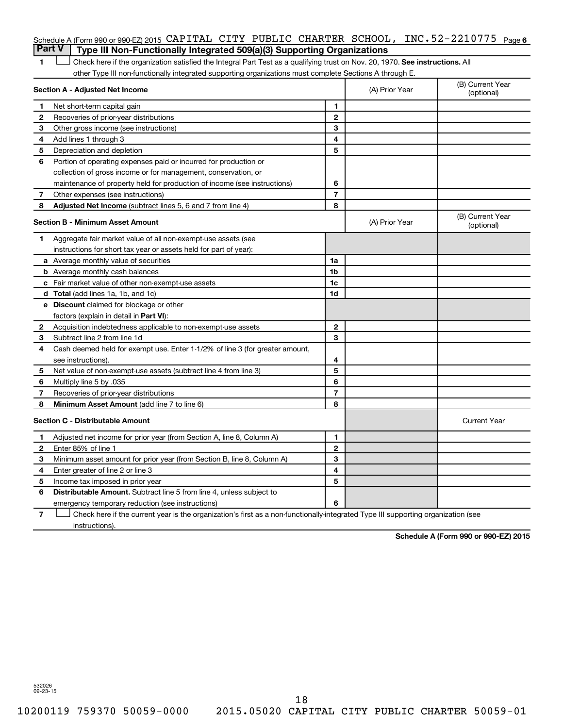#### Schedule A (Form 990 or 990-EZ) 2015 CAPITAL CITY PUBLIC CHARTER SCHOOL, INC.52-2210775 <sub>Page 6</sub> **Part V Type III Non-Functionally Integrated 509(a)(3) Supporting Organizations**

1 **Letter on Reck here if the organization satisfied the Integral Part Test as a qualifying trust on Nov. 20, 1970. See instructions. All** other Type III non-functionally integrated supporting organizations must complete Sections A through E.

|              | Section A - Adjusted Net Income                                              | (A) Prior Year | (B) Current Year<br>(optional) |                                |
|--------------|------------------------------------------------------------------------------|----------------|--------------------------------|--------------------------------|
| 1            | Net short-term capital gain                                                  | 1              |                                |                                |
| 2            | Recoveries of prior-year distributions                                       | $\mathbf{2}$   |                                |                                |
| 3            | Other gross income (see instructions)                                        | 3              |                                |                                |
| 4            | Add lines 1 through 3                                                        | 4              |                                |                                |
| 5            | Depreciation and depletion                                                   | 5              |                                |                                |
| 6            | Portion of operating expenses paid or incurred for production or             |                |                                |                                |
|              | collection of gross income or for management, conservation, or               |                |                                |                                |
|              | maintenance of property held for production of income (see instructions)     | 6              |                                |                                |
| 7            | Other expenses (see instructions)                                            | $\overline{7}$ |                                |                                |
| 8            | Adjusted Net Income (subtract lines 5, 6 and 7 from line 4)                  | 8              |                                |                                |
|              | <b>Section B - Minimum Asset Amount</b>                                      |                | (A) Prior Year                 | (B) Current Year<br>(optional) |
| 1            | Aggregate fair market value of all non-exempt-use assets (see                |                |                                |                                |
|              | instructions for short tax year or assets held for part of year):            |                |                                |                                |
|              | a Average monthly value of securities                                        | 1a             |                                |                                |
|              | <b>b</b> Average monthly cash balances                                       | 1b             |                                |                                |
|              | <b>c</b> Fair market value of other non-exempt-use assets                    | 1 <sub>c</sub> |                                |                                |
|              | d Total (add lines 1a, 1b, and 1c)                                           | 1 <sub>d</sub> |                                |                                |
|              | e Discount claimed for blockage or other                                     |                |                                |                                |
|              | factors (explain in detail in Part VI):                                      |                |                                |                                |
| $\mathbf{2}$ | Acquisition indebtedness applicable to non-exempt-use assets                 | $\mathbf{2}$   |                                |                                |
| 3            | Subtract line 2 from line 1d                                                 | 3              |                                |                                |
| 4            | Cash deemed held for exempt use. Enter 1-1/2% of line 3 (for greater amount, |                |                                |                                |
|              | see instructions).                                                           | 4              |                                |                                |
| 5            | Net value of non-exempt-use assets (subtract line 4 from line 3)             | 5              |                                |                                |
| 6            | Multiply line 5 by .035                                                      | 6              |                                |                                |
| 7            | Recoveries of prior-year distributions                                       | $\overline{7}$ |                                |                                |
| 8            | Minimum Asset Amount (add line 7 to line 6)                                  | 8              |                                |                                |
|              | <b>Section C - Distributable Amount</b>                                      |                |                                | <b>Current Year</b>            |
| 1            | Adjusted net income for prior year (from Section A, line 8, Column A)        | 1              |                                |                                |
| $\mathbf{2}$ | Enter 85% of line 1                                                          | $\mathbf{2}$   |                                |                                |
| 3            | Minimum asset amount for prior year (from Section B, line 8, Column A)       | 3              |                                |                                |
| 4            | Enter greater of line 2 or line 3                                            | 4              |                                |                                |
| 5            | Income tax imposed in prior year                                             | 5              |                                |                                |
| 6            | <b>Distributable Amount.</b> Subtract line 5 from line 4, unless subject to  |                |                                |                                |
|              | emergency temporary reduction (see instructions)                             | 6              |                                |                                |
|              |                                                                              |                |                                |                                |

**7** Check here if the current year is the organization's first as a non-functionally-integrated Type III supporting organization (see † instructions).

**Schedule A (Form 990 or 990-EZ) 2015**

532026 09-23-15

18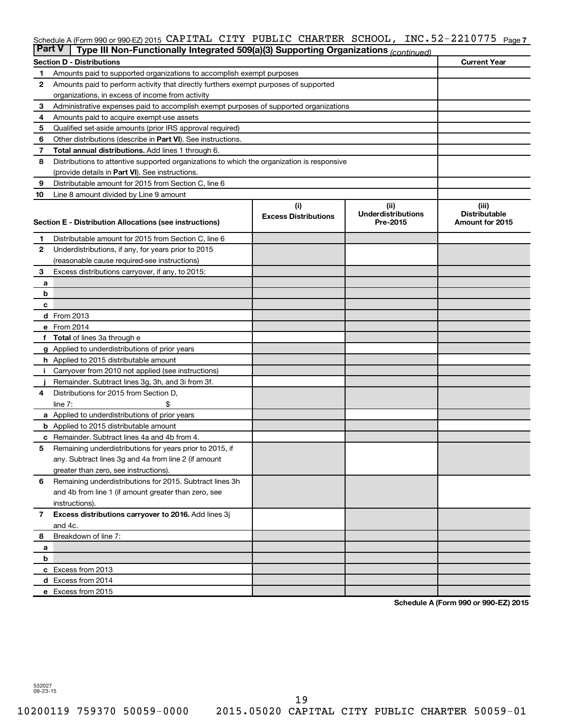#### Schedule A (Form 990 or 990-EZ) 2015 CAPITAL CITY PUBLIC CHARTER SCHOOL, INC.52-2210775 <sub>Page 7</sub>

| <b>Part V</b> | Type III Non-Functionally Integrated 509(a)(3) Supporting Organizations (continued)        |                             |                                   |                               |  |  |  |  |  |  |  |
|---------------|--------------------------------------------------------------------------------------------|-----------------------------|-----------------------------------|-------------------------------|--|--|--|--|--|--|--|
|               | <b>Section D - Distributions</b>                                                           |                             |                                   | <b>Current Year</b>           |  |  |  |  |  |  |  |
| 1             | Amounts paid to supported organizations to accomplish exempt purposes                      |                             |                                   |                               |  |  |  |  |  |  |  |
| 2             | Amounts paid to perform activity that directly furthers exempt purposes of supported       |                             |                                   |                               |  |  |  |  |  |  |  |
|               | organizations, in excess of income from activity                                           |                             |                                   |                               |  |  |  |  |  |  |  |
| 3             | Administrative expenses paid to accomplish exempt purposes of supported organizations      |                             |                                   |                               |  |  |  |  |  |  |  |
| 4             | Amounts paid to acquire exempt-use assets                                                  |                             |                                   |                               |  |  |  |  |  |  |  |
| 5             | Qualified set-aside amounts (prior IRS approval required)                                  |                             |                                   |                               |  |  |  |  |  |  |  |
| 6             | Other distributions (describe in Part VI). See instructions.                               |                             |                                   |                               |  |  |  |  |  |  |  |
| 7             | <b>Total annual distributions.</b> Add lines 1 through 6.                                  |                             |                                   |                               |  |  |  |  |  |  |  |
| 8             | Distributions to attentive supported organizations to which the organization is responsive |                             |                                   |                               |  |  |  |  |  |  |  |
|               | (provide details in Part VI). See instructions.                                            |                             |                                   |                               |  |  |  |  |  |  |  |
| 9             | Distributable amount for 2015 from Section C, line 6                                       |                             |                                   |                               |  |  |  |  |  |  |  |
| 10            | Line 8 amount divided by Line 9 amount                                                     |                             |                                   |                               |  |  |  |  |  |  |  |
|               |                                                                                            | (i)                         | (ii)<br><b>Underdistributions</b> | (iii)<br><b>Distributable</b> |  |  |  |  |  |  |  |
|               | Section E - Distribution Allocations (see instructions)                                    | <b>Excess Distributions</b> | Pre-2015                          | Amount for 2015               |  |  |  |  |  |  |  |
|               |                                                                                            |                             |                                   |                               |  |  |  |  |  |  |  |
| 1             | Distributable amount for 2015 from Section C, line 6                                       |                             |                                   |                               |  |  |  |  |  |  |  |
| $\mathbf{2}$  | Underdistributions, if any, for years prior to 2015                                        |                             |                                   |                               |  |  |  |  |  |  |  |
|               | (reasonable cause required-see instructions)                                               |                             |                                   |                               |  |  |  |  |  |  |  |
| 3             | Excess distributions carryover, if any, to 2015:                                           |                             |                                   |                               |  |  |  |  |  |  |  |
| а             |                                                                                            |                             |                                   |                               |  |  |  |  |  |  |  |
| b             |                                                                                            |                             |                                   |                               |  |  |  |  |  |  |  |
| с             | d From 2013                                                                                |                             |                                   |                               |  |  |  |  |  |  |  |
|               | e From 2014                                                                                |                             |                                   |                               |  |  |  |  |  |  |  |
| f             | <b>Total</b> of lines 3a through e                                                         |                             |                                   |                               |  |  |  |  |  |  |  |
|               | <b>g</b> Applied to underdistributions of prior years                                      |                             |                                   |                               |  |  |  |  |  |  |  |
|               | <b>h</b> Applied to 2015 distributable amount                                              |                             |                                   |                               |  |  |  |  |  |  |  |
|               | Carryover from 2010 not applied (see instructions)                                         |                             |                                   |                               |  |  |  |  |  |  |  |
|               | Remainder. Subtract lines 3g, 3h, and 3i from 3f.                                          |                             |                                   |                               |  |  |  |  |  |  |  |
| 4             | Distributions for 2015 from Section D,                                                     |                             |                                   |                               |  |  |  |  |  |  |  |
|               | $line 7$ :                                                                                 |                             |                                   |                               |  |  |  |  |  |  |  |
|               | a Applied to underdistributions of prior years                                             |                             |                                   |                               |  |  |  |  |  |  |  |
|               | <b>b</b> Applied to 2015 distributable amount                                              |                             |                                   |                               |  |  |  |  |  |  |  |
| с             | Remainder. Subtract lines 4a and 4b from 4.                                                |                             |                                   |                               |  |  |  |  |  |  |  |
| 5             | Remaining underdistributions for years prior to 2015, if                                   |                             |                                   |                               |  |  |  |  |  |  |  |
|               | any. Subtract lines 3g and 4a from line 2 (if amount                                       |                             |                                   |                               |  |  |  |  |  |  |  |
|               | greater than zero, see instructions).                                                      |                             |                                   |                               |  |  |  |  |  |  |  |
| 6             | Remaining underdistributions for 2015. Subtract lines 3h                                   |                             |                                   |                               |  |  |  |  |  |  |  |
|               | and 4b from line 1 (if amount greater than zero, see                                       |                             |                                   |                               |  |  |  |  |  |  |  |
|               | instructions).                                                                             |                             |                                   |                               |  |  |  |  |  |  |  |
| $\mathbf{7}$  | Excess distributions carryover to 2016. Add lines 3j                                       |                             |                                   |                               |  |  |  |  |  |  |  |
|               | and 4c.                                                                                    |                             |                                   |                               |  |  |  |  |  |  |  |
| 8             | Breakdown of line 7:                                                                       |                             |                                   |                               |  |  |  |  |  |  |  |
| a             |                                                                                            |                             |                                   |                               |  |  |  |  |  |  |  |
| b             |                                                                                            |                             |                                   |                               |  |  |  |  |  |  |  |
|               | c Excess from 2013                                                                         |                             |                                   |                               |  |  |  |  |  |  |  |
|               | d Excess from 2014                                                                         |                             |                                   |                               |  |  |  |  |  |  |  |
|               | e Excess from 2015                                                                         |                             |                                   |                               |  |  |  |  |  |  |  |

**Schedule A (Form 990 or 990-EZ) 2015**

532027 09-23-15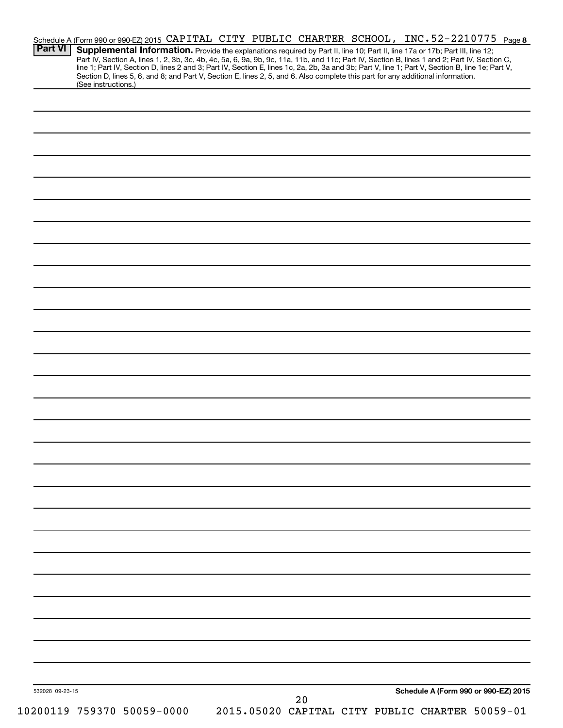| <b>Part VI</b>  | Schedule A (Form 990 or 990-EZ) 2015 CAPITAL CITY PUBLIC CHARTER SCHOOL, INC.52-2210775 Page 8<br>Supplemental Information. Provide the explanations required by Part II, line 10; Part II, line 17a or 17b; Part III, line 12;                                                                                                                                                                                                                           |  |  |    |                                                 |  |                                      |  |
|-----------------|-----------------------------------------------------------------------------------------------------------------------------------------------------------------------------------------------------------------------------------------------------------------------------------------------------------------------------------------------------------------------------------------------------------------------------------------------------------|--|--|----|-------------------------------------------------|--|--------------------------------------|--|
|                 | Part IV, Section A, lines 1, 2, 3b, 3c, 4b, 4c, 5a, 6, 9a, 9b, 9c, 11a, 11b, and 11c; Part IV, Section B, lines 1 and 2; Part IV, Section C,<br>line 1; Part IV, Section D, lines 2 and 3; Part IV, Section E, lines 1c, 2a, 2b, 3a and 3b; Part V, line 1; Part V, Section B, line 1e; Part V,<br>Section D, lines 5, 6, and 8; and Part V, Section E, lines 2, 5, and 6. Also complete this part for any additional information.<br>(See instructions.) |  |  |    |                                                 |  |                                      |  |
|                 |                                                                                                                                                                                                                                                                                                                                                                                                                                                           |  |  |    |                                                 |  |                                      |  |
|                 |                                                                                                                                                                                                                                                                                                                                                                                                                                                           |  |  |    |                                                 |  |                                      |  |
|                 |                                                                                                                                                                                                                                                                                                                                                                                                                                                           |  |  |    |                                                 |  |                                      |  |
|                 |                                                                                                                                                                                                                                                                                                                                                                                                                                                           |  |  |    |                                                 |  |                                      |  |
|                 |                                                                                                                                                                                                                                                                                                                                                                                                                                                           |  |  |    |                                                 |  |                                      |  |
|                 |                                                                                                                                                                                                                                                                                                                                                                                                                                                           |  |  |    |                                                 |  |                                      |  |
|                 |                                                                                                                                                                                                                                                                                                                                                                                                                                                           |  |  |    |                                                 |  |                                      |  |
|                 |                                                                                                                                                                                                                                                                                                                                                                                                                                                           |  |  |    |                                                 |  |                                      |  |
|                 |                                                                                                                                                                                                                                                                                                                                                                                                                                                           |  |  |    |                                                 |  |                                      |  |
|                 |                                                                                                                                                                                                                                                                                                                                                                                                                                                           |  |  |    |                                                 |  |                                      |  |
|                 |                                                                                                                                                                                                                                                                                                                                                                                                                                                           |  |  |    |                                                 |  |                                      |  |
|                 |                                                                                                                                                                                                                                                                                                                                                                                                                                                           |  |  |    |                                                 |  |                                      |  |
|                 |                                                                                                                                                                                                                                                                                                                                                                                                                                                           |  |  |    |                                                 |  |                                      |  |
|                 |                                                                                                                                                                                                                                                                                                                                                                                                                                                           |  |  |    |                                                 |  |                                      |  |
|                 |                                                                                                                                                                                                                                                                                                                                                                                                                                                           |  |  |    |                                                 |  |                                      |  |
|                 |                                                                                                                                                                                                                                                                                                                                                                                                                                                           |  |  |    |                                                 |  |                                      |  |
|                 |                                                                                                                                                                                                                                                                                                                                                                                                                                                           |  |  |    |                                                 |  |                                      |  |
|                 |                                                                                                                                                                                                                                                                                                                                                                                                                                                           |  |  |    |                                                 |  |                                      |  |
|                 |                                                                                                                                                                                                                                                                                                                                                                                                                                                           |  |  |    |                                                 |  |                                      |  |
|                 |                                                                                                                                                                                                                                                                                                                                                                                                                                                           |  |  |    |                                                 |  |                                      |  |
|                 |                                                                                                                                                                                                                                                                                                                                                                                                                                                           |  |  |    |                                                 |  |                                      |  |
|                 |                                                                                                                                                                                                                                                                                                                                                                                                                                                           |  |  |    |                                                 |  |                                      |  |
|                 |                                                                                                                                                                                                                                                                                                                                                                                                                                                           |  |  |    |                                                 |  |                                      |  |
|                 |                                                                                                                                                                                                                                                                                                                                                                                                                                                           |  |  |    |                                                 |  |                                      |  |
|                 |                                                                                                                                                                                                                                                                                                                                                                                                                                                           |  |  |    |                                                 |  |                                      |  |
|                 |                                                                                                                                                                                                                                                                                                                                                                                                                                                           |  |  |    |                                                 |  |                                      |  |
|                 |                                                                                                                                                                                                                                                                                                                                                                                                                                                           |  |  |    |                                                 |  |                                      |  |
|                 |                                                                                                                                                                                                                                                                                                                                                                                                                                                           |  |  |    |                                                 |  |                                      |  |
|                 |                                                                                                                                                                                                                                                                                                                                                                                                                                                           |  |  |    |                                                 |  |                                      |  |
|                 |                                                                                                                                                                                                                                                                                                                                                                                                                                                           |  |  |    |                                                 |  |                                      |  |
| 532028 09-23-15 |                                                                                                                                                                                                                                                                                                                                                                                                                                                           |  |  |    |                                                 |  | Schedule A (Form 990 or 990-EZ) 2015 |  |
|                 | 10200119 759370 50059-0000                                                                                                                                                                                                                                                                                                                                                                                                                                |  |  | 20 | 2015.05020 CAPITAL CITY PUBLIC CHARTER 50059-01 |  |                                      |  |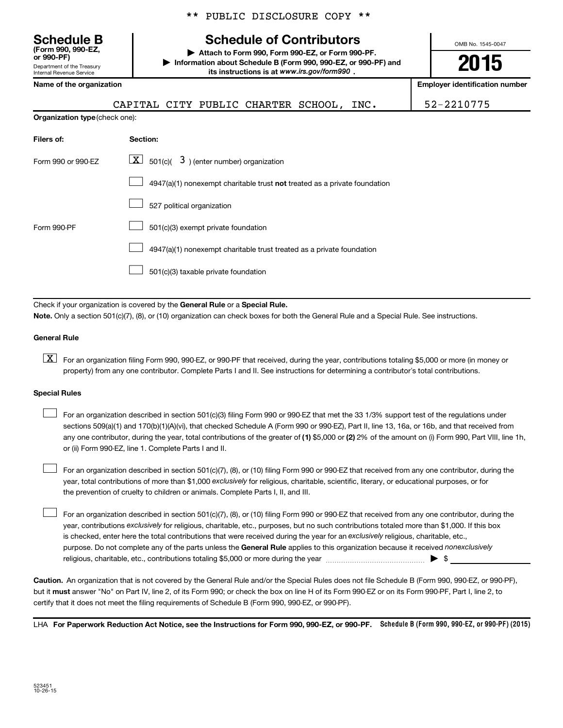\*\* PUBLIC DISCLOSURE COPY \*\*

## **Schedule B Schedule of Contributors**

**or 990-PF) | Attach to Form 990, Form 990-EZ, or Form 990-PF. | Information about Schedule B (Form 990, 990-EZ, or 990-PF) and** its instructions is at www.irs.gov/form990.

OMB No. 1545-0047

**2015**

| Internal Revenue Service                                                     |          |                                      | its instructions is at www.irs.gov/form990.           |                                                                           |  |                                       |
|------------------------------------------------------------------------------|----------|--------------------------------------|-------------------------------------------------------|---------------------------------------------------------------------------|--|---------------------------------------|
| Name of the organization                                                     |          |                                      |                                                       |                                                                           |  | <b>Employer identification number</b> |
|                                                                              |          |                                      |                                                       | CAPITAL CITY PUBLIC CHARTER SCHOOL, INC.                                  |  | 52-2210775                            |
| <b>Organization type (check one):</b>                                        |          |                                      |                                                       |                                                                           |  |                                       |
| Filers of:                                                                   | Section: |                                      |                                                       |                                                                           |  |                                       |
| Form 990 or 990-EZ                                                           |          |                                      | $ \mathbf{X} $ 501(c)( 3) (enter number) organization |                                                                           |  |                                       |
|                                                                              |          |                                      |                                                       | 4947(a)(1) nonexempt charitable trust not treated as a private foundation |  |                                       |
|                                                                              |          | 527 political organization           |                                                       |                                                                           |  |                                       |
| Form 990-PF                                                                  |          | 501(c)(3) exempt private foundation  |                                                       |                                                                           |  |                                       |
|                                                                              |          |                                      |                                                       | 4947(a)(1) nonexempt charitable trust treated as a private foundation     |  |                                       |
|                                                                              |          | 501(c)(3) taxable private foundation |                                                       |                                                                           |  |                                       |
|                                                                              |          |                                      |                                                       |                                                                           |  |                                       |
| Check if your organization is covered by the General Rule or a Special Rule. |          |                                      |                                                       |                                                                           |  |                                       |

**Note.**  Only a section 501(c)(7), (8), or (10) organization can check boxes for both the General Rule and a Special Rule. See instructions.

#### **General Rule**

Department of the Treasury

**(Form 990, 990-EZ,**

**K** For an organization filing Form 990, 990-EZ, or 990-PF that received, during the year, contributions totaling \$5,000 or more (in money or property) from any one contributor. Complete Parts I and II. See instructions for determining a contributor's total contributions.

#### **Special Rules**

 $\Box$ 

any one contributor, during the year, total contributions of the greater of **(1)** \$5,000 or **(2)** 2% of the amount on (i) Form 990, Part VIII, line 1h, For an organization described in section 501(c)(3) filing Form 990 or 990-EZ that met the 33 1/3% support test of the regulations under sections 509(a)(1) and 170(b)(1)(A)(vi), that checked Schedule A (Form 990 or 990-EZ), Part II, line 13, 16a, or 16b, and that received from or (ii) Form 990-EZ, line 1. Complete Parts I and II.  $\Box$ 

year, total contributions of more than \$1,000 *exclusively* for religious, charitable, scientific, literary, or educational purposes, or for For an organization described in section 501(c)(7), (8), or (10) filing Form 990 or 990-EZ that received from any one contributor, during the the prevention of cruelty to children or animals. Complete Parts I, II, and III.  $\Box$ 

purpose. Do not complete any of the parts unless the General Rule applies to this organization because it received nonexclusively year, contributions exclusively for religious, charitable, etc., purposes, but no such contributions totaled more than \$1,000. If this box is checked, enter here the total contributions that were received during the year for an exclusively religious, charitable, etc., For an organization described in section 501(c)(7), (8), or (10) filing Form 990 or 990-EZ that received from any one contributor, during the religious, charitable, etc., contributions totaling \$5,000 or more during the year  $\ldots$  $\ldots$  $\ldots$  $\ldots$  $\ldots$  $\ldots$ 

**Caution.** An organization that is not covered by the General Rule and/or the Special Rules does not file Schedule B (Form 990, 990-EZ, or 990-PF),  **must** but it answer "No" on Part IV, line 2, of its Form 990; or check the box on line H of its Form 990-EZ or on its Form 990-PF, Part I, line 2, to certify that it does not meet the filing requirements of Schedule B (Form 990, 990-EZ, or 990-PF).

LHA For Paperwork Reduction Act Notice, see the Instructions for Form 990, 990-EZ, or 990-PF. Schedule B (Form 990, 990-EZ, or 990-PF) (2015)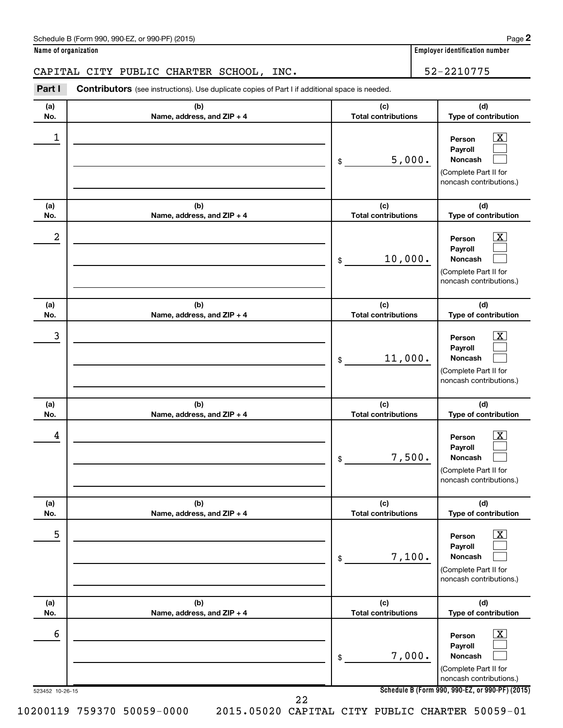| Schedule B (Form 990, 990-EZ, or 990-PF) (2015)<br>$\sqrt{2}$ , $\sqrt{2}$ , $\sqrt{2}$ , $\sqrt{2}$ , $\sqrt{2}$ , $\sqrt{2}$ | Page |
|--------------------------------------------------------------------------------------------------------------------------------|------|
|--------------------------------------------------------------------------------------------------------------------------------|------|

**Name of organization Employer identification number**

## CAPITAL CITY PUBLIC CHARTER SCHOOL, INC. 52-2210775

**Part I** Contributors (see instructions). Use duplicate copies of Part I if additional space is needed.

| (a)<br>No. | (b)<br>Name, address, and ZIP + 4 | (c)<br><b>Total contributions</b> | (d)<br>Type of contribution                                                                                      |
|------------|-----------------------------------|-----------------------------------|------------------------------------------------------------------------------------------------------------------|
| 1          |                                   | 5,000.<br>\$                      | x<br>Person<br>Payroll<br><b>Noncash</b><br>(Complete Part II for<br>noncash contributions.)                     |
| (a)<br>No. | (b)<br>Name, address, and ZIP + 4 | (c)<br><b>Total contributions</b> | (d)<br>Type of contribution                                                                                      |
| 2          |                                   | 10,000.<br>\$                     | x<br>Person<br>Payroll<br><b>Noncash</b><br>(Complete Part II for<br>noncash contributions.)                     |
| (a)<br>No. | (b)<br>Name, address, and ZIP + 4 | (c)<br><b>Total contributions</b> | (d)<br>Type of contribution                                                                                      |
| 3          |                                   | 11,000.<br>\$                     | $\overline{\text{X}}$<br>Person<br>Payroll<br><b>Noncash</b><br>(Complete Part II for<br>noncash contributions.) |
| (a)<br>No. | (b)<br>Name, address, and ZIP + 4 | (c)<br><b>Total contributions</b> | (d)<br>Type of contribution                                                                                      |
| 4          |                                   | 7,500.<br>\$                      | x<br>Person<br>Payroll<br><b>Noncash</b><br>(Complete Part II for<br>noncash contributions.)                     |
| (a)<br>No. | (b)<br>Name, address, and ZIP + 4 | (c)<br><b>Total contributions</b> | (d)<br>Type of contribution                                                                                      |
| 5          |                                   | 7,100.<br>\$                      | $\overline{\text{X}}$<br>Person<br>Payroll<br>Noncash<br>(Complete Part II for<br>noncash contributions.)        |
| (a)<br>No. | (b)<br>Name, address, and ZIP + 4 | (c)<br><b>Total contributions</b> | (d)<br>Type of contribution                                                                                      |
| 6          |                                   | 7,000.<br>\$                      | $\mathbf{X}$<br>Person<br>Payroll<br><b>Noncash</b><br>(Complete Part II for<br>noncash contributions.)          |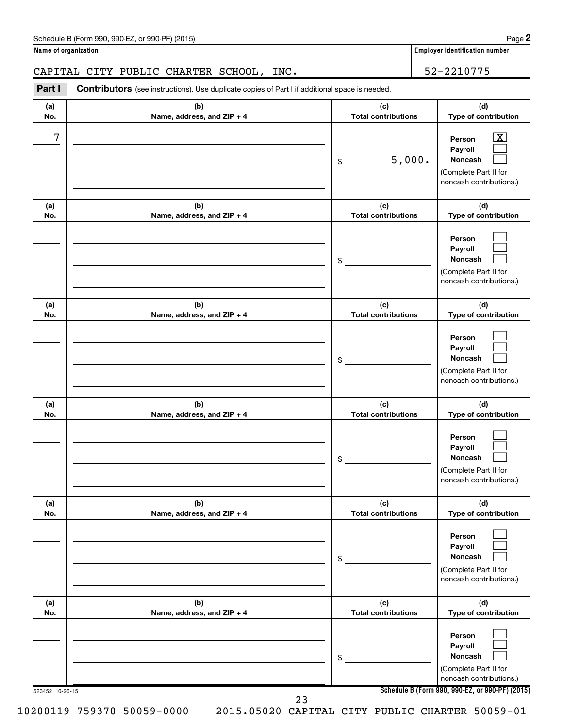| Schedule B (Form 990, 990-EZ, or 990-PF) (2015)<br>$\sqrt{2}$ and $\sqrt{2}$ and $\sqrt{2}$ and $\sqrt{2}$ and $\sqrt{2}$ and $\sqrt{2}$ and $\sqrt{2}$ and $\sqrt{2}$ and $\sqrt{2}$ and $\sqrt{2}$ and $\sqrt{2}$ and $\sqrt{2}$ and $\sqrt{2}$ and $\sqrt{2}$ and $\sqrt{2}$ and $\sqrt{2}$ and $\sqrt{2}$ and $\sqrt{2}$ and $\sqrt{2$ | Page |  |
|--------------------------------------------------------------------------------------------------------------------------------------------------------------------------------------------------------------------------------------------------------------------------------------------------------------------------------------------|------|--|
|--------------------------------------------------------------------------------------------------------------------------------------------------------------------------------------------------------------------------------------------------------------------------------------------------------------------------------------------|------|--|

**Name of organization Employer identification number**

## CAPITAL CITY PUBLIC CHARTER SCHOOL, INC. 52-2210775

**Part I** Contributors (see instructions). Use duplicate copies of Part I if additional space is needed.

| (a)<br>No. | (b)<br>Name, address, and ZIP + 4 | (c)<br><b>Total contributions</b> | (d)<br>Type of contribution                                                                                 |
|------------|-----------------------------------|-----------------------------------|-------------------------------------------------------------------------------------------------------------|
| 7          |                                   | 5,000.<br>\$                      | $\overline{\textbf{X}}$<br>Person<br>Payroll<br>Noncash<br>(Complete Part II for<br>noncash contributions.) |
| (a)<br>No. | (b)<br>Name, address, and ZIP + 4 | (c)<br><b>Total contributions</b> | (d)<br>Type of contribution                                                                                 |
|            |                                   | \$                                | Person<br>Payroll<br>Noncash<br>(Complete Part II for<br>noncash contributions.)                            |
| (a)<br>No. | (b)<br>Name, address, and ZIP + 4 | (c)<br><b>Total contributions</b> | (d)<br>Type of contribution                                                                                 |
|            |                                   | \$                                | Person<br>Payroll<br><b>Noncash</b><br>(Complete Part II for<br>noncash contributions.)                     |
| (a)<br>No. | (b)<br>Name, address, and ZIP + 4 | (c)<br><b>Total contributions</b> | (d)<br>Type of contribution                                                                                 |
|            |                                   | \$                                | Person<br>Payroll<br><b>Noncash</b><br>(Complete Part II for<br>noncash contributions.)                     |
| (a)<br>No. | (b)<br>Name, address, and ZIP + 4 | (c)<br><b>Total contributions</b> | (d)<br>Type of contribution                                                                                 |
|            |                                   | \$                                | Person<br>Payroll<br><b>Noncash</b><br>(Complete Part II for<br>noncash contributions.)                     |
| (a)<br>No. | (b)<br>Name, address, and ZIP + 4 | (c)<br><b>Total contributions</b> | (d)<br>Type of contribution                                                                                 |
|            |                                   | \$                                | Person<br>Payroll<br>Noncash<br>(Complete Part II for<br>noncash contributions.)                            |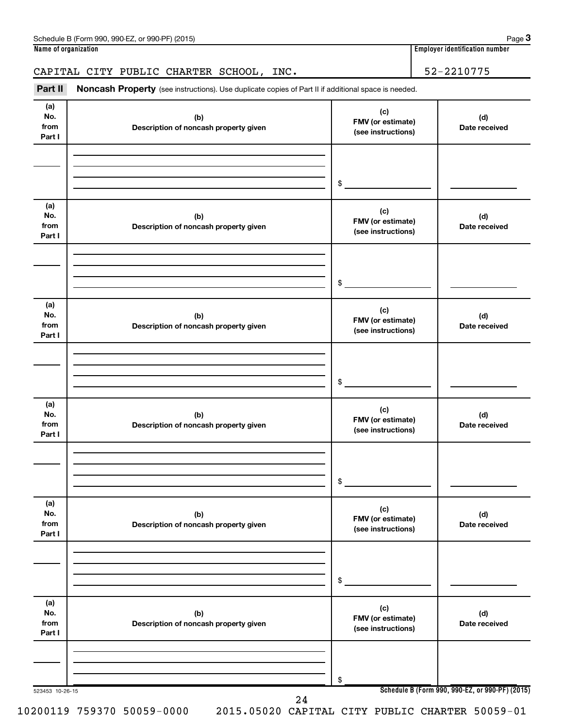## CAPITAL CITY PUBLIC CHARTER SCHOOL, INC. 52-2210775

Part II Noncash Property (see instructions). Use duplicate copies of Part II if additional space is needed.

| (a)             |                                       | (c)                |                                                 |
|-----------------|---------------------------------------|--------------------|-------------------------------------------------|
| No.             | (b)                                   |                    | (d)                                             |
| from            | Description of noncash property given | FMV (or estimate)  | Date received                                   |
| Part I          |                                       | (see instructions) |                                                 |
|                 |                                       |                    |                                                 |
|                 |                                       |                    |                                                 |
|                 |                                       | \$                 |                                                 |
|                 |                                       |                    |                                                 |
| (a)             |                                       | (c)                |                                                 |
| No.             | (b)                                   | FMV (or estimate)  | (d)                                             |
| from            | Description of noncash property given | (see instructions) | Date received                                   |
| Part I          |                                       |                    |                                                 |
|                 |                                       |                    |                                                 |
|                 |                                       |                    |                                                 |
|                 |                                       | \$                 |                                                 |
|                 |                                       |                    |                                                 |
| (a)<br>No.      | (b)                                   | (c)                | (d)                                             |
| from            | Description of noncash property given | FMV (or estimate)  | Date received                                   |
| Part I          |                                       | (see instructions) |                                                 |
|                 |                                       |                    |                                                 |
|                 |                                       |                    |                                                 |
|                 |                                       | \$                 |                                                 |
|                 |                                       |                    |                                                 |
| (a)             |                                       | (c)                |                                                 |
| No.             | (b)                                   | FMV (or estimate)  | (d)                                             |
| from            | Description of noncash property given | (see instructions) | Date received                                   |
| Part I          |                                       |                    |                                                 |
|                 |                                       |                    |                                                 |
|                 |                                       |                    |                                                 |
|                 |                                       | \$                 |                                                 |
|                 |                                       |                    |                                                 |
| (a)<br>No.      | (b)                                   | (c)                | (d)                                             |
| from            | Description of noncash property given | FMV (or estimate)  | Date received                                   |
| Part I          |                                       | (see instructions) |                                                 |
|                 |                                       |                    |                                                 |
|                 |                                       |                    |                                                 |
|                 |                                       | \$                 |                                                 |
|                 |                                       |                    |                                                 |
| (a)             |                                       | (c)                |                                                 |
| No.             | (b)                                   | FMV (or estimate)  | (d)                                             |
| from            | Description of noncash property given | (see instructions) | Date received                                   |
| Part I          |                                       |                    |                                                 |
|                 |                                       |                    |                                                 |
|                 |                                       |                    |                                                 |
|                 |                                       | \$                 |                                                 |
| 523453 10-26-15 |                                       |                    | Schedule B (Form 990, 990-EZ, or 990-PF) (2015) |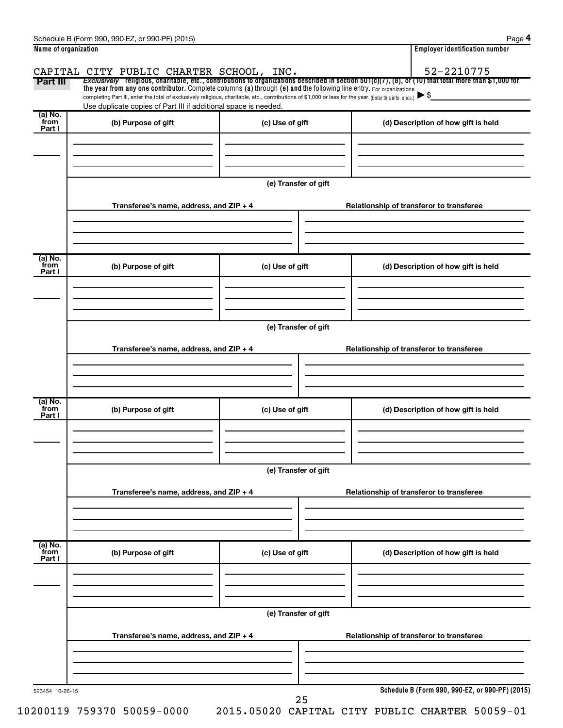| Name of organization |                                                                                                                                                                                                                             |                      |                                          | <b>Employer identification number</b>                                                                                                                 |  |  |  |
|----------------------|-----------------------------------------------------------------------------------------------------------------------------------------------------------------------------------------------------------------------------|----------------------|------------------------------------------|-------------------------------------------------------------------------------------------------------------------------------------------------------|--|--|--|
|                      | CAPITAL CITY PUBLIC CHARTER SCHOOL, INC.                                                                                                                                                                                    |                      |                                          | 52-2210775                                                                                                                                            |  |  |  |
| Part III             | the year from any one contributor. Complete columns (a) through (e) and the following line entry. For organizations                                                                                                         |                      |                                          | Exclusively religious, charitable, etc., contributions to organizations described in section 501(c)(7), (8), or (10) that total more than \$1,000 for |  |  |  |
|                      | completing Part III, enter the total of exclusively religious, charitable, etc., contributions of \$1,000 or less for the year. (Enter this info. once.)<br>Use duplicate copies of Part III if additional space is needed. |                      |                                          | $\blacktriangleright$ \$                                                                                                                              |  |  |  |
| (a) No.<br>from      | (b) Purpose of gift                                                                                                                                                                                                         | (c) Use of gift      |                                          | (d) Description of how gift is held                                                                                                                   |  |  |  |
| Part I               |                                                                                                                                                                                                                             |                      |                                          |                                                                                                                                                       |  |  |  |
|                      |                                                                                                                                                                                                                             |                      |                                          |                                                                                                                                                       |  |  |  |
|                      |                                                                                                                                                                                                                             |                      |                                          |                                                                                                                                                       |  |  |  |
|                      |                                                                                                                                                                                                                             | (e) Transfer of gift |                                          |                                                                                                                                                       |  |  |  |
|                      | Transferee's name, address, and ZIP + 4                                                                                                                                                                                     |                      |                                          | Relationship of transferor to transferee                                                                                                              |  |  |  |
|                      |                                                                                                                                                                                                                             |                      |                                          |                                                                                                                                                       |  |  |  |
|                      |                                                                                                                                                                                                                             |                      |                                          |                                                                                                                                                       |  |  |  |
| (a) No.              |                                                                                                                                                                                                                             |                      |                                          |                                                                                                                                                       |  |  |  |
| from<br>Part I       | (b) Purpose of gift                                                                                                                                                                                                         | (c) Use of gift      |                                          | (d) Description of how gift is held                                                                                                                   |  |  |  |
|                      |                                                                                                                                                                                                                             |                      |                                          |                                                                                                                                                       |  |  |  |
|                      |                                                                                                                                                                                                                             |                      |                                          |                                                                                                                                                       |  |  |  |
|                      |                                                                                                                                                                                                                             | (e) Transfer of gift |                                          |                                                                                                                                                       |  |  |  |
|                      |                                                                                                                                                                                                                             |                      |                                          |                                                                                                                                                       |  |  |  |
|                      | Transferee's name, address, and ZIP + 4                                                                                                                                                                                     |                      | Relationship of transferor to transferee |                                                                                                                                                       |  |  |  |
|                      |                                                                                                                                                                                                                             |                      |                                          |                                                                                                                                                       |  |  |  |
|                      |                                                                                                                                                                                                                             |                      |                                          |                                                                                                                                                       |  |  |  |
| (a) No.<br>from      | (b) Purpose of gift                                                                                                                                                                                                         | (c) Use of gift      |                                          | (d) Description of how gift is held                                                                                                                   |  |  |  |
| Part I               |                                                                                                                                                                                                                             |                      |                                          |                                                                                                                                                       |  |  |  |
|                      |                                                                                                                                                                                                                             |                      |                                          |                                                                                                                                                       |  |  |  |
|                      |                                                                                                                                                                                                                             |                      |                                          |                                                                                                                                                       |  |  |  |
|                      |                                                                                                                                                                                                                             | (e) Transfer of gift |                                          |                                                                                                                                                       |  |  |  |
|                      | Transferee's name, address, and ZIP + 4                                                                                                                                                                                     |                      |                                          | Relationship of transferor to transferee                                                                                                              |  |  |  |
|                      |                                                                                                                                                                                                                             |                      |                                          |                                                                                                                                                       |  |  |  |
|                      |                                                                                                                                                                                                                             |                      |                                          |                                                                                                                                                       |  |  |  |
| (a) No.<br>from      | (b) Purpose of gift                                                                                                                                                                                                         | (c) Use of gift      |                                          | (d) Description of how gift is held                                                                                                                   |  |  |  |
| Part I               |                                                                                                                                                                                                                             |                      |                                          |                                                                                                                                                       |  |  |  |
|                      |                                                                                                                                                                                                                             |                      |                                          |                                                                                                                                                       |  |  |  |
|                      |                                                                                                                                                                                                                             |                      |                                          |                                                                                                                                                       |  |  |  |
|                      |                                                                                                                                                                                                                             | (e) Transfer of gift |                                          |                                                                                                                                                       |  |  |  |
|                      | Transferee's name, address, and ZIP + 4                                                                                                                                                                                     |                      | Relationship of transferor to transferee |                                                                                                                                                       |  |  |  |
|                      |                                                                                                                                                                                                                             |                      |                                          |                                                                                                                                                       |  |  |  |
|                      |                                                                                                                                                                                                                             |                      |                                          |                                                                                                                                                       |  |  |  |
|                      |                                                                                                                                                                                                                             |                      |                                          |                                                                                                                                                       |  |  |  |
| 523454 10-26-15      |                                                                                                                                                                                                                             | 25                   |                                          | Schedule B (Form 990, 990-EZ, or 990-PF) (2015)                                                                                                       |  |  |  |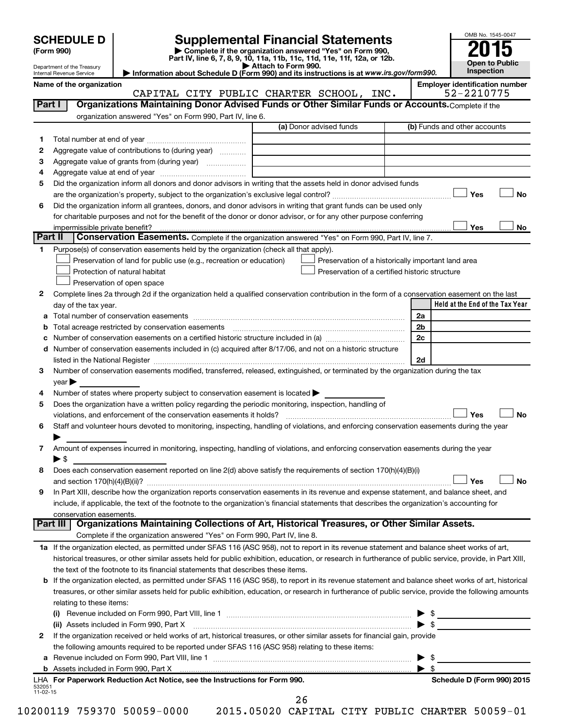| <b>SCHEDULE D</b> |  |
|-------------------|--|
|-------------------|--|

| (Form 990) |  |
|------------|--|
|------------|--|

# **SCHEDULE D Supplemental Financial Statements**<br> **Form 990 2015**<br> **Part IV** line 6.7.8.9.10, 11a, 11b, 11d, 11d, 11d, 11d, 11d, 12a, 0r, 12b

**(Form 990) | Complete if the organization answered "Yes" on Form 990, Part IV, line 6, 7, 8, 9, 10, 11a, 11b, 11c, 11d, 11e, 11f, 12a, or 12b.**

**| Attach to Form 990. | Information about Schedule D (Form 990) and its instructions is at**  *www.irs.gov/form990.*



Department of the Treasury Internal Revenue Service

**Name of the organization**<br>
CAPTTAI, CITY PIIRITC CHARTER SCHOOI, INC. 52-2210775

|                      | CAPITAL CITY PUBLIC CHARTER SCHOOL, INC.                                                                                                                                                                                                |                                                | 52-2210775                                         |
|----------------------|-----------------------------------------------------------------------------------------------------------------------------------------------------------------------------------------------------------------------------------------|------------------------------------------------|----------------------------------------------------|
| Part I               | Organizations Maintaining Donor Advised Funds or Other Similar Funds or Accounts. Complete if the                                                                                                                                       |                                                |                                                    |
|                      | organization answered "Yes" on Form 990, Part IV, line 6.                                                                                                                                                                               |                                                |                                                    |
|                      | (a) Donor advised funds                                                                                                                                                                                                                 |                                                | (b) Funds and other accounts                       |
| 1.                   |                                                                                                                                                                                                                                         |                                                |                                                    |
| 2                    | Aggregate value of contributions to (during year)                                                                                                                                                                                       |                                                |                                                    |
|                      |                                                                                                                                                                                                                                         |                                                |                                                    |
| З                    | Aggregate value of grants from (during year)                                                                                                                                                                                            |                                                |                                                    |
| 4                    |                                                                                                                                                                                                                                         |                                                |                                                    |
| 5                    | Did the organization inform all donors and donor advisors in writing that the assets held in donor advised funds                                                                                                                        |                                                | Yes<br>No                                          |
|                      |                                                                                                                                                                                                                                         |                                                |                                                    |
| 6                    | Did the organization inform all grantees, donors, and donor advisors in writing that grant funds can be used only<br>for charitable purposes and not for the benefit of the donor or donor advisor, or for any other purpose conferring |                                                |                                                    |
|                      |                                                                                                                                                                                                                                         |                                                | Yes                                                |
|                      | impermissible private benefit?<br>Part II<br>Conservation Easements. Complete if the organization answered "Yes" on Form 990, Part IV, line 7.                                                                                          |                                                | No                                                 |
|                      |                                                                                                                                                                                                                                         |                                                |                                                    |
| 1.                   | Purpose(s) of conservation easements held by the organization (check all that apply).                                                                                                                                                   |                                                |                                                    |
|                      | Preservation of land for public use (e.g., recreation or education)                                                                                                                                                                     |                                                | Preservation of a historically important land area |
|                      | Protection of natural habitat                                                                                                                                                                                                           | Preservation of a certified historic structure |                                                    |
|                      | Preservation of open space                                                                                                                                                                                                              |                                                |                                                    |
| 2                    | Complete lines 2a through 2d if the organization held a qualified conservation contribution in the form of a conservation easement on the last                                                                                          |                                                |                                                    |
|                      | day of the tax year.                                                                                                                                                                                                                    |                                                | Held at the End of the Tax Year                    |
|                      |                                                                                                                                                                                                                                         |                                                | 2a                                                 |
|                      | <b>b</b> Total acreage restricted by conservation easements                                                                                                                                                                             |                                                | 2b                                                 |
| с                    | Number of conservation easements on a certified historic structure included in (a) manufacture included in (a)                                                                                                                          |                                                | 2c                                                 |
|                      | d Number of conservation easements included in (c) acquired after 8/17/06, and not on a historic structure                                                                                                                              |                                                |                                                    |
|                      |                                                                                                                                                                                                                                         |                                                | 2d                                                 |
| З                    | Number of conservation easements modified, transferred, released, extinguished, or terminated by the organization during the tax                                                                                                        |                                                |                                                    |
|                      | $\vee$ ear $\blacktriangleright$                                                                                                                                                                                                        |                                                |                                                    |
| 4                    | Number of states where property subject to conservation easement is located >                                                                                                                                                           |                                                |                                                    |
| 5                    | Does the organization have a written policy regarding the periodic monitoring, inspection, handling of                                                                                                                                  |                                                |                                                    |
|                      | violations, and enforcement of the conservation easements it holds?                                                                                                                                                                     |                                                | <b>No</b><br>Yes                                   |
| 6                    | Staff and volunteer hours devoted to monitoring, inspecting, handling of violations, and enforcing conservation easements during the year                                                                                               |                                                |                                                    |
|                      |                                                                                                                                                                                                                                         |                                                |                                                    |
| 7                    | Amount of expenses incurred in monitoring, inspecting, handling of violations, and enforcing conservation easements during the year                                                                                                     |                                                |                                                    |
|                      | $\blacktriangleright$ s                                                                                                                                                                                                                 |                                                |                                                    |
| 8                    | Does each conservation easement reported on line 2(d) above satisfy the requirements of section 170(h)(4)(B)(i)                                                                                                                         |                                                |                                                    |
|                      |                                                                                                                                                                                                                                         |                                                | No<br>Yes                                          |
| 9                    | In Part XIII, describe how the organization reports conservation easements in its revenue and expense statement, and balance sheet, and                                                                                                 |                                                |                                                    |
|                      | include, if applicable, the text of the footnote to the organization's financial statements that describes the organization's accounting for                                                                                            |                                                |                                                    |
|                      | conservation easements.<br>Organizations Maintaining Collections of Art, Historical Treasures, or Other Similar Assets.<br>Part III                                                                                                     |                                                |                                                    |
|                      | Complete if the organization answered "Yes" on Form 990, Part IV, line 8.                                                                                                                                                               |                                                |                                                    |
|                      | 1a If the organization elected, as permitted under SFAS 116 (ASC 958), not to report in its revenue statement and balance sheet works of art,                                                                                           |                                                |                                                    |
|                      | historical treasures, or other similar assets held for public exhibition, education, or research in furtherance of public service, provide, in Part XIII,                                                                               |                                                |                                                    |
|                      | the text of the footnote to its financial statements that describes these items.                                                                                                                                                        |                                                |                                                    |
|                      | b If the organization elected, as permitted under SFAS 116 (ASC 958), to report in its revenue statement and balance sheet works of art, historical                                                                                     |                                                |                                                    |
|                      | treasures, or other similar assets held for public exhibition, education, or research in furtherance of public service, provide the following amounts                                                                                   |                                                |                                                    |
|                      | relating to these items:                                                                                                                                                                                                                |                                                |                                                    |
|                      |                                                                                                                                                                                                                                         |                                                |                                                    |
|                      |                                                                                                                                                                                                                                         |                                                | $\blacktriangleright$ s                            |
| 2                    | If the organization received or held works of art, historical treasures, or other similar assets for financial gain, provide                                                                                                            |                                                |                                                    |
|                      | the following amounts required to be reported under SFAS 116 (ASC 958) relating to these items:                                                                                                                                         |                                                |                                                    |
|                      |                                                                                                                                                                                                                                         |                                                | \$                                                 |
|                      |                                                                                                                                                                                                                                         |                                                | \$<br>▶                                            |
|                      | LHA For Paperwork Reduction Act Notice, see the Instructions for Form 990.                                                                                                                                                              |                                                | Schedule D (Form 990) 2015                         |
| 532051<br>$11-02-15$ |                                                                                                                                                                                                                                         |                                                |                                                    |

26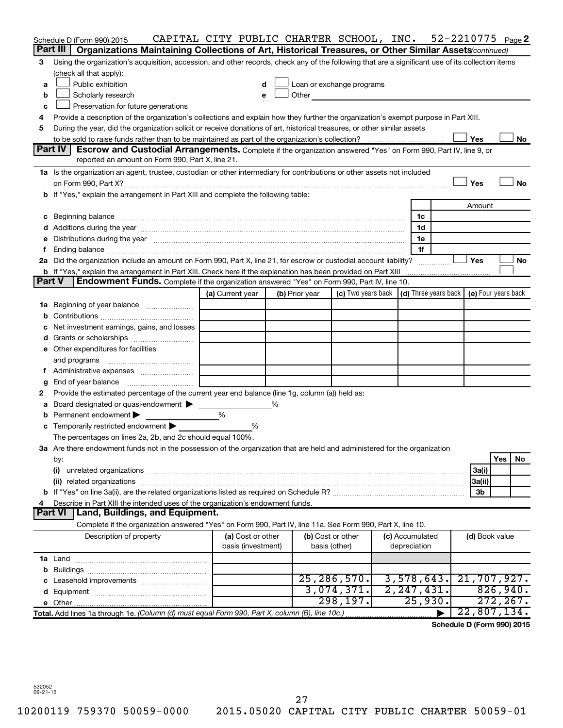| Part III<br>Organizations Maintaining Collections of Art, Historical Treasures, or Other Similar Assets (continued)<br>Using the organization's acquisition, accession, and other records, check any of the following that are a significant use of its collection items<br>3<br>(check all that apply):<br>Public exhibition<br>Loan or exchange programs<br>a<br>d<br>Scholarly research<br>Other and the control of the control of the control of the control of the control of the control of the control of the control of the control of the control of the control of the control of the control of the control of th<br>b<br>е<br>Preservation for future generations<br>c<br>Provide a description of the organization's collections and explain how they further the organization's exempt purpose in Part XIII.<br>4<br>During the year, did the organization solicit or receive donations of art, historical treasures, or other similar assets<br>5<br>Yes<br>No<br>Part IV<br>Escrow and Custodial Arrangements. Complete if the organization answered "Yes" on Form 990, Part IV, line 9, or<br>reported an amount on Form 990, Part X, line 21.<br>1a Is the organization an agent, trustee, custodian or other intermediary for contributions or other assets not included<br>Yes<br><b>No</b><br>on Form 990, Part X? [11] matter and the contract of the contract of the contract of the contract of the contract of the contract of the contract of the contract of the contract of the contract of the contract of the contr<br>b If "Yes," explain the arrangement in Part XIII and complete the following table:<br>Amount<br>1c<br>1d<br>1e<br>e Distributions during the year manufactured and an account of the year manufactured and account of the year manufactured and account of the USA of the Distributions during the year<br>1f<br>Yes<br>2a Did the organization include an amount on Form 990, Part X, line 21, for escrow or custodial account liability?<br>No<br><b>b</b> If "Yes," explain the arrangement in Part XIII. Check here if the explanation has been provided on Part XIII<br>Part V<br><b>Endowment Funds.</b> Complete if the organization answered "Yes" on Form 990, Part IV, line 10.<br>(c) Two years back $ (d)$ Three years back $ e $ Four years back<br>(a) Current year<br>(b) Prior year<br>1a Beginning of year balance<br>Net investment earnings, gains, and losses<br>e Other expenditures for facilities<br>and programs<br>End of year balance<br>g<br>Provide the estimated percentage of the current year end balance (line 1g, column (a)) held as:<br>2<br>Board designated or quasi-endowment<br>%<br>а<br><b>b</b> Permanent endowment $\blacktriangleright$<br>%<br>c Temporarily restricted endowment $\blacktriangleright$<br>%<br>The percentages on lines 2a, 2b, and 2c should equal 100%.<br>3a Are there endowment funds not in the possession of the organization that are held and administered for the organization<br>Yes<br>No<br>by:<br>3a(i)<br>(i)<br>3a(ii)<br>3 <sub>b</sub><br>Describe in Part XIII the intended uses of the organization's endowment funds.<br>4<br><b>Part VI</b><br>Land, Buildings, and Equipment.<br>Complete if the organization answered "Yes" on Form 990, Part IV, line 11a. See Form 990, Part X, line 10.<br>Description of property<br>(a) Cost or other<br>(b) Cost or other<br>(c) Accumulated<br>(d) Book value<br>basis (investment)<br>basis (other)<br>depreciation<br>25, 286, 570.<br>3,578,643.<br>21,707,927.<br>2, 247, 431.<br>826,940.<br>3,074,371.<br>25,930.<br>272, 267.<br>298, 197.<br>22,807,134.<br>Total. Add lines 1a through 1e. (Column (d) must equal Form 990, Part X, column (B), line 10c.).<br>▶ | Schedule D (Form 990) 2015 | CAPITAL CITY PUBLIC CHARTER SCHOOL, INC. |  |  |  |  |  |  | 52-2210775 $_{Page}$ 2 |  |  |
|------------------------------------------------------------------------------------------------------------------------------------------------------------------------------------------------------------------------------------------------------------------------------------------------------------------------------------------------------------------------------------------------------------------------------------------------------------------------------------------------------------------------------------------------------------------------------------------------------------------------------------------------------------------------------------------------------------------------------------------------------------------------------------------------------------------------------------------------------------------------------------------------------------------------------------------------------------------------------------------------------------------------------------------------------------------------------------------------------------------------------------------------------------------------------------------------------------------------------------------------------------------------------------------------------------------------------------------------------------------------------------------------------------------------------------------------------------------------------------------------------------------------------------------------------------------------------------------------------------------------------------------------------------------------------------------------------------------------------------------------------------------------------------------------------------------------------------------------------------------------------------------------------------------------------------------------------------------------------------------------------------------------------------------------------------------------------------------------------------------------------------------------------------------------------------------------------------------------------------------------------------------------------------------------------------------------------------------------------------------------------------------------------------------------------------------------------------------------------------------------------------------------------------------------------------------------------------------------------------------------------------------------------------------------------------------------------------------------------------------------------------------------------------------------------------------------------------------------------------------------------------------------------------------------------------------------------------------------------------------------------------------------------------------------------------------------------------------------------------------------------------------------------------------------------------------------------------------------------------------------------------------------------------------------------------------------------------------------------------------------------------------------------------------------------------------------------------------------------------------------------------------------------------------------------------------------------------------------------------------------------------------------------------------------------------------------------------------------------------------------------------|----------------------------|------------------------------------------|--|--|--|--|--|--|------------------------|--|--|
|                                                                                                                                                                                                                                                                                                                                                                                                                                                                                                                                                                                                                                                                                                                                                                                                                                                                                                                                                                                                                                                                                                                                                                                                                                                                                                                                                                                                                                                                                                                                                                                                                                                                                                                                                                                                                                                                                                                                                                                                                                                                                                                                                                                                                                                                                                                                                                                                                                                                                                                                                                                                                                                                                                                                                                                                                                                                                                                                                                                                                                                                                                                                                                                                                                                                                                                                                                                                                                                                                                                                                                                                                                                                                                                                                            |                            |                                          |  |  |  |  |  |  |                        |  |  |
|                                                                                                                                                                                                                                                                                                                                                                                                                                                                                                                                                                                                                                                                                                                                                                                                                                                                                                                                                                                                                                                                                                                                                                                                                                                                                                                                                                                                                                                                                                                                                                                                                                                                                                                                                                                                                                                                                                                                                                                                                                                                                                                                                                                                                                                                                                                                                                                                                                                                                                                                                                                                                                                                                                                                                                                                                                                                                                                                                                                                                                                                                                                                                                                                                                                                                                                                                                                                                                                                                                                                                                                                                                                                                                                                                            |                            |                                          |  |  |  |  |  |  |                        |  |  |
|                                                                                                                                                                                                                                                                                                                                                                                                                                                                                                                                                                                                                                                                                                                                                                                                                                                                                                                                                                                                                                                                                                                                                                                                                                                                                                                                                                                                                                                                                                                                                                                                                                                                                                                                                                                                                                                                                                                                                                                                                                                                                                                                                                                                                                                                                                                                                                                                                                                                                                                                                                                                                                                                                                                                                                                                                                                                                                                                                                                                                                                                                                                                                                                                                                                                                                                                                                                                                                                                                                                                                                                                                                                                                                                                                            |                            |                                          |  |  |  |  |  |  |                        |  |  |
|                                                                                                                                                                                                                                                                                                                                                                                                                                                                                                                                                                                                                                                                                                                                                                                                                                                                                                                                                                                                                                                                                                                                                                                                                                                                                                                                                                                                                                                                                                                                                                                                                                                                                                                                                                                                                                                                                                                                                                                                                                                                                                                                                                                                                                                                                                                                                                                                                                                                                                                                                                                                                                                                                                                                                                                                                                                                                                                                                                                                                                                                                                                                                                                                                                                                                                                                                                                                                                                                                                                                                                                                                                                                                                                                                            |                            |                                          |  |  |  |  |  |  |                        |  |  |
|                                                                                                                                                                                                                                                                                                                                                                                                                                                                                                                                                                                                                                                                                                                                                                                                                                                                                                                                                                                                                                                                                                                                                                                                                                                                                                                                                                                                                                                                                                                                                                                                                                                                                                                                                                                                                                                                                                                                                                                                                                                                                                                                                                                                                                                                                                                                                                                                                                                                                                                                                                                                                                                                                                                                                                                                                                                                                                                                                                                                                                                                                                                                                                                                                                                                                                                                                                                                                                                                                                                                                                                                                                                                                                                                                            |                            |                                          |  |  |  |  |  |  |                        |  |  |
|                                                                                                                                                                                                                                                                                                                                                                                                                                                                                                                                                                                                                                                                                                                                                                                                                                                                                                                                                                                                                                                                                                                                                                                                                                                                                                                                                                                                                                                                                                                                                                                                                                                                                                                                                                                                                                                                                                                                                                                                                                                                                                                                                                                                                                                                                                                                                                                                                                                                                                                                                                                                                                                                                                                                                                                                                                                                                                                                                                                                                                                                                                                                                                                                                                                                                                                                                                                                                                                                                                                                                                                                                                                                                                                                                            |                            |                                          |  |  |  |  |  |  |                        |  |  |
|                                                                                                                                                                                                                                                                                                                                                                                                                                                                                                                                                                                                                                                                                                                                                                                                                                                                                                                                                                                                                                                                                                                                                                                                                                                                                                                                                                                                                                                                                                                                                                                                                                                                                                                                                                                                                                                                                                                                                                                                                                                                                                                                                                                                                                                                                                                                                                                                                                                                                                                                                                                                                                                                                                                                                                                                                                                                                                                                                                                                                                                                                                                                                                                                                                                                                                                                                                                                                                                                                                                                                                                                                                                                                                                                                            |                            |                                          |  |  |  |  |  |  |                        |  |  |
|                                                                                                                                                                                                                                                                                                                                                                                                                                                                                                                                                                                                                                                                                                                                                                                                                                                                                                                                                                                                                                                                                                                                                                                                                                                                                                                                                                                                                                                                                                                                                                                                                                                                                                                                                                                                                                                                                                                                                                                                                                                                                                                                                                                                                                                                                                                                                                                                                                                                                                                                                                                                                                                                                                                                                                                                                                                                                                                                                                                                                                                                                                                                                                                                                                                                                                                                                                                                                                                                                                                                                                                                                                                                                                                                                            |                            |                                          |  |  |  |  |  |  |                        |  |  |
|                                                                                                                                                                                                                                                                                                                                                                                                                                                                                                                                                                                                                                                                                                                                                                                                                                                                                                                                                                                                                                                                                                                                                                                                                                                                                                                                                                                                                                                                                                                                                                                                                                                                                                                                                                                                                                                                                                                                                                                                                                                                                                                                                                                                                                                                                                                                                                                                                                                                                                                                                                                                                                                                                                                                                                                                                                                                                                                                                                                                                                                                                                                                                                                                                                                                                                                                                                                                                                                                                                                                                                                                                                                                                                                                                            |                            |                                          |  |  |  |  |  |  |                        |  |  |
|                                                                                                                                                                                                                                                                                                                                                                                                                                                                                                                                                                                                                                                                                                                                                                                                                                                                                                                                                                                                                                                                                                                                                                                                                                                                                                                                                                                                                                                                                                                                                                                                                                                                                                                                                                                                                                                                                                                                                                                                                                                                                                                                                                                                                                                                                                                                                                                                                                                                                                                                                                                                                                                                                                                                                                                                                                                                                                                                                                                                                                                                                                                                                                                                                                                                                                                                                                                                                                                                                                                                                                                                                                                                                                                                                            |                            |                                          |  |  |  |  |  |  |                        |  |  |
|                                                                                                                                                                                                                                                                                                                                                                                                                                                                                                                                                                                                                                                                                                                                                                                                                                                                                                                                                                                                                                                                                                                                                                                                                                                                                                                                                                                                                                                                                                                                                                                                                                                                                                                                                                                                                                                                                                                                                                                                                                                                                                                                                                                                                                                                                                                                                                                                                                                                                                                                                                                                                                                                                                                                                                                                                                                                                                                                                                                                                                                                                                                                                                                                                                                                                                                                                                                                                                                                                                                                                                                                                                                                                                                                                            |                            |                                          |  |  |  |  |  |  |                        |  |  |
|                                                                                                                                                                                                                                                                                                                                                                                                                                                                                                                                                                                                                                                                                                                                                                                                                                                                                                                                                                                                                                                                                                                                                                                                                                                                                                                                                                                                                                                                                                                                                                                                                                                                                                                                                                                                                                                                                                                                                                                                                                                                                                                                                                                                                                                                                                                                                                                                                                                                                                                                                                                                                                                                                                                                                                                                                                                                                                                                                                                                                                                                                                                                                                                                                                                                                                                                                                                                                                                                                                                                                                                                                                                                                                                                                            |                            |                                          |  |  |  |  |  |  |                        |  |  |
|                                                                                                                                                                                                                                                                                                                                                                                                                                                                                                                                                                                                                                                                                                                                                                                                                                                                                                                                                                                                                                                                                                                                                                                                                                                                                                                                                                                                                                                                                                                                                                                                                                                                                                                                                                                                                                                                                                                                                                                                                                                                                                                                                                                                                                                                                                                                                                                                                                                                                                                                                                                                                                                                                                                                                                                                                                                                                                                                                                                                                                                                                                                                                                                                                                                                                                                                                                                                                                                                                                                                                                                                                                                                                                                                                            |                            |                                          |  |  |  |  |  |  |                        |  |  |
|                                                                                                                                                                                                                                                                                                                                                                                                                                                                                                                                                                                                                                                                                                                                                                                                                                                                                                                                                                                                                                                                                                                                                                                                                                                                                                                                                                                                                                                                                                                                                                                                                                                                                                                                                                                                                                                                                                                                                                                                                                                                                                                                                                                                                                                                                                                                                                                                                                                                                                                                                                                                                                                                                                                                                                                                                                                                                                                                                                                                                                                                                                                                                                                                                                                                                                                                                                                                                                                                                                                                                                                                                                                                                                                                                            |                            |                                          |  |  |  |  |  |  |                        |  |  |
|                                                                                                                                                                                                                                                                                                                                                                                                                                                                                                                                                                                                                                                                                                                                                                                                                                                                                                                                                                                                                                                                                                                                                                                                                                                                                                                                                                                                                                                                                                                                                                                                                                                                                                                                                                                                                                                                                                                                                                                                                                                                                                                                                                                                                                                                                                                                                                                                                                                                                                                                                                                                                                                                                                                                                                                                                                                                                                                                                                                                                                                                                                                                                                                                                                                                                                                                                                                                                                                                                                                                                                                                                                                                                                                                                            |                            |                                          |  |  |  |  |  |  |                        |  |  |
|                                                                                                                                                                                                                                                                                                                                                                                                                                                                                                                                                                                                                                                                                                                                                                                                                                                                                                                                                                                                                                                                                                                                                                                                                                                                                                                                                                                                                                                                                                                                                                                                                                                                                                                                                                                                                                                                                                                                                                                                                                                                                                                                                                                                                                                                                                                                                                                                                                                                                                                                                                                                                                                                                                                                                                                                                                                                                                                                                                                                                                                                                                                                                                                                                                                                                                                                                                                                                                                                                                                                                                                                                                                                                                                                                            |                            |                                          |  |  |  |  |  |  |                        |  |  |
|                                                                                                                                                                                                                                                                                                                                                                                                                                                                                                                                                                                                                                                                                                                                                                                                                                                                                                                                                                                                                                                                                                                                                                                                                                                                                                                                                                                                                                                                                                                                                                                                                                                                                                                                                                                                                                                                                                                                                                                                                                                                                                                                                                                                                                                                                                                                                                                                                                                                                                                                                                                                                                                                                                                                                                                                                                                                                                                                                                                                                                                                                                                                                                                                                                                                                                                                                                                                                                                                                                                                                                                                                                                                                                                                                            |                            |                                          |  |  |  |  |  |  |                        |  |  |
|                                                                                                                                                                                                                                                                                                                                                                                                                                                                                                                                                                                                                                                                                                                                                                                                                                                                                                                                                                                                                                                                                                                                                                                                                                                                                                                                                                                                                                                                                                                                                                                                                                                                                                                                                                                                                                                                                                                                                                                                                                                                                                                                                                                                                                                                                                                                                                                                                                                                                                                                                                                                                                                                                                                                                                                                                                                                                                                                                                                                                                                                                                                                                                                                                                                                                                                                                                                                                                                                                                                                                                                                                                                                                                                                                            |                            |                                          |  |  |  |  |  |  |                        |  |  |
|                                                                                                                                                                                                                                                                                                                                                                                                                                                                                                                                                                                                                                                                                                                                                                                                                                                                                                                                                                                                                                                                                                                                                                                                                                                                                                                                                                                                                                                                                                                                                                                                                                                                                                                                                                                                                                                                                                                                                                                                                                                                                                                                                                                                                                                                                                                                                                                                                                                                                                                                                                                                                                                                                                                                                                                                                                                                                                                                                                                                                                                                                                                                                                                                                                                                                                                                                                                                                                                                                                                                                                                                                                                                                                                                                            |                            |                                          |  |  |  |  |  |  |                        |  |  |
|                                                                                                                                                                                                                                                                                                                                                                                                                                                                                                                                                                                                                                                                                                                                                                                                                                                                                                                                                                                                                                                                                                                                                                                                                                                                                                                                                                                                                                                                                                                                                                                                                                                                                                                                                                                                                                                                                                                                                                                                                                                                                                                                                                                                                                                                                                                                                                                                                                                                                                                                                                                                                                                                                                                                                                                                                                                                                                                                                                                                                                                                                                                                                                                                                                                                                                                                                                                                                                                                                                                                                                                                                                                                                                                                                            |                            |                                          |  |  |  |  |  |  |                        |  |  |
|                                                                                                                                                                                                                                                                                                                                                                                                                                                                                                                                                                                                                                                                                                                                                                                                                                                                                                                                                                                                                                                                                                                                                                                                                                                                                                                                                                                                                                                                                                                                                                                                                                                                                                                                                                                                                                                                                                                                                                                                                                                                                                                                                                                                                                                                                                                                                                                                                                                                                                                                                                                                                                                                                                                                                                                                                                                                                                                                                                                                                                                                                                                                                                                                                                                                                                                                                                                                                                                                                                                                                                                                                                                                                                                                                            |                            |                                          |  |  |  |  |  |  |                        |  |  |
|                                                                                                                                                                                                                                                                                                                                                                                                                                                                                                                                                                                                                                                                                                                                                                                                                                                                                                                                                                                                                                                                                                                                                                                                                                                                                                                                                                                                                                                                                                                                                                                                                                                                                                                                                                                                                                                                                                                                                                                                                                                                                                                                                                                                                                                                                                                                                                                                                                                                                                                                                                                                                                                                                                                                                                                                                                                                                                                                                                                                                                                                                                                                                                                                                                                                                                                                                                                                                                                                                                                                                                                                                                                                                                                                                            |                            |                                          |  |  |  |  |  |  |                        |  |  |
|                                                                                                                                                                                                                                                                                                                                                                                                                                                                                                                                                                                                                                                                                                                                                                                                                                                                                                                                                                                                                                                                                                                                                                                                                                                                                                                                                                                                                                                                                                                                                                                                                                                                                                                                                                                                                                                                                                                                                                                                                                                                                                                                                                                                                                                                                                                                                                                                                                                                                                                                                                                                                                                                                                                                                                                                                                                                                                                                                                                                                                                                                                                                                                                                                                                                                                                                                                                                                                                                                                                                                                                                                                                                                                                                                            |                            |                                          |  |  |  |  |  |  |                        |  |  |
|                                                                                                                                                                                                                                                                                                                                                                                                                                                                                                                                                                                                                                                                                                                                                                                                                                                                                                                                                                                                                                                                                                                                                                                                                                                                                                                                                                                                                                                                                                                                                                                                                                                                                                                                                                                                                                                                                                                                                                                                                                                                                                                                                                                                                                                                                                                                                                                                                                                                                                                                                                                                                                                                                                                                                                                                                                                                                                                                                                                                                                                                                                                                                                                                                                                                                                                                                                                                                                                                                                                                                                                                                                                                                                                                                            |                            |                                          |  |  |  |  |  |  |                        |  |  |
|                                                                                                                                                                                                                                                                                                                                                                                                                                                                                                                                                                                                                                                                                                                                                                                                                                                                                                                                                                                                                                                                                                                                                                                                                                                                                                                                                                                                                                                                                                                                                                                                                                                                                                                                                                                                                                                                                                                                                                                                                                                                                                                                                                                                                                                                                                                                                                                                                                                                                                                                                                                                                                                                                                                                                                                                                                                                                                                                                                                                                                                                                                                                                                                                                                                                                                                                                                                                                                                                                                                                                                                                                                                                                                                                                            |                            |                                          |  |  |  |  |  |  |                        |  |  |
|                                                                                                                                                                                                                                                                                                                                                                                                                                                                                                                                                                                                                                                                                                                                                                                                                                                                                                                                                                                                                                                                                                                                                                                                                                                                                                                                                                                                                                                                                                                                                                                                                                                                                                                                                                                                                                                                                                                                                                                                                                                                                                                                                                                                                                                                                                                                                                                                                                                                                                                                                                                                                                                                                                                                                                                                                                                                                                                                                                                                                                                                                                                                                                                                                                                                                                                                                                                                                                                                                                                                                                                                                                                                                                                                                            |                            |                                          |  |  |  |  |  |  |                        |  |  |
|                                                                                                                                                                                                                                                                                                                                                                                                                                                                                                                                                                                                                                                                                                                                                                                                                                                                                                                                                                                                                                                                                                                                                                                                                                                                                                                                                                                                                                                                                                                                                                                                                                                                                                                                                                                                                                                                                                                                                                                                                                                                                                                                                                                                                                                                                                                                                                                                                                                                                                                                                                                                                                                                                                                                                                                                                                                                                                                                                                                                                                                                                                                                                                                                                                                                                                                                                                                                                                                                                                                                                                                                                                                                                                                                                            |                            |                                          |  |  |  |  |  |  |                        |  |  |
|                                                                                                                                                                                                                                                                                                                                                                                                                                                                                                                                                                                                                                                                                                                                                                                                                                                                                                                                                                                                                                                                                                                                                                                                                                                                                                                                                                                                                                                                                                                                                                                                                                                                                                                                                                                                                                                                                                                                                                                                                                                                                                                                                                                                                                                                                                                                                                                                                                                                                                                                                                                                                                                                                                                                                                                                                                                                                                                                                                                                                                                                                                                                                                                                                                                                                                                                                                                                                                                                                                                                                                                                                                                                                                                                                            |                            |                                          |  |  |  |  |  |  |                        |  |  |
|                                                                                                                                                                                                                                                                                                                                                                                                                                                                                                                                                                                                                                                                                                                                                                                                                                                                                                                                                                                                                                                                                                                                                                                                                                                                                                                                                                                                                                                                                                                                                                                                                                                                                                                                                                                                                                                                                                                                                                                                                                                                                                                                                                                                                                                                                                                                                                                                                                                                                                                                                                                                                                                                                                                                                                                                                                                                                                                                                                                                                                                                                                                                                                                                                                                                                                                                                                                                                                                                                                                                                                                                                                                                                                                                                            |                            |                                          |  |  |  |  |  |  |                        |  |  |
|                                                                                                                                                                                                                                                                                                                                                                                                                                                                                                                                                                                                                                                                                                                                                                                                                                                                                                                                                                                                                                                                                                                                                                                                                                                                                                                                                                                                                                                                                                                                                                                                                                                                                                                                                                                                                                                                                                                                                                                                                                                                                                                                                                                                                                                                                                                                                                                                                                                                                                                                                                                                                                                                                                                                                                                                                                                                                                                                                                                                                                                                                                                                                                                                                                                                                                                                                                                                                                                                                                                                                                                                                                                                                                                                                            |                            |                                          |  |  |  |  |  |  |                        |  |  |
|                                                                                                                                                                                                                                                                                                                                                                                                                                                                                                                                                                                                                                                                                                                                                                                                                                                                                                                                                                                                                                                                                                                                                                                                                                                                                                                                                                                                                                                                                                                                                                                                                                                                                                                                                                                                                                                                                                                                                                                                                                                                                                                                                                                                                                                                                                                                                                                                                                                                                                                                                                                                                                                                                                                                                                                                                                                                                                                                                                                                                                                                                                                                                                                                                                                                                                                                                                                                                                                                                                                                                                                                                                                                                                                                                            |                            |                                          |  |  |  |  |  |  |                        |  |  |
|                                                                                                                                                                                                                                                                                                                                                                                                                                                                                                                                                                                                                                                                                                                                                                                                                                                                                                                                                                                                                                                                                                                                                                                                                                                                                                                                                                                                                                                                                                                                                                                                                                                                                                                                                                                                                                                                                                                                                                                                                                                                                                                                                                                                                                                                                                                                                                                                                                                                                                                                                                                                                                                                                                                                                                                                                                                                                                                                                                                                                                                                                                                                                                                                                                                                                                                                                                                                                                                                                                                                                                                                                                                                                                                                                            |                            |                                          |  |  |  |  |  |  |                        |  |  |
|                                                                                                                                                                                                                                                                                                                                                                                                                                                                                                                                                                                                                                                                                                                                                                                                                                                                                                                                                                                                                                                                                                                                                                                                                                                                                                                                                                                                                                                                                                                                                                                                                                                                                                                                                                                                                                                                                                                                                                                                                                                                                                                                                                                                                                                                                                                                                                                                                                                                                                                                                                                                                                                                                                                                                                                                                                                                                                                                                                                                                                                                                                                                                                                                                                                                                                                                                                                                                                                                                                                                                                                                                                                                                                                                                            |                            |                                          |  |  |  |  |  |  |                        |  |  |
|                                                                                                                                                                                                                                                                                                                                                                                                                                                                                                                                                                                                                                                                                                                                                                                                                                                                                                                                                                                                                                                                                                                                                                                                                                                                                                                                                                                                                                                                                                                                                                                                                                                                                                                                                                                                                                                                                                                                                                                                                                                                                                                                                                                                                                                                                                                                                                                                                                                                                                                                                                                                                                                                                                                                                                                                                                                                                                                                                                                                                                                                                                                                                                                                                                                                                                                                                                                                                                                                                                                                                                                                                                                                                                                                                            |                            |                                          |  |  |  |  |  |  |                        |  |  |
|                                                                                                                                                                                                                                                                                                                                                                                                                                                                                                                                                                                                                                                                                                                                                                                                                                                                                                                                                                                                                                                                                                                                                                                                                                                                                                                                                                                                                                                                                                                                                                                                                                                                                                                                                                                                                                                                                                                                                                                                                                                                                                                                                                                                                                                                                                                                                                                                                                                                                                                                                                                                                                                                                                                                                                                                                                                                                                                                                                                                                                                                                                                                                                                                                                                                                                                                                                                                                                                                                                                                                                                                                                                                                                                                                            |                            |                                          |  |  |  |  |  |  |                        |  |  |
|                                                                                                                                                                                                                                                                                                                                                                                                                                                                                                                                                                                                                                                                                                                                                                                                                                                                                                                                                                                                                                                                                                                                                                                                                                                                                                                                                                                                                                                                                                                                                                                                                                                                                                                                                                                                                                                                                                                                                                                                                                                                                                                                                                                                                                                                                                                                                                                                                                                                                                                                                                                                                                                                                                                                                                                                                                                                                                                                                                                                                                                                                                                                                                                                                                                                                                                                                                                                                                                                                                                                                                                                                                                                                                                                                            |                            |                                          |  |  |  |  |  |  |                        |  |  |
|                                                                                                                                                                                                                                                                                                                                                                                                                                                                                                                                                                                                                                                                                                                                                                                                                                                                                                                                                                                                                                                                                                                                                                                                                                                                                                                                                                                                                                                                                                                                                                                                                                                                                                                                                                                                                                                                                                                                                                                                                                                                                                                                                                                                                                                                                                                                                                                                                                                                                                                                                                                                                                                                                                                                                                                                                                                                                                                                                                                                                                                                                                                                                                                                                                                                                                                                                                                                                                                                                                                                                                                                                                                                                                                                                            |                            |                                          |  |  |  |  |  |  |                        |  |  |
|                                                                                                                                                                                                                                                                                                                                                                                                                                                                                                                                                                                                                                                                                                                                                                                                                                                                                                                                                                                                                                                                                                                                                                                                                                                                                                                                                                                                                                                                                                                                                                                                                                                                                                                                                                                                                                                                                                                                                                                                                                                                                                                                                                                                                                                                                                                                                                                                                                                                                                                                                                                                                                                                                                                                                                                                                                                                                                                                                                                                                                                                                                                                                                                                                                                                                                                                                                                                                                                                                                                                                                                                                                                                                                                                                            |                            |                                          |  |  |  |  |  |  |                        |  |  |
|                                                                                                                                                                                                                                                                                                                                                                                                                                                                                                                                                                                                                                                                                                                                                                                                                                                                                                                                                                                                                                                                                                                                                                                                                                                                                                                                                                                                                                                                                                                                                                                                                                                                                                                                                                                                                                                                                                                                                                                                                                                                                                                                                                                                                                                                                                                                                                                                                                                                                                                                                                                                                                                                                                                                                                                                                                                                                                                                                                                                                                                                                                                                                                                                                                                                                                                                                                                                                                                                                                                                                                                                                                                                                                                                                            |                            |                                          |  |  |  |  |  |  |                        |  |  |
|                                                                                                                                                                                                                                                                                                                                                                                                                                                                                                                                                                                                                                                                                                                                                                                                                                                                                                                                                                                                                                                                                                                                                                                                                                                                                                                                                                                                                                                                                                                                                                                                                                                                                                                                                                                                                                                                                                                                                                                                                                                                                                                                                                                                                                                                                                                                                                                                                                                                                                                                                                                                                                                                                                                                                                                                                                                                                                                                                                                                                                                                                                                                                                                                                                                                                                                                                                                                                                                                                                                                                                                                                                                                                                                                                            |                            |                                          |  |  |  |  |  |  |                        |  |  |
|                                                                                                                                                                                                                                                                                                                                                                                                                                                                                                                                                                                                                                                                                                                                                                                                                                                                                                                                                                                                                                                                                                                                                                                                                                                                                                                                                                                                                                                                                                                                                                                                                                                                                                                                                                                                                                                                                                                                                                                                                                                                                                                                                                                                                                                                                                                                                                                                                                                                                                                                                                                                                                                                                                                                                                                                                                                                                                                                                                                                                                                                                                                                                                                                                                                                                                                                                                                                                                                                                                                                                                                                                                                                                                                                                            |                            |                                          |  |  |  |  |  |  |                        |  |  |
|                                                                                                                                                                                                                                                                                                                                                                                                                                                                                                                                                                                                                                                                                                                                                                                                                                                                                                                                                                                                                                                                                                                                                                                                                                                                                                                                                                                                                                                                                                                                                                                                                                                                                                                                                                                                                                                                                                                                                                                                                                                                                                                                                                                                                                                                                                                                                                                                                                                                                                                                                                                                                                                                                                                                                                                                                                                                                                                                                                                                                                                                                                                                                                                                                                                                                                                                                                                                                                                                                                                                                                                                                                                                                                                                                            |                            |                                          |  |  |  |  |  |  |                        |  |  |
|                                                                                                                                                                                                                                                                                                                                                                                                                                                                                                                                                                                                                                                                                                                                                                                                                                                                                                                                                                                                                                                                                                                                                                                                                                                                                                                                                                                                                                                                                                                                                                                                                                                                                                                                                                                                                                                                                                                                                                                                                                                                                                                                                                                                                                                                                                                                                                                                                                                                                                                                                                                                                                                                                                                                                                                                                                                                                                                                                                                                                                                                                                                                                                                                                                                                                                                                                                                                                                                                                                                                                                                                                                                                                                                                                            |                            |                                          |  |  |  |  |  |  |                        |  |  |
|                                                                                                                                                                                                                                                                                                                                                                                                                                                                                                                                                                                                                                                                                                                                                                                                                                                                                                                                                                                                                                                                                                                                                                                                                                                                                                                                                                                                                                                                                                                                                                                                                                                                                                                                                                                                                                                                                                                                                                                                                                                                                                                                                                                                                                                                                                                                                                                                                                                                                                                                                                                                                                                                                                                                                                                                                                                                                                                                                                                                                                                                                                                                                                                                                                                                                                                                                                                                                                                                                                                                                                                                                                                                                                                                                            |                            |                                          |  |  |  |  |  |  |                        |  |  |
|                                                                                                                                                                                                                                                                                                                                                                                                                                                                                                                                                                                                                                                                                                                                                                                                                                                                                                                                                                                                                                                                                                                                                                                                                                                                                                                                                                                                                                                                                                                                                                                                                                                                                                                                                                                                                                                                                                                                                                                                                                                                                                                                                                                                                                                                                                                                                                                                                                                                                                                                                                                                                                                                                                                                                                                                                                                                                                                                                                                                                                                                                                                                                                                                                                                                                                                                                                                                                                                                                                                                                                                                                                                                                                                                                            |                            |                                          |  |  |  |  |  |  |                        |  |  |
|                                                                                                                                                                                                                                                                                                                                                                                                                                                                                                                                                                                                                                                                                                                                                                                                                                                                                                                                                                                                                                                                                                                                                                                                                                                                                                                                                                                                                                                                                                                                                                                                                                                                                                                                                                                                                                                                                                                                                                                                                                                                                                                                                                                                                                                                                                                                                                                                                                                                                                                                                                                                                                                                                                                                                                                                                                                                                                                                                                                                                                                                                                                                                                                                                                                                                                                                                                                                                                                                                                                                                                                                                                                                                                                                                            |                            |                                          |  |  |  |  |  |  |                        |  |  |
|                                                                                                                                                                                                                                                                                                                                                                                                                                                                                                                                                                                                                                                                                                                                                                                                                                                                                                                                                                                                                                                                                                                                                                                                                                                                                                                                                                                                                                                                                                                                                                                                                                                                                                                                                                                                                                                                                                                                                                                                                                                                                                                                                                                                                                                                                                                                                                                                                                                                                                                                                                                                                                                                                                                                                                                                                                                                                                                                                                                                                                                                                                                                                                                                                                                                                                                                                                                                                                                                                                                                                                                                                                                                                                                                                            |                            |                                          |  |  |  |  |  |  |                        |  |  |
|                                                                                                                                                                                                                                                                                                                                                                                                                                                                                                                                                                                                                                                                                                                                                                                                                                                                                                                                                                                                                                                                                                                                                                                                                                                                                                                                                                                                                                                                                                                                                                                                                                                                                                                                                                                                                                                                                                                                                                                                                                                                                                                                                                                                                                                                                                                                                                                                                                                                                                                                                                                                                                                                                                                                                                                                                                                                                                                                                                                                                                                                                                                                                                                                                                                                                                                                                                                                                                                                                                                                                                                                                                                                                                                                                            |                            |                                          |  |  |  |  |  |  |                        |  |  |
|                                                                                                                                                                                                                                                                                                                                                                                                                                                                                                                                                                                                                                                                                                                                                                                                                                                                                                                                                                                                                                                                                                                                                                                                                                                                                                                                                                                                                                                                                                                                                                                                                                                                                                                                                                                                                                                                                                                                                                                                                                                                                                                                                                                                                                                                                                                                                                                                                                                                                                                                                                                                                                                                                                                                                                                                                                                                                                                                                                                                                                                                                                                                                                                                                                                                                                                                                                                                                                                                                                                                                                                                                                                                                                                                                            |                            |                                          |  |  |  |  |  |  |                        |  |  |
|                                                                                                                                                                                                                                                                                                                                                                                                                                                                                                                                                                                                                                                                                                                                                                                                                                                                                                                                                                                                                                                                                                                                                                                                                                                                                                                                                                                                                                                                                                                                                                                                                                                                                                                                                                                                                                                                                                                                                                                                                                                                                                                                                                                                                                                                                                                                                                                                                                                                                                                                                                                                                                                                                                                                                                                                                                                                                                                                                                                                                                                                                                                                                                                                                                                                                                                                                                                                                                                                                                                                                                                                                                                                                                                                                            |                            |                                          |  |  |  |  |  |  |                        |  |  |
|                                                                                                                                                                                                                                                                                                                                                                                                                                                                                                                                                                                                                                                                                                                                                                                                                                                                                                                                                                                                                                                                                                                                                                                                                                                                                                                                                                                                                                                                                                                                                                                                                                                                                                                                                                                                                                                                                                                                                                                                                                                                                                                                                                                                                                                                                                                                                                                                                                                                                                                                                                                                                                                                                                                                                                                                                                                                                                                                                                                                                                                                                                                                                                                                                                                                                                                                                                                                                                                                                                                                                                                                                                                                                                                                                            |                            |                                          |  |  |  |  |  |  |                        |  |  |

**Schedule D (Form 990) 2015**

532052 09-21-15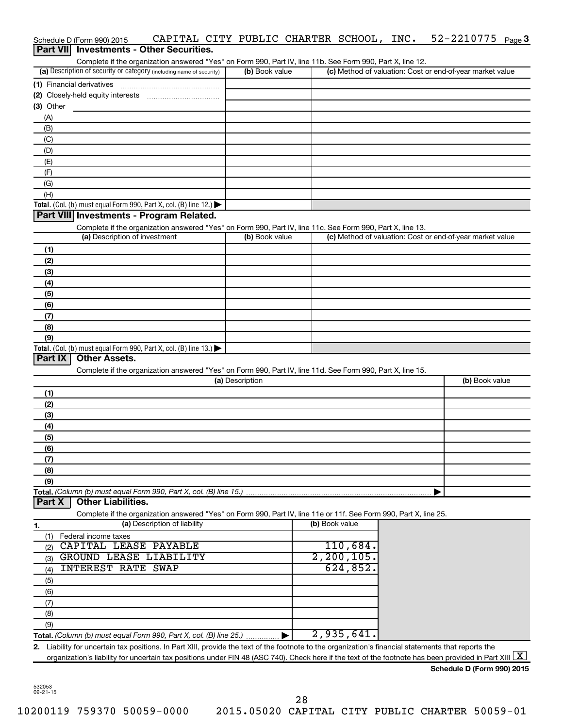| CAPITAL CITY PUBLIC CHARTER SCHOOL, INC.<br>Schedule D (Form 990) 2015                                            |                 |                |                |              | $52 - 2210775$ Page 3                                     |
|-------------------------------------------------------------------------------------------------------------------|-----------------|----------------|----------------|--------------|-----------------------------------------------------------|
| Part VII Investments - Other Securities.                                                                          |                 |                |                |              |                                                           |
| Complete if the organization answered "Yes" on Form 990, Part IV, line 11b. See Form 990, Part X, line 12.        |                 |                |                |              |                                                           |
| (a) Description of security or category (including name of security)                                              |                 | (b) Book value |                |              | (c) Method of valuation: Cost or end-of-year market value |
| (1) Financial derivatives                                                                                         |                 |                |                |              |                                                           |
|                                                                                                                   |                 |                |                |              |                                                           |
| $(3)$ Other                                                                                                       |                 |                |                |              |                                                           |
| (A)                                                                                                               |                 |                |                |              |                                                           |
| (B)                                                                                                               |                 |                |                |              |                                                           |
| (C)                                                                                                               |                 |                |                |              |                                                           |
| (D)                                                                                                               |                 |                |                |              |                                                           |
| (E)                                                                                                               |                 |                |                |              |                                                           |
| (F)                                                                                                               |                 |                |                |              |                                                           |
| (G)                                                                                                               |                 |                |                |              |                                                           |
| (H)                                                                                                               |                 |                |                |              |                                                           |
| Total. (Col. (b) must equal Form 990, Part X, col. (B) line 12.) $\blacktriangleright$                            |                 |                |                |              |                                                           |
| Part VIII Investments - Program Related.                                                                          |                 |                |                |              |                                                           |
| Complete if the organization answered "Yes" on Form 990, Part IV, line 11c. See Form 990, Part X, line 13.        |                 |                |                |              |                                                           |
| (a) Description of investment                                                                                     |                 | (b) Book value |                |              | (c) Method of valuation: Cost or end-of-year market value |
| (1)                                                                                                               |                 |                |                |              |                                                           |
| (2)                                                                                                               |                 |                |                |              |                                                           |
| (3)                                                                                                               |                 |                |                |              |                                                           |
| (4)                                                                                                               |                 |                |                |              |                                                           |
| (5)                                                                                                               |                 |                |                |              |                                                           |
| (6)                                                                                                               |                 |                |                |              |                                                           |
| (7)                                                                                                               |                 |                |                |              |                                                           |
| (8)                                                                                                               |                 |                |                |              |                                                           |
| (9)                                                                                                               |                 |                |                |              |                                                           |
| Total. (Col. (b) must equal Form 990, Part X, col. (B) line 13.)                                                  |                 |                |                |              |                                                           |
| Part IX<br><b>Other Assets.</b>                                                                                   |                 |                |                |              |                                                           |
| Complete if the organization answered "Yes" on Form 990, Part IV, line 11d. See Form 990, Part X, line 15.        |                 |                |                |              |                                                           |
|                                                                                                                   | (a) Description |                |                |              | (b) Book value                                            |
| (1)                                                                                                               |                 |                |                |              |                                                           |
| (2)                                                                                                               |                 |                |                |              |                                                           |
| (3)                                                                                                               |                 |                |                |              |                                                           |
| (4)                                                                                                               |                 |                |                |              |                                                           |
| (5)                                                                                                               |                 |                |                |              |                                                           |
| (6)                                                                                                               |                 |                |                |              |                                                           |
| (7)                                                                                                               |                 |                |                |              |                                                           |
| (8)                                                                                                               |                 |                |                |              |                                                           |
| (9)                                                                                                               |                 |                |                |              |                                                           |
| Total. (Column (b) must equal Form 990, Part X, col. (B) line 15.)                                                |                 |                |                |              |                                                           |
| <b>Other Liabilities.</b><br>Part X                                                                               |                 |                |                |              |                                                           |
| Complete if the organization answered "Yes" on Form 990, Part IV, line 11e or 11f. See Form 990, Part X, line 25. |                 |                |                |              |                                                           |
| (a) Description of liability<br>1.                                                                                |                 |                | (b) Book value |              |                                                           |
| (1) Federal income taxes                                                                                          |                 |                |                |              |                                                           |
| CAPITAL LEASE PAYABLE<br>(2)                                                                                      |                 |                |                | 110,684.     |                                                           |
| <b>GROUND LEASE LIABILITY</b><br>(3)                                                                              |                 |                |                | 2, 200, 105. |                                                           |
| <b>INTEREST RATE SWAP</b><br>(4)                                                                                  |                 |                |                | 624,852.     |                                                           |
| (5)                                                                                                               |                 |                |                |              |                                                           |
| (6)                                                                                                               |                 |                |                |              |                                                           |
| (7)                                                                                                               |                 |                |                |              |                                                           |
| (8)                                                                                                               |                 |                |                |              |                                                           |
|                                                                                                                   |                 |                |                |              |                                                           |

**Total.**  *(Column (b) must equal Form 990, Part X, col. (B) line 25.)* (9)  $\blacktriangleright$ 2,935,641.

**2.** Liability for uncertain tax positions. In Part XIII, provide the text of the footnote to the organization's financial statements that reports the organization's liability for uncertain tax positions under FIN 48 (ASC 740). Check here if the text of the footnote has been provided in Part XIII  $\boxed{\text{X}}$ 

**Schedule D (Form 990) 2015**

532053 09-21-15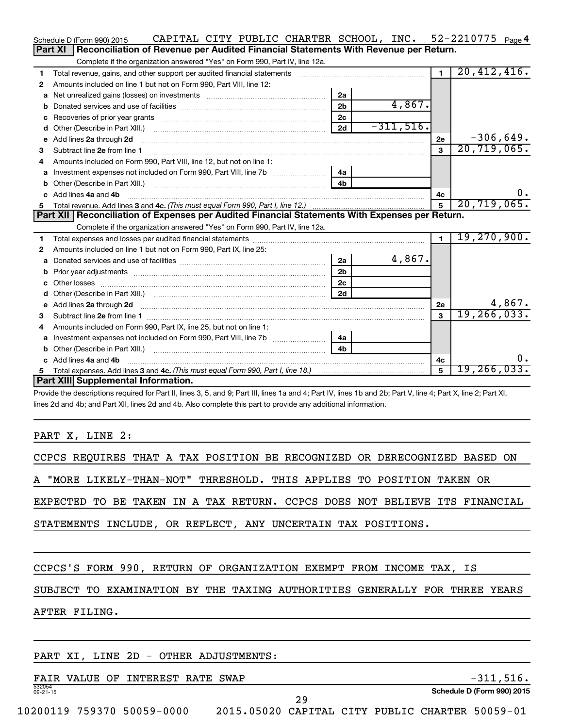|   | CAPITAL CITY PUBLIC CHARTER SCHOOL, INC. 52-2210775 Page 4<br>Schedule D (Form 990) 2015                                                                                                                                             |                |             |                |               |
|---|--------------------------------------------------------------------------------------------------------------------------------------------------------------------------------------------------------------------------------------|----------------|-------------|----------------|---------------|
|   | Reconciliation of Revenue per Audited Financial Statements With Revenue per Return.<br>Part XI                                                                                                                                       |                |             |                |               |
|   | Complete if the organization answered "Yes" on Form 990, Part IV, line 12a.                                                                                                                                                          |                |             |                |               |
| 1 | Total revenue, gains, and other support per audited financial statements                                                                                                                                                             |                |             | $\blacksquare$ | 20,412,416.   |
| 2 | Amounts included on line 1 but not on Form 990, Part VIII, line 12:                                                                                                                                                                  |                |             |                |               |
| a |                                                                                                                                                                                                                                      | 2a             |             |                |               |
| b |                                                                                                                                                                                                                                      | 2 <sub>b</sub> | 4,867.      |                |               |
| с |                                                                                                                                                                                                                                      | 2c             |             |                |               |
| d |                                                                                                                                                                                                                                      | 2d             | $-311,516.$ |                |               |
| е | Add lines 2a through 2d                                                                                                                                                                                                              |                |             | 2e             | $-306,649.$   |
| 3 |                                                                                                                                                                                                                                      |                |             | 3              | 20, 719, 065. |
| 4 | Amounts included on Form 990, Part VIII, line 12, but not on line 1:                                                                                                                                                                 |                |             |                |               |
| a |                                                                                                                                                                                                                                      | 4a             |             |                |               |
| b | Other (Describe in Part XIII.) [100] [100] [100] [100] [100] [100] [100] [100] [100] [100] [100] [100] [100] [                                                                                                                       | 4 <sub>h</sub> |             |                |               |
|   | Add lines 4a and 4b                                                                                                                                                                                                                  |                |             | 4c             | $0 \cdot$     |
| 5 |                                                                                                                                                                                                                                      |                |             | $\overline{5}$ | 20, 719, 065. |
|   | Part XII   Reconciliation of Expenses per Audited Financial Statements With Expenses per Return.                                                                                                                                     |                |             |                |               |
|   | Complete if the organization answered "Yes" on Form 990, Part IV, line 12a.                                                                                                                                                          |                |             |                |               |
| 1 |                                                                                                                                                                                                                                      |                |             | $\mathbf{1}$   | 19,270,900.   |
| 2 | Amounts included on line 1 but not on Form 990, Part IX, line 25:                                                                                                                                                                    |                |             |                |               |
| a |                                                                                                                                                                                                                                      | 2a             | 4,867.      |                |               |
| b |                                                                                                                                                                                                                                      | 2 <sub>b</sub> |             |                |               |
|   |                                                                                                                                                                                                                                      | 2 <sub>c</sub> |             |                |               |
| d |                                                                                                                                                                                                                                      | 2d             |             |                |               |
| е | Add lines 2a through 2d <b>continuum continuum contract and all the contract and all the contract and all the contract and all the contract of the contract of the contract of the contract of the contract of the contract of t</b> |                |             | 2e             | 4,867.        |
| 3 |                                                                                                                                                                                                                                      |                |             |                | 19, 266, 033. |
| 4 | Amounts included on Form 990, Part IX, line 25, but not on line 1:                                                                                                                                                                   |                |             |                |               |
| a |                                                                                                                                                                                                                                      | 4a             |             |                |               |
| b |                                                                                                                                                                                                                                      | 4 <sub>h</sub> |             |                |               |
|   | Add lines 4a and 4b                                                                                                                                                                                                                  |                |             | 4c             | 0.            |
| 5 |                                                                                                                                                                                                                                      |                |             | 5              | 19, 266, 033. |
|   | Part XIII Supplemental Information.                                                                                                                                                                                                  |                |             |                |               |
|   | Provide the descriptions required for Part II, lines 3, 5, and 9; Part III, lines 1a and 4; Part IV, lines 1b and 2b; Part V, line 4; Part X, line 2; Part XI,                                                                       |                |             |                |               |

lines 2d and 4b; and Part XII, lines 2d and 4b. Also complete this part to provide any additional information.

PART X, LINE 2:

| CCPCS REQUIRES THAT A TAX POSITION BE RECOGNIZED OR DERECOGNIZED BASED ON  |
|----------------------------------------------------------------------------|
| A "MORE LIKELY-THAN-NOT" THRESHOLD. THIS APPLIES TO POSITION TAKEN OR      |
| EXPECTED TO BE TAKEN IN A TAX RETURN. CCPCS DOES NOT BELIEVE ITS FINANCIAL |
| STATEMENTS INCLUDE, OR REFLECT, ANY UNCERTAIN TAX POSITIONS.               |
|                                                                            |
| CCPCS'S FORM 990, RETURN OF ORGANIZATION EXEMPT FROM INCOME TAX, IS        |
| SUBJECT TO EXAMINATION BY THE TAXING AUTHORITIES GENERALLY FOR THREE YEARS |

AFTER FILING.

### PART XI, LINE 2D - OTHER ADJUSTMENTS:

| FAIR                     | VALUE | OF | <b>INTEREST RATE</b> | SWAP |           | $\mathbf{A}$<br>516.<br>$-1$ |
|--------------------------|-------|----|----------------------|------|-----------|------------------------------|
| 532054<br>$09 - 21 - 15$ |       |    |                      |      |           | Schedule D (Form 990) 2015   |
|                          |       |    |                      |      | າ ເ<br>42 |                              |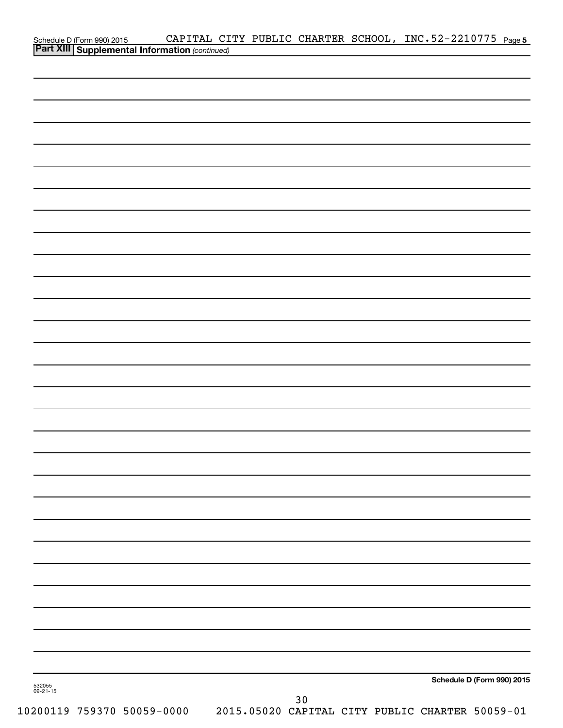| Schedule D (Form 990) 2015 CAPITAL CI<br>Part XIII Supplemental Information (continued) |  |      | CAPITAL CITY PUBLIC CHARTER SCHOOL, INC.52-2210775 Page 5 |                            |  |
|-----------------------------------------------------------------------------------------|--|------|-----------------------------------------------------------|----------------------------|--|
|                                                                                         |  |      |                                                           |                            |  |
|                                                                                         |  |      |                                                           |                            |  |
|                                                                                         |  |      |                                                           |                            |  |
|                                                                                         |  |      |                                                           |                            |  |
|                                                                                         |  |      |                                                           |                            |  |
|                                                                                         |  |      |                                                           |                            |  |
|                                                                                         |  |      |                                                           |                            |  |
|                                                                                         |  |      |                                                           |                            |  |
|                                                                                         |  |      |                                                           |                            |  |
|                                                                                         |  |      |                                                           |                            |  |
|                                                                                         |  |      |                                                           |                            |  |
|                                                                                         |  |      |                                                           |                            |  |
|                                                                                         |  |      |                                                           |                            |  |
|                                                                                         |  |      |                                                           |                            |  |
|                                                                                         |  |      |                                                           |                            |  |
|                                                                                         |  |      |                                                           |                            |  |
|                                                                                         |  |      |                                                           |                            |  |
|                                                                                         |  |      |                                                           |                            |  |
|                                                                                         |  |      |                                                           |                            |  |
|                                                                                         |  |      |                                                           |                            |  |
|                                                                                         |  |      |                                                           |                            |  |
|                                                                                         |  |      |                                                           |                            |  |
|                                                                                         |  |      |                                                           |                            |  |
|                                                                                         |  |      |                                                           |                            |  |
|                                                                                         |  |      |                                                           |                            |  |
|                                                                                         |  |      |                                                           |                            |  |
|                                                                                         |  |      |                                                           |                            |  |
|                                                                                         |  |      |                                                           |                            |  |
|                                                                                         |  |      |                                                           |                            |  |
|                                                                                         |  |      |                                                           |                            |  |
|                                                                                         |  |      |                                                           |                            |  |
|                                                                                         |  |      |                                                           |                            |  |
|                                                                                         |  |      |                                                           |                            |  |
|                                                                                         |  |      |                                                           |                            |  |
|                                                                                         |  |      |                                                           |                            |  |
|                                                                                         |  |      |                                                           |                            |  |
|                                                                                         |  |      |                                                           |                            |  |
|                                                                                         |  |      |                                                           |                            |  |
|                                                                                         |  |      |                                                           |                            |  |
|                                                                                         |  |      |                                                           |                            |  |
|                                                                                         |  |      |                                                           |                            |  |
|                                                                                         |  |      |                                                           |                            |  |
|                                                                                         |  |      |                                                           |                            |  |
|                                                                                         |  |      |                                                           |                            |  |
|                                                                                         |  |      |                                                           | Schedule D (Form 990) 2015 |  |
| 532055<br>09-21-15                                                                      |  | $30$ |                                                           |                            |  |
|                                                                                         |  |      |                                                           |                            |  |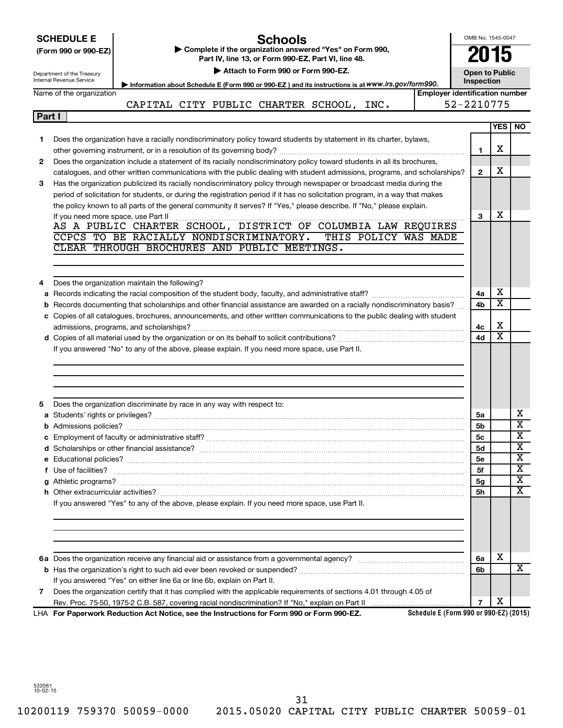|   | <b>SCHEDULE E</b>                                                                                                             |                                                                                                                                  | OMB No. 1545-0047 |                         |                         |  |
|---|-------------------------------------------------------------------------------------------------------------------------------|----------------------------------------------------------------------------------------------------------------------------------|-------------------|-------------------------|-------------------------|--|
|   | (Form 990 or 990-EZ)                                                                                                          | <b>Schools</b><br>Complete if the organization answered "Yes" on Form 990,                                                       |                   |                         |                         |  |
|   |                                                                                                                               | Part IV, line 13, or Form 990-EZ, Part VI, line 48.                                                                              |                   |                         |                         |  |
|   | Department of the Treasury                                                                                                    | Attach to Form 990 or Form 990-EZ.                                                                                               |                   | <b>Open to Public</b>   |                         |  |
|   | Internal Revenue Service                                                                                                      | Information about Schedule E (Form 990 or 990-EZ) and its instructions is at WWW.irs.gov/form990.                                | Inspection        |                         |                         |  |
|   | Name of the organization                                                                                                      | <b>Employer identification number</b><br>CAPITAL CITY PUBLIC CHARTER SCHOOL, INC.                                                | 52-2210775        |                         |                         |  |
|   | Part I                                                                                                                        |                                                                                                                                  |                   |                         |                         |  |
|   |                                                                                                                               |                                                                                                                                  |                   | <b>YES</b>              | <b>NO</b>               |  |
| 1 | Does the organization have a racially nondiscriminatory policy toward students by statement in its charter, bylaws,           |                                                                                                                                  |                   |                         |                         |  |
|   |                                                                                                                               |                                                                                                                                  | 1                 | х                       |                         |  |
| 2 | Does the organization include a statement of its racially nondiscriminatory policy toward students in all its brochures,      |                                                                                                                                  |                   |                         |                         |  |
|   |                                                                                                                               | catalogues, and other written communications with the public dealing with student admissions, programs, and scholarships?        | $\mathbf{2}$      | х                       |                         |  |
| 3 | Has the organization publicized its racially nondiscriminatory policy through newspaper or broadcast media during the         |                                                                                                                                  |                   |                         |                         |  |
|   | period of solicitation for students, or during the registration period if it has no solicitation program, in a way that makes |                                                                                                                                  |                   |                         |                         |  |
|   | the policy known to all parts of the general community it serves? If "Yes," please describe. If "No," please explain.         |                                                                                                                                  |                   | х                       |                         |  |
|   |                                                                                                                               | If you need more space, use Part II<br>AS A PUBLIC CHARTER SCHOOL, DISTRICT OF COLUMBIA LAW REQUIRES                             | 3                 |                         |                         |  |
|   | CCPCS TO BE RACIALLY NONDISCRIMINATORY.                                                                                       | THIS POLICY WAS MADE                                                                                                             |                   |                         |                         |  |
|   | CLEAR THROUGH BROCHURES AND PUBLIC MEETINGS.                                                                                  |                                                                                                                                  |                   |                         |                         |  |
|   |                                                                                                                               |                                                                                                                                  |                   |                         |                         |  |
|   |                                                                                                                               |                                                                                                                                  |                   |                         |                         |  |
| 4 | Does the organization maintain the following?                                                                                 |                                                                                                                                  |                   |                         |                         |  |
| а |                                                                                                                               |                                                                                                                                  | 4a                | х                       |                         |  |
|   |                                                                                                                               | <b>b</b> Records documenting that scholarships and other financial assistance are awarded on a racially nondiscriminatory basis? | 4b                | $\overline{\texttt{x}}$ |                         |  |
|   | c Copies of all catalogues, brochures, announcements, and other written communications to the public dealing with student     |                                                                                                                                  |                   |                         |                         |  |
|   |                                                                                                                               |                                                                                                                                  | 4с                | х                       |                         |  |
|   |                                                                                                                               |                                                                                                                                  | 4d                | $\overline{\text{x}}$   |                         |  |
|   | If you answered "No" to any of the above, please explain. If you need more space, use Part II.                                |                                                                                                                                  |                   |                         |                         |  |
|   |                                                                                                                               |                                                                                                                                  |                   |                         |                         |  |
|   |                                                                                                                               |                                                                                                                                  |                   |                         |                         |  |
|   |                                                                                                                               |                                                                                                                                  |                   |                         |                         |  |
|   | Does the organization discriminate by race in any way with respect to:                                                        |                                                                                                                                  |                   |                         |                         |  |
| 5 |                                                                                                                               |                                                                                                                                  | 5a                |                         | х                       |  |
|   | <b>b</b> Admissions policies?                                                                                                 |                                                                                                                                  | 5b                |                         | $\overline{\text{x}}$   |  |
|   |                                                                                                                               |                                                                                                                                  | 5c                |                         | х                       |  |
|   |                                                                                                                               |                                                                                                                                  | 5d                |                         | $\overline{\mathbf{X}}$ |  |
|   |                                                                                                                               |                                                                                                                                  | 5e                |                         | $\overline{\mathbf{X}}$ |  |
|   | f Use of facilities?                                                                                                          |                                                                                                                                  | 5f                |                         | $\overline{\mathbf{X}}$ |  |
|   |                                                                                                                               |                                                                                                                                  | 5 <sub>g</sub>    |                         | $\overline{\mathbf{X}}$ |  |
|   |                                                                                                                               |                                                                                                                                  | 5h                |                         | $\overline{\mathbf{x}}$ |  |
|   | If you answered "Yes" to any of the above, please explain. If you need more space, use Part II.                               |                                                                                                                                  |                   |                         |                         |  |
|   |                                                                                                                               |                                                                                                                                  |                   |                         |                         |  |
|   |                                                                                                                               |                                                                                                                                  |                   |                         |                         |  |
|   |                                                                                                                               |                                                                                                                                  |                   |                         |                         |  |
|   |                                                                                                                               |                                                                                                                                  |                   |                         |                         |  |
|   |                                                                                                                               |                                                                                                                                  | 6a                | х                       |                         |  |
|   |                                                                                                                               |                                                                                                                                  | 6b                |                         | X                       |  |
|   | If you answered "Yes" on either line 6a or line 6b, explain on Part II.                                                       |                                                                                                                                  |                   |                         |                         |  |
| 7 | Does the organization certify that it has complied with the applicable requirements of sections 4.01 through 4.05 of          |                                                                                                                                  |                   |                         |                         |  |
|   |                                                                                                                               |                                                                                                                                  | $\overline{7}$    | х                       |                         |  |
|   | LHA For Paperwork Reduction Act Notice, see the Instructions for Form 990 or Form 990-EZ.                                     | Schedule E (Form 990 or 990-EZ) (2015)                                                                                           |                   |                         |                         |  |

532061 10-02-15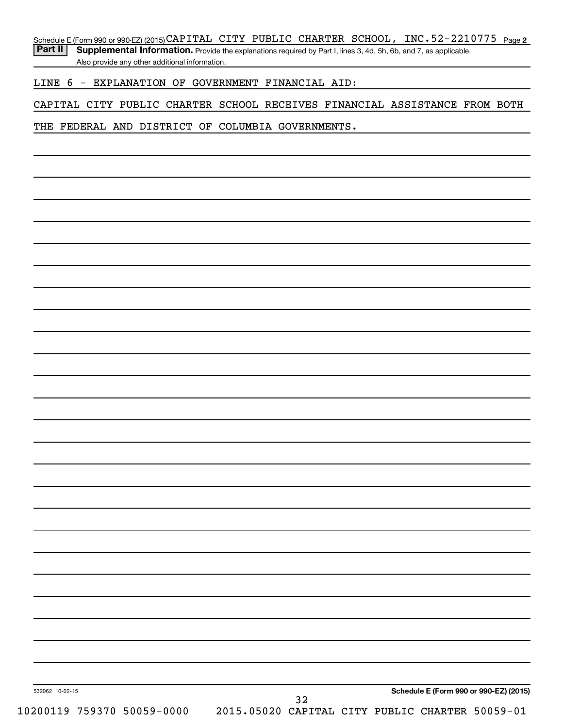Schedule E (Form 990 or 990-EZ) (2015) **CAPITAL CITY PUBLIC CHARTER SCHOOL, INC**  $\texttt{52-2210775}$  Page 2

Part II | Supplemental Information. Provide the explanations required by Part I, lines 3, 4d, 5h, 6b, and 7, as applicable. Also provide any other additional information.

LINE 6 - EXPLANATION OF GOVERNMENT FINANCIAL AID:

CAPITAL CITY PUBLIC CHARTER SCHOOL RECEIVES FINANCIAL ASSISTANCE FROM BOTH

THE FEDERAL AND DISTRICT OF COLUMBIA GOVERNMENTS.

532062 10-02-15 10200119 759370 50059-0000 2015.05020 CAPITAL CITY PUBLIC CHARTER 50059-01 32

**Schedule E (Form 990 or 990-EZ) (2015)**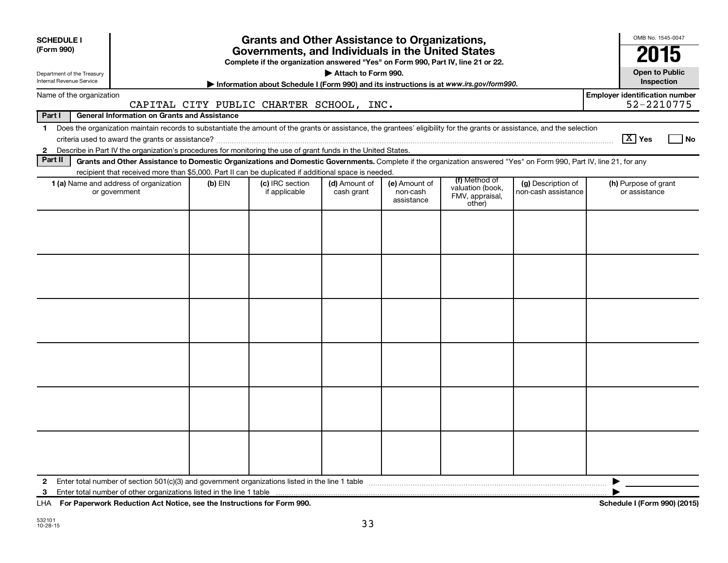| <b>Grants and Other Assistance to Organizations,</b><br><b>SCHEDULE I</b><br>(Form 990)<br>Governments, and Individuals in the United States<br>Complete if the organization answered "Yes" on Form 990, Part IV, line 21 or 22.                                                                                         |           |                                  |                             |                                         |                                                                |                                           |                                       |  |  |
|--------------------------------------------------------------------------------------------------------------------------------------------------------------------------------------------------------------------------------------------------------------------------------------------------------------------------|-----------|----------------------------------|-----------------------------|-----------------------------------------|----------------------------------------------------------------|-------------------------------------------|---------------------------------------|--|--|
| <b>Open to Public</b><br>Attach to Form 990.<br>Department of the Treasury<br>Internal Revenue Service<br>Information about Schedule I (Form 990) and its instructions is at www.irs.gov/form990.                                                                                                                        |           |                                  |                             |                                         |                                                                |                                           |                                       |  |  |
| <b>Employer identification number</b><br>Name of the organization<br>52-2210775<br>CAPITAL CITY PUBLIC CHARTER SCHOOL, INC.                                                                                                                                                                                              |           |                                  |                             |                                         |                                                                |                                           |                                       |  |  |
| Part I<br><b>General Information on Grants and Assistance</b>                                                                                                                                                                                                                                                            |           |                                  |                             |                                         |                                                                |                                           |                                       |  |  |
| Does the organization maintain records to substantiate the amount of the grants or assistance, the grantees' eligibility for the grants or assistance, and the selection<br>$\mathbf 1$<br>Describe in Part IV the organization's procedures for monitoring the use of grant funds in the United States.<br>$\mathbf{2}$ |           |                                  |                             |                                         |                                                                |                                           | $\boxed{\text{X}}$ Yes<br>l No        |  |  |
| Part II<br>Grants and Other Assistance to Domestic Organizations and Domestic Governments. Complete if the organization answered "Yes" on Form 990, Part IV, line 21, for any                                                                                                                                            |           |                                  |                             |                                         |                                                                |                                           |                                       |  |  |
| recipient that received more than \$5,000. Part II can be duplicated if additional space is needed.                                                                                                                                                                                                                      |           |                                  |                             |                                         |                                                                |                                           |                                       |  |  |
| 1 (a) Name and address of organization<br>or government                                                                                                                                                                                                                                                                  | $(b)$ EIN | (c) IRC section<br>if applicable | (d) Amount of<br>cash grant | (e) Amount of<br>non-cash<br>assistance | (f) Method of<br>valuation (book,<br>FMV, appraisal,<br>other) | (g) Description of<br>non-cash assistance | (h) Purpose of grant<br>or assistance |  |  |
|                                                                                                                                                                                                                                                                                                                          |           |                                  |                             |                                         |                                                                |                                           |                                       |  |  |
|                                                                                                                                                                                                                                                                                                                          |           |                                  |                             |                                         |                                                                |                                           |                                       |  |  |
|                                                                                                                                                                                                                                                                                                                          |           |                                  |                             |                                         |                                                                |                                           |                                       |  |  |
|                                                                                                                                                                                                                                                                                                                          |           |                                  |                             |                                         |                                                                |                                           |                                       |  |  |
|                                                                                                                                                                                                                                                                                                                          |           |                                  |                             |                                         |                                                                |                                           |                                       |  |  |
|                                                                                                                                                                                                                                                                                                                          |           |                                  |                             |                                         |                                                                |                                           |                                       |  |  |
| $\mathbf{2}$<br>3                                                                                                                                                                                                                                                                                                        |           |                                  |                             |                                         |                                                                |                                           | ▶                                     |  |  |

**For Paperwork Reduction Act Notice, see the Instructions for Form 990. Schedule I (Form 990) (2015)** LHA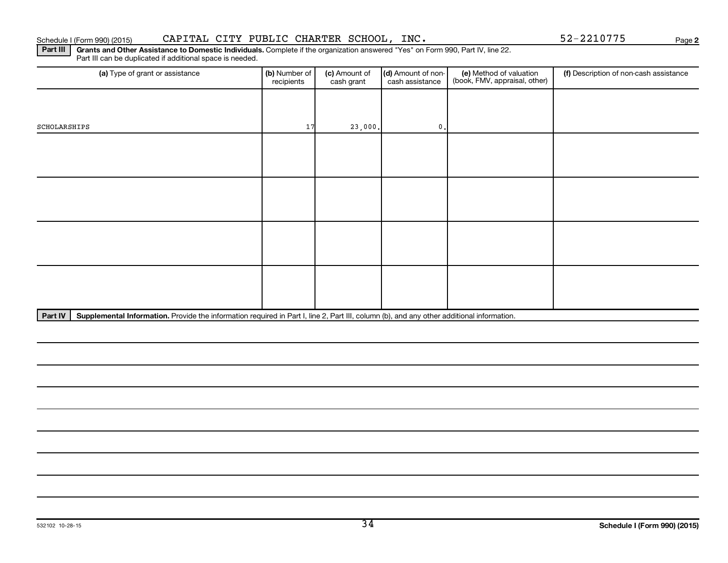| Schedule I (Form 990) (2015) | CAPITAL CITY PUBLIC CHARTER SCHOOL, 1 | INC. | 52-2210775 | Page |
|------------------------------|---------------------------------------|------|------------|------|
|                              |                                       |      |            |      |

**2**

Part III | Grants and Other Assistance to Domestic Individuals. Complete if the organization answered "Yes" on Form 990, Part IV, line 22. Part III can be duplicated if additional space is needed.

| (a) Type of grant or assistance                                                       | (b) Number of<br>recipients | (c) Amount of<br>cash grant | (d) Amount of non-<br>cash assistance | (e) Method of valuation<br>(book, FMV, appraisal, other) | (f) Description of non-cash assistance |
|---------------------------------------------------------------------------------------|-----------------------------|-----------------------------|---------------------------------------|----------------------------------------------------------|----------------------------------------|
|                                                                                       |                             |                             |                                       |                                                          |                                        |
| SCHOLARSHIPS                                                                          | 17                          | 23,000.                     | $\mathfrak o$ .                       |                                                          |                                        |
|                                                                                       |                             |                             |                                       |                                                          |                                        |
|                                                                                       |                             |                             |                                       |                                                          |                                        |
|                                                                                       |                             |                             |                                       |                                                          |                                        |
|                                                                                       |                             |                             |                                       |                                                          |                                        |
|                                                                                       |                             |                             |                                       |                                                          |                                        |
|                                                                                       |                             |                             |                                       |                                                          |                                        |
|                                                                                       |                             |                             |                                       |                                                          |                                        |
|                                                                                       |                             |                             |                                       |                                                          |                                        |
| المتعنين والمستحيل والمتحدث والمستحصر والمتصدق والمتحدث والمستحدث والمستحدث والمستحدث |                             |                             |                                       |                                                          |                                        |

Part IV | Supplemental Information. Provide the information required in Part I, line 2, Part III, column (b), and any other additional information.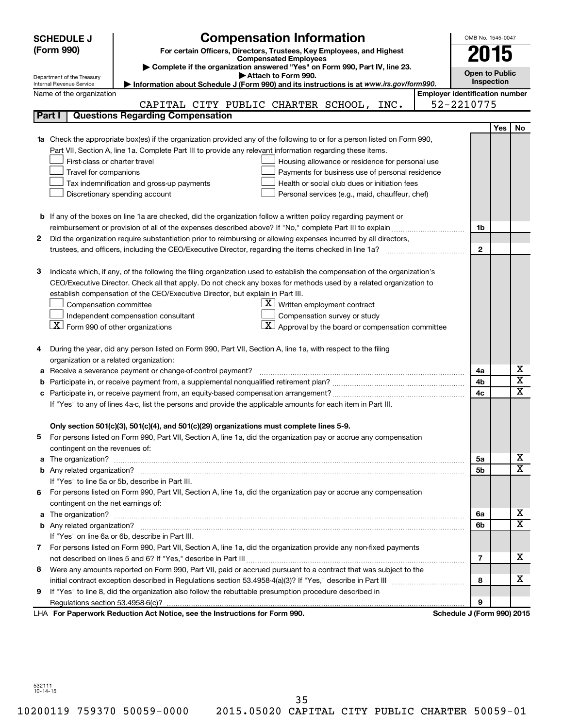|    | <b>SCHEDULE J</b>                                            | <b>Compensation Information</b>                                                                                                                                                                               |                                       | OMB No. 1545-0047          |            |                              |
|----|--------------------------------------------------------------|---------------------------------------------------------------------------------------------------------------------------------------------------------------------------------------------------------------|---------------------------------------|----------------------------|------------|------------------------------|
|    | (Form 990)                                                   |                                                                                                                                                                                                               |                                       |                            |            |                              |
|    |                                                              | For certain Officers, Directors, Trustees, Key Employees, and Highest<br><b>Compensated Employees</b>                                                                                                         |                                       | 2015                       |            |                              |
|    |                                                              | Complete if the organization answered "Yes" on Form 990, Part IV, line 23.                                                                                                                                    |                                       | <b>Open to Public</b>      |            |                              |
|    | Department of the Treasury<br>Internal Revenue Service       | Attach to Form 990.<br>Information about Schedule J (Form 990) and its instructions is at www.irs.gov/form990.                                                                                                |                                       | Inspection                 |            |                              |
|    | Name of the organization                                     |                                                                                                                                                                                                               | <b>Employer identification number</b> |                            |            |                              |
|    |                                                              | CAPITAL CITY PUBLIC CHARTER SCHOOL, INC.                                                                                                                                                                      |                                       | 52-2210775                 |            |                              |
|    | Part I                                                       | <b>Questions Regarding Compensation</b>                                                                                                                                                                       |                                       |                            |            |                              |
|    |                                                              |                                                                                                                                                                                                               |                                       |                            | <b>Yes</b> | No                           |
|    |                                                              | Check the appropriate box(es) if the organization provided any of the following to or for a person listed on Form 990,                                                                                        |                                       |                            |            |                              |
|    |                                                              | Part VII, Section A, line 1a. Complete Part III to provide any relevant information regarding these items.                                                                                                    |                                       |                            |            |                              |
|    | First-class or charter travel                                | Housing allowance or residence for personal use                                                                                                                                                               |                                       |                            |            |                              |
|    | Travel for companions                                        | Payments for business use of personal residence                                                                                                                                                               |                                       |                            |            |                              |
|    |                                                              | Health or social club dues or initiation fees<br>Tax indemnification and gross-up payments                                                                                                                    |                                       |                            |            |                              |
|    |                                                              | Discretionary spending account<br>Personal services (e.g., maid, chauffeur, chef)                                                                                                                             |                                       |                            |            |                              |
|    |                                                              |                                                                                                                                                                                                               |                                       |                            |            |                              |
|    |                                                              | <b>b</b> If any of the boxes on line 1a are checked, did the organization follow a written policy regarding payment or                                                                                        |                                       |                            |            |                              |
|    |                                                              |                                                                                                                                                                                                               |                                       | 1b                         |            |                              |
| 2  |                                                              | Did the organization require substantiation prior to reimbursing or allowing expenses incurred by all directors,                                                                                              |                                       |                            |            |                              |
|    |                                                              |                                                                                                                                                                                                               |                                       | $\mathbf{2}$               |            |                              |
|    |                                                              |                                                                                                                                                                                                               |                                       |                            |            |                              |
| з  |                                                              | Indicate which, if any, of the following the filing organization used to establish the compensation of the organization's                                                                                     |                                       |                            |            |                              |
|    |                                                              | CEO/Executive Director. Check all that apply. Do not check any boxes for methods used by a related organization to                                                                                            |                                       |                            |            |                              |
|    |                                                              | establish compensation of the CEO/Executive Director, but explain in Part III.                                                                                                                                |                                       |                            |            |                              |
|    | Compensation committee                                       | $\underline{\mathbf{X}}$ Written employment contract                                                                                                                                                          |                                       |                            |            |                              |
|    |                                                              | Compensation survey or study<br>Independent compensation consultant                                                                                                                                           |                                       |                            |            |                              |
|    | $\lfloor \mathbf{X} \rfloor$ Form 990 of other organizations | $\mathbf{X}$ Approval by the board or compensation committee                                                                                                                                                  |                                       |                            |            |                              |
|    |                                                              |                                                                                                                                                                                                               |                                       |                            |            |                              |
|    |                                                              | During the year, did any person listed on Form 990, Part VII, Section A, line 1a, with respect to the filing                                                                                                  |                                       |                            |            |                              |
|    | organization or a related organization:                      |                                                                                                                                                                                                               |                                       |                            |            |                              |
| а  |                                                              | Receive a severance payment or change-of-control payment?                                                                                                                                                     |                                       | 4a                         |            | х<br>$\overline{\mathbf{X}}$ |
| b  |                                                              |                                                                                                                                                                                                               |                                       | 4b                         |            | X                            |
|    |                                                              |                                                                                                                                                                                                               |                                       | 4c                         |            |                              |
|    |                                                              | If "Yes" to any of lines 4a-c, list the persons and provide the applicable amounts for each item in Part III.                                                                                                 |                                       |                            |            |                              |
|    |                                                              |                                                                                                                                                                                                               |                                       |                            |            |                              |
| b. |                                                              | Only section 501(c)(3), 501(c)(4), and 501(c)(29) organizations must complete lines 5-9.<br>For persons listed on Form 990, Part VII, Section A, line 1a, did the organization pay or accrue any compensation |                                       |                            |            |                              |
|    | contingent on the revenues of:                               |                                                                                                                                                                                                               |                                       |                            |            |                              |
| a  |                                                              |                                                                                                                                                                                                               |                                       | 5a                         |            | x                            |
|    |                                                              |                                                                                                                                                                                                               |                                       | 5b                         |            | X                            |
|    |                                                              | If "Yes" to line 5a or 5b, describe in Part III.                                                                                                                                                              |                                       |                            |            |                              |
|    |                                                              | 6 For persons listed on Form 990, Part VII, Section A, line 1a, did the organization pay or accrue any compensation                                                                                           |                                       |                            |            |                              |
|    | contingent on the net earnings of:                           |                                                                                                                                                                                                               |                                       |                            |            |                              |
| a  |                                                              |                                                                                                                                                                                                               |                                       | 6a                         |            | x                            |
|    |                                                              |                                                                                                                                                                                                               |                                       | 6b                         |            | X                            |
|    |                                                              | If "Yes" on line 6a or 6b, describe in Part III.                                                                                                                                                              |                                       |                            |            |                              |
|    |                                                              | 7 For persons listed on Form 990, Part VII, Section A, line 1a, did the organization provide any non-fixed payments                                                                                           |                                       |                            |            |                              |
|    |                                                              |                                                                                                                                                                                                               |                                       | 7                          |            | x                            |
| 8  |                                                              | Were any amounts reported on Form 990, Part VII, paid or accrued pursuant to a contract that was subject to the                                                                                               |                                       |                            |            |                              |
|    |                                                              |                                                                                                                                                                                                               |                                       | 8                          |            | x                            |
| 9  |                                                              | If "Yes" to line 8, did the organization also follow the rebuttable presumption procedure described in                                                                                                        |                                       |                            |            |                              |
|    |                                                              |                                                                                                                                                                                                               |                                       | 9                          |            |                              |
|    |                                                              | LHA For Paperwork Reduction Act Notice, see the Instructions for Form 990.                                                                                                                                    |                                       | Schedule J (Form 990) 2015 |            |                              |

532111 10-14-15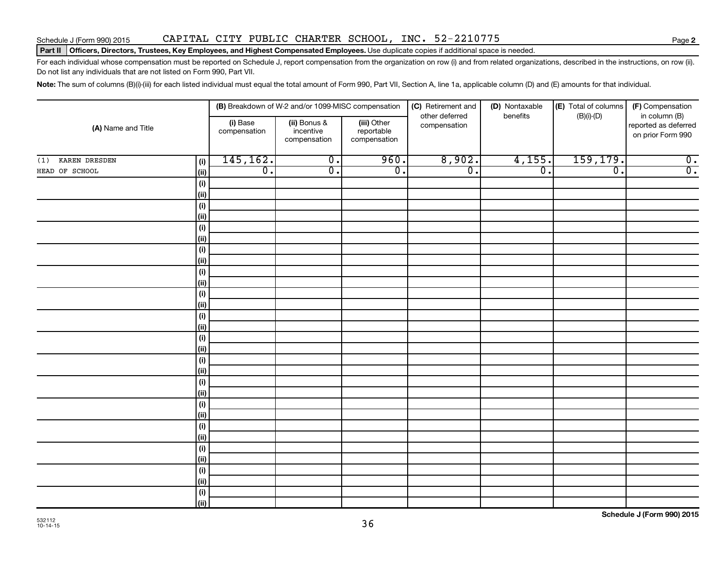#### Part II | Officers, Directors, Trustees, Key Employees, and Highest Compensated Employees. Use duplicate copies if additional space is needed.

For each individual whose compensation must be reported on Schedule J, report compensation from the organization on row (i) and from related organizations, described in the instructions, on row (ii). Do not list any individuals that are not listed on Form 990, Part VII.

Note: The sum of columns (B)(i)-(iii) for each listed individual must equal the total amount of Form 990, Part VII, Section A, line 1a, applicable column (D) and (E) amounts for that individual.

| (A) Name and Title   |              |                          | (B) Breakdown of W-2 and/or 1099-MISC compensation |                                           | (C) Retirement and             | (D) Nontaxable   | (E) Total of columns        | (F) Compensation<br>in column (B)         |  |
|----------------------|--------------|--------------------------|----------------------------------------------------|-------------------------------------------|--------------------------------|------------------|-----------------------------|-------------------------------------------|--|
|                      |              | (i) Base<br>compensation | (ii) Bonus &<br>incentive<br>compensation          | (iii) Other<br>reportable<br>compensation | other deferred<br>compensation | benefits         | $(B)(i)-(D)$                | reported as deferred<br>on prior Form 990 |  |
| KAREN DRESDEN<br>(1) | (i)          | 145, 162.                | $\overline{\mathfrak{o}}$ .                        | 960.                                      | 8,902.                         | 4,155.           | 159,179.                    | $\overline{0}$ .                          |  |
| HEAD OF SCHOOL       | (ii)         | $\overline{0}$ .         | $\overline{\mathfrak{o}}$ .                        | $\overline{\mathfrak{o}}$ .               | $\overline{0}$ .               | $\overline{0}$ . | $\overline{\mathfrak{o}}$ . | $\overline{0}$ .                          |  |
|                      | (i)          |                          |                                                    |                                           |                                |                  |                             |                                           |  |
|                      | $\vert$ (ii) |                          |                                                    |                                           |                                |                  |                             |                                           |  |
|                      | (i)          |                          |                                                    |                                           |                                |                  |                             |                                           |  |
|                      | (ii)         |                          |                                                    |                                           |                                |                  |                             |                                           |  |
|                      | (i)          |                          |                                                    |                                           |                                |                  |                             |                                           |  |
|                      | (ii)         |                          |                                                    |                                           |                                |                  |                             |                                           |  |
|                      | (i)          |                          |                                                    |                                           |                                |                  |                             |                                           |  |
|                      | (ii)<br>(i)  |                          |                                                    |                                           |                                |                  |                             |                                           |  |
|                      | (ii)         |                          |                                                    |                                           |                                |                  |                             |                                           |  |
|                      | (i)          |                          |                                                    |                                           |                                |                  |                             |                                           |  |
|                      | (ii)         |                          |                                                    |                                           |                                |                  |                             |                                           |  |
|                      | (i)          |                          |                                                    |                                           |                                |                  |                             |                                           |  |
|                      | (ii)         |                          |                                                    |                                           |                                |                  |                             |                                           |  |
|                      | (i)          |                          |                                                    |                                           |                                |                  |                             |                                           |  |
|                      | (ii)         |                          |                                                    |                                           |                                |                  |                             |                                           |  |
|                      | $(\sf{i})$   |                          |                                                    |                                           |                                |                  |                             |                                           |  |
|                      | (ii)         |                          |                                                    |                                           |                                |                  |                             |                                           |  |
|                      | (i)          |                          |                                                    |                                           |                                |                  |                             |                                           |  |
|                      | (ii)         |                          |                                                    |                                           |                                |                  |                             |                                           |  |
|                      | (i)<br>(ii)  |                          |                                                    |                                           |                                |                  |                             |                                           |  |
|                      | (i)          |                          |                                                    |                                           |                                |                  |                             |                                           |  |
|                      | (ii)         |                          |                                                    |                                           |                                |                  |                             |                                           |  |
|                      | (i)          |                          |                                                    |                                           |                                |                  |                             |                                           |  |
|                      | (ii)         |                          |                                                    |                                           |                                |                  |                             |                                           |  |
|                      | (i)          |                          |                                                    |                                           |                                |                  |                             |                                           |  |
|                      | (ii)         |                          |                                                    |                                           |                                |                  |                             |                                           |  |
|                      | (i)          |                          |                                                    |                                           |                                |                  |                             |                                           |  |
|                      | (ii)         |                          |                                                    |                                           |                                |                  |                             |                                           |  |

**Schedule J (Form 990) 2015**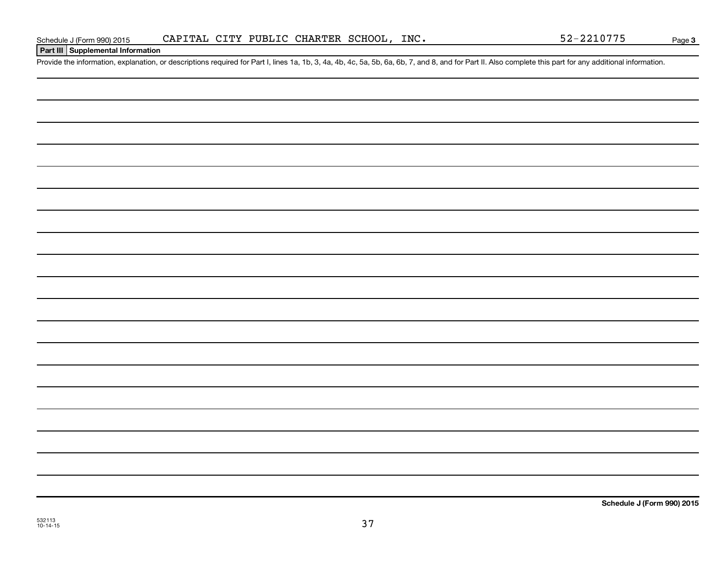#### **Part III Supplemental Information**

Provide the information, explanation, or descriptions required for Part I, lines 1a, 1b, 3, 4a, 4b, 4c, 5a, 5b, 6a, 6b, 7, and 8, and for Part II. Also complete this part for any additional information.

532113 10-14-15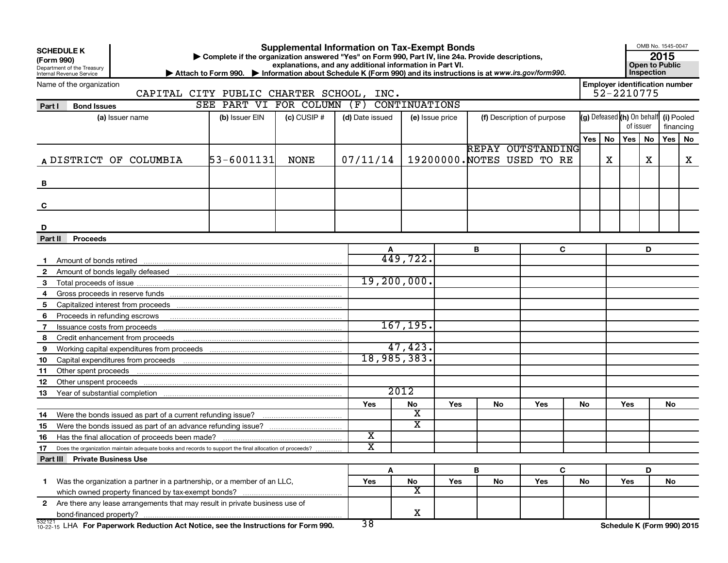| <b>Supplemental Information on Tax-Exempt Bonds</b><br><b>SCHEDULE K</b><br>Complete if the organization answered "Yes" on Form 990, Part IV, line 24a. Provide descriptions,<br>(Form 990)<br>explanations, and any additional information in Part VI.<br>Department of the Treasury<br>▶ Attach to Form 990. ▶ Information about Schedule K (Form 990) and its instructions is at www.irs.gov/form990.<br><b>Internal Revenue Service</b> |                                                                                                        |                                          |                 |                         |                         |                 |                            |                            |                   |     |                                                     |                            | OMB No. 1545-0047<br>2015<br><b>Open to Public</b><br>Inspection |            |   |
|---------------------------------------------------------------------------------------------------------------------------------------------------------------------------------------------------------------------------------------------------------------------------------------------------------------------------------------------------------------------------------------------------------------------------------------------|--------------------------------------------------------------------------------------------------------|------------------------------------------|-----------------|-------------------------|-------------------------|-----------------|----------------------------|----------------------------|-------------------|-----|-----------------------------------------------------|----------------------------|------------------------------------------------------------------|------------|---|
|                                                                                                                                                                                                                                                                                                                                                                                                                                             | Name of the organization<br>CAPITAL CITY PUBLIC CHARTER SCHOOL, INC.                                   |                                          |                 |                         |                         |                 |                            |                            |                   |     | <b>Employer identification number</b><br>52-2210775 |                            |                                                                  |            |   |
| Part I                                                                                                                                                                                                                                                                                                                                                                                                                                      | <b>Bond Issues</b>                                                                                     | SEE PART VI FOR COLUMN (F) CONTINUATIONS |                 |                         |                         |                 |                            |                            |                   |     |                                                     |                            |                                                                  |            |   |
|                                                                                                                                                                                                                                                                                                                                                                                                                                             | (a) Issuer name                                                                                        | (b) Issuer EIN                           | $(c)$ CUSIP $#$ | (d) Date issued         |                         | (e) Issue price |                            | (f) Description of purpose |                   |     |                                                     | (g) Defeased (h) On behalf |                                                                  | (i) Pooled |   |
|                                                                                                                                                                                                                                                                                                                                                                                                                                             |                                                                                                        |                                          |                 |                         |                         |                 |                            |                            |                   |     |                                                     | of issuer                  |                                                                  | financing  |   |
|                                                                                                                                                                                                                                                                                                                                                                                                                                             |                                                                                                        |                                          |                 |                         |                         |                 |                            |                            |                   | Yes | <b>No</b>                                           | Yes   No                   |                                                                  | Yes   No   |   |
|                                                                                                                                                                                                                                                                                                                                                                                                                                             |                                                                                                        |                                          |                 |                         |                         |                 |                            |                            | REPAY OUTSTANDING |     |                                                     |                            |                                                                  |            |   |
|                                                                                                                                                                                                                                                                                                                                                                                                                                             | A DISTRICT OF COLUMBIA                                                                                 | 53-6001131                               | <b>NONE</b>     | 07/11/14                |                         |                 | 19200000. NOTES USED TO RE |                            |                   |     | х                                                   |                            | X                                                                |            | X |
| в                                                                                                                                                                                                                                                                                                                                                                                                                                           |                                                                                                        |                                          |                 |                         |                         |                 |                            |                            |                   |     |                                                     |                            |                                                                  |            |   |
|                                                                                                                                                                                                                                                                                                                                                                                                                                             |                                                                                                        |                                          |                 |                         |                         |                 |                            |                            |                   |     |                                                     |                            |                                                                  |            |   |
| C                                                                                                                                                                                                                                                                                                                                                                                                                                           |                                                                                                        |                                          |                 |                         |                         |                 |                            |                            |                   |     |                                                     |                            |                                                                  |            |   |
| D                                                                                                                                                                                                                                                                                                                                                                                                                                           |                                                                                                        |                                          |                 |                         |                         |                 |                            |                            |                   |     |                                                     |                            |                                                                  |            |   |
| Part II                                                                                                                                                                                                                                                                                                                                                                                                                                     | Proceeds                                                                                               |                                          |                 |                         |                         |                 |                            |                            |                   |     |                                                     |                            |                                                                  |            |   |
|                                                                                                                                                                                                                                                                                                                                                                                                                                             |                                                                                                        |                                          |                 |                         |                         |                 | в                          |                            | C                 |     |                                                     |                            | D                                                                |            |   |
|                                                                                                                                                                                                                                                                                                                                                                                                                                             | Amount of bonds retired <b>construction</b> and construction of the construction of bonds retired      |                                          |                 |                         | 449,722.                |                 |                            |                            |                   |     |                                                     |                            |                                                                  |            |   |
| $\mathbf{2}$                                                                                                                                                                                                                                                                                                                                                                                                                                |                                                                                                        |                                          |                 |                         |                         |                 |                            |                            |                   |     |                                                     |                            |                                                                  |            |   |
| 3                                                                                                                                                                                                                                                                                                                                                                                                                                           |                                                                                                        |                                          |                 |                         | 19, 200, 000.           |                 |                            |                            |                   |     |                                                     |                            |                                                                  |            |   |
| 4                                                                                                                                                                                                                                                                                                                                                                                                                                           |                                                                                                        |                                          |                 |                         |                         |                 |                            |                            |                   |     |                                                     |                            |                                                                  |            |   |
| 5                                                                                                                                                                                                                                                                                                                                                                                                                                           |                                                                                                        |                                          |                 |                         |                         |                 |                            |                            |                   |     |                                                     |                            |                                                                  |            |   |
| 6                                                                                                                                                                                                                                                                                                                                                                                                                                           |                                                                                                        |                                          |                 |                         |                         |                 |                            |                            |                   |     |                                                     |                            |                                                                  |            |   |
| 7                                                                                                                                                                                                                                                                                                                                                                                                                                           |                                                                                                        |                                          |                 |                         | 167, 195.               |                 |                            |                            |                   |     |                                                     |                            |                                                                  |            |   |
| 8                                                                                                                                                                                                                                                                                                                                                                                                                                           |                                                                                                        |                                          |                 |                         |                         |                 |                            |                            |                   |     |                                                     |                            |                                                                  |            |   |
| 9                                                                                                                                                                                                                                                                                                                                                                                                                                           |                                                                                                        |                                          |                 |                         | 47,423.                 |                 |                            |                            |                   |     |                                                     |                            |                                                                  |            |   |
| 10                                                                                                                                                                                                                                                                                                                                                                                                                                          |                                                                                                        |                                          |                 |                         | 18,985,383.             |                 |                            |                            |                   |     |                                                     |                            |                                                                  |            |   |
| 11                                                                                                                                                                                                                                                                                                                                                                                                                                          |                                                                                                        |                                          |                 |                         |                         |                 |                            |                            |                   |     |                                                     |                            |                                                                  |            |   |
| 12                                                                                                                                                                                                                                                                                                                                                                                                                                          |                                                                                                        |                                          |                 |                         |                         |                 |                            |                            |                   |     |                                                     |                            |                                                                  |            |   |
| 13                                                                                                                                                                                                                                                                                                                                                                                                                                          |                                                                                                        |                                          |                 |                         | 2012                    |                 |                            |                            |                   |     |                                                     |                            |                                                                  |            |   |
|                                                                                                                                                                                                                                                                                                                                                                                                                                             |                                                                                                        |                                          |                 | Yes                     | No                      | Yes             | No                         |                            | Yes               | No. |                                                     | Yes                        |                                                                  | No         |   |
| 14                                                                                                                                                                                                                                                                                                                                                                                                                                          |                                                                                                        |                                          |                 |                         | х                       |                 |                            |                            |                   |     |                                                     |                            |                                                                  |            |   |
| 15                                                                                                                                                                                                                                                                                                                                                                                                                                          |                                                                                                        |                                          |                 |                         | X                       |                 |                            |                            |                   |     |                                                     |                            |                                                                  |            |   |
| 16                                                                                                                                                                                                                                                                                                                                                                                                                                          | Has the final allocation of proceeds been made?                                                        |                                          |                 | x                       |                         |                 |                            |                            |                   |     |                                                     |                            |                                                                  |            |   |
| 17                                                                                                                                                                                                                                                                                                                                                                                                                                          | Does the organization maintain adequate books and records to support the final allocation of proceeds? |                                          |                 | $\overline{\textbf{x}}$ |                         |                 |                            |                            |                   |     |                                                     |                            |                                                                  |            |   |
|                                                                                                                                                                                                                                                                                                                                                                                                                                             | Part III Private Business Use                                                                          |                                          |                 |                         |                         |                 |                            |                            |                   |     |                                                     |                            |                                                                  |            |   |
|                                                                                                                                                                                                                                                                                                                                                                                                                                             |                                                                                                        |                                          |                 | A                       |                         |                 | B                          |                            | C                 |     |                                                     |                            | D                                                                |            |   |
| $\mathbf{1}$                                                                                                                                                                                                                                                                                                                                                                                                                                | Was the organization a partner in a partnership, or a member of an LLC,                                |                                          |                 | Yes                     | No                      | Yes             | No                         |                            | Yes               | No  |                                                     | Yes                        |                                                                  | No         |   |
|                                                                                                                                                                                                                                                                                                                                                                                                                                             |                                                                                                        |                                          |                 |                         | $\overline{\textbf{x}}$ |                 |                            |                            |                   |     |                                                     |                            |                                                                  |            |   |
|                                                                                                                                                                                                                                                                                                                                                                                                                                             | 2 Are there any lease arrangements that may result in private business use of                          |                                          |                 |                         |                         |                 |                            |                            |                   |     |                                                     |                            |                                                                  |            |   |
|                                                                                                                                                                                                                                                                                                                                                                                                                                             |                                                                                                        |                                          |                 |                         | x                       |                 |                            |                            |                   |     |                                                     |                            |                                                                  |            |   |
|                                                                                                                                                                                                                                                                                                                                                                                                                                             | 532121 LHA For Paperwork Reduction Act Notice, see the Instructions for Form 990.                      |                                          |                 | $\overline{38}$         |                         |                 |                            |                            |                   |     |                                                     | Schedule K (Form 990) 2015 |                                                                  |            |   |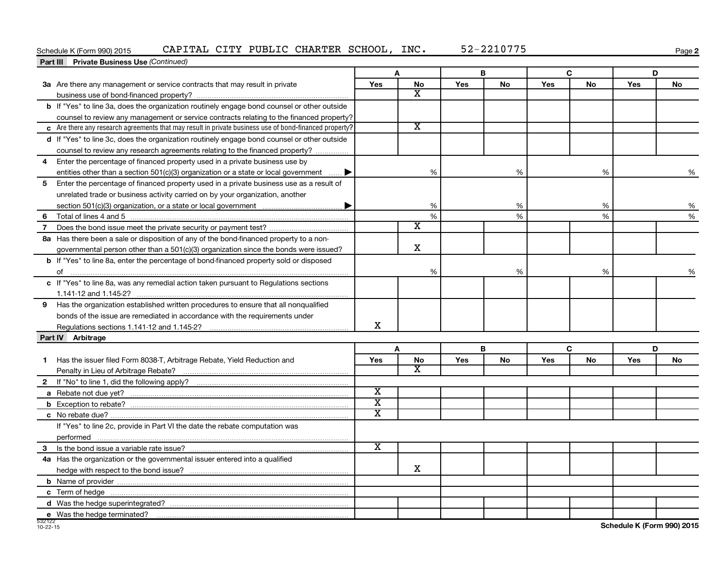#### Schedule K (Form 990) 2015 CAPITAL CITY PUBLIC CHARTER SCHOOL, INC. 52-2210775

**2**

|                | <b>Part III</b> Private Business Use (Continued)                                                       |                             |                       |     |    |     |           |     |    |
|----------------|--------------------------------------------------------------------------------------------------------|-----------------------------|-----------------------|-----|----|-----|-----------|-----|----|
|                |                                                                                                        |                             | A                     |     | В  |     | C         |     | D  |
|                | 3a Are there any management or service contracts that may result in private                            | Yes                         | <b>No</b>             | Yes | No | Yes | <b>No</b> | Yes | No |
|                |                                                                                                        |                             | X                     |     |    |     |           |     |    |
|                | b If "Yes" to line 3a, does the organization routinely engage bond counsel or other outside            |                             |                       |     |    |     |           |     |    |
|                | counsel to review any management or service contracts relating to the financed property?               |                             |                       |     |    |     |           |     |    |
|                | c Are there any research agreements that may result in private business use of bond-financed property? |                             | $\overline{\text{x}}$ |     |    |     |           |     |    |
|                | d If "Yes" to line 3c, does the organization routinely engage bond counsel or other outside            |                             |                       |     |    |     |           |     |    |
|                | counsel to review any research agreements relating to the financed property?                           |                             |                       |     |    |     |           |     |    |
| 4              | Enter the percentage of financed property used in a private business use by                            |                             |                       |     |    |     |           |     |    |
|                | entities other than a section 501(c)(3) organization or a state or local government $\ldots$           |                             | %                     |     | %  |     | %         |     | %  |
| 5              | Enter the percentage of financed property used in a private business use as a result of                |                             |                       |     |    |     |           |     |    |
|                | unrelated trade or business activity carried on by your organization, another                          |                             |                       |     |    |     |           |     |    |
|                |                                                                                                        |                             | %                     |     | %  |     | %         |     | %  |
| 6              |                                                                                                        |                             | $\%$                  |     | %  |     | %         |     | %  |
| $\overline{7}$ |                                                                                                        |                             | х                     |     |    |     |           |     |    |
|                | 8a Has there been a sale or disposition of any of the bond-financed property to a non-                 |                             |                       |     |    |     |           |     |    |
|                | governmental person other than a 501(c)(3) organization since the bonds were issued?                   |                             | $\mathbf x$           |     |    |     |           |     |    |
|                | b If "Yes" to line 8a, enter the percentage of bond-financed property sold or disposed                 |                             |                       |     |    |     |           |     |    |
|                |                                                                                                        |                             | %                     |     | %  |     | %         |     | %  |
|                | c If "Yes" to line 8a, was any remedial action taken pursuant to Regulations sections                  |                             |                       |     |    |     |           |     |    |
|                |                                                                                                        |                             |                       |     |    |     |           |     |    |
|                | 9 Has the organization established written procedures to ensure that all nonqualified                  |                             |                       |     |    |     |           |     |    |
|                | bonds of the issue are remediated in accordance with the requirements under                            |                             |                       |     |    |     |           |     |    |
|                |                                                                                                        | X                           |                       |     |    |     |           |     |    |
|                | Part IV Arbitrage                                                                                      |                             |                       |     |    |     |           |     |    |
|                |                                                                                                        |                             | A                     |     | В  |     | C         |     | D  |
| 1              | Has the issuer filed Form 8038-T, Arbitrage Rebate, Yield Reduction and                                | <b>Yes</b>                  | No                    | Yes | No | Yes | No        | Yes | No |
|                |                                                                                                        |                             | X                     |     |    |     |           |     |    |
|                |                                                                                                        |                             |                       |     |    |     |           |     |    |
|                |                                                                                                        | $\overline{\textnormal{x}}$ |                       |     |    |     |           |     |    |
|                |                                                                                                        | $\overline{\mathbf{x}}$     |                       |     |    |     |           |     |    |
|                |                                                                                                        | $\overline{\text{x}}$       |                       |     |    |     |           |     |    |
|                | If "Yes" to line 2c, provide in Part VI the date the rebate computation was                            |                             |                       |     |    |     |           |     |    |
|                | performed                                                                                              |                             |                       |     |    |     |           |     |    |
|                |                                                                                                        | $\overline{\textnormal{x}}$ |                       |     |    |     |           |     |    |
|                | 4a Has the organization or the governmental issuer entered into a qualified                            |                             |                       |     |    |     |           |     |    |
|                |                                                                                                        |                             | X                     |     |    |     |           |     |    |
|                |                                                                                                        |                             |                       |     |    |     |           |     |    |
|                |                                                                                                        |                             |                       |     |    |     |           |     |    |
|                |                                                                                                        |                             |                       |     |    |     |           |     |    |
|                | e Was the hedge terminated?                                                                            |                             |                       |     |    |     |           |     |    |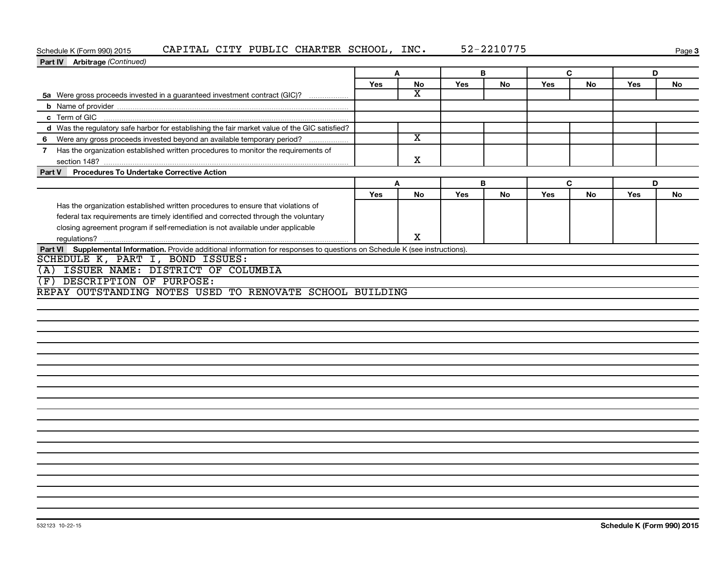#### Schedule K (Form 990) 2015 CAPITAL CITY PUBLIC CHARTER SCHOOL, INC. 52-2210775

**3**

| Part IV Arbitrage (Continued)                                                                                                                                              |     |                         |     |    |              |    |     |    |
|----------------------------------------------------------------------------------------------------------------------------------------------------------------------------|-----|-------------------------|-----|----|--------------|----|-----|----|
|                                                                                                                                                                            |     | A                       | B   |    | C            |    | D   |    |
|                                                                                                                                                                            | Yes | No                      | Yes | No | Yes          | No | Yes | No |
| 5a Were gross proceeds invested in a guaranteed investment contract (GIC)?                                                                                                 |     | $\overline{\mathbf{x}}$ |     |    |              |    |     |    |
|                                                                                                                                                                            |     |                         |     |    |              |    |     |    |
|                                                                                                                                                                            |     |                         |     |    |              |    |     |    |
| d Was the regulatory safe harbor for establishing the fair market value of the GIC satisfied?                                                                              |     |                         |     |    |              |    |     |    |
| 6 Were any gross proceeds invested beyond an available temporary period?                                                                                                   |     | $\overline{\texttt{x}}$ |     |    |              |    |     |    |
| 7 Has the organization established written procedures to monitor the requirements of                                                                                       |     | $\mathbf X$             |     |    |              |    |     |    |
| Part V Procedures To Undertake Corrective Action                                                                                                                           |     |                         |     |    |              |    |     |    |
|                                                                                                                                                                            |     | A                       | B   |    | $\mathbf{C}$ |    | D   |    |
|                                                                                                                                                                            | Yes | No                      | Yes | No | Yes          | No | Yes | No |
| Has the organization established written procedures to ensure that violations of                                                                                           |     |                         |     |    |              |    |     |    |
| federal tax requirements are timely identified and corrected through the voluntary                                                                                         |     |                         |     |    |              |    |     |    |
| closing agreement program if self-remediation is not available under applicable                                                                                            |     |                         |     |    |              |    |     |    |
|                                                                                                                                                                            |     | X                       |     |    |              |    |     |    |
| SCHEDULE K, PART I, BOND ISSUES:<br>ISSUER NAME: DISTRICT OF COLUMBIA<br>(A)<br>DESCRIPTION OF PURPOSE:<br>(F)<br>REPAY OUTSTANDING NOTES USED TO RENOVATE SCHOOL BUILDING |     |                         |     |    |              |    |     |    |
|                                                                                                                                                                            |     |                         |     |    |              |    |     |    |
|                                                                                                                                                                            |     |                         |     |    |              |    |     |    |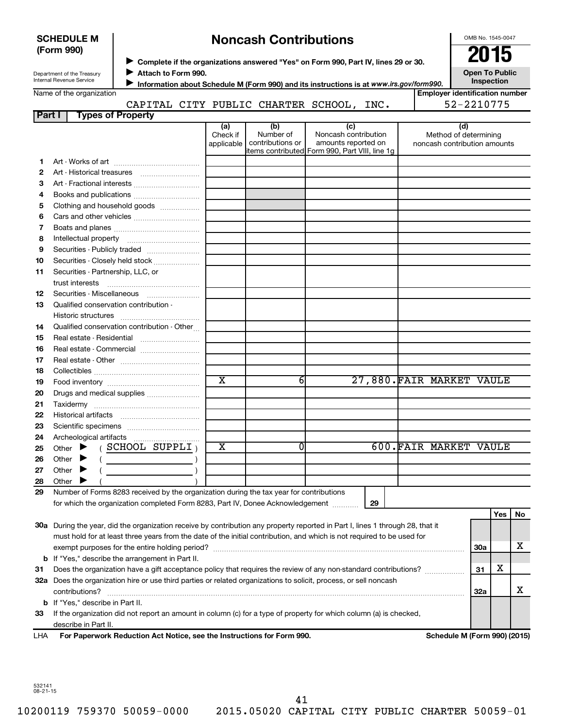| <b>SCHEDULE M</b>                                             | <b>Noncash Contributions</b>                                                                                   |  | OMB No. 1545-004                          |  |  |  |
|---------------------------------------------------------------|----------------------------------------------------------------------------------------------------------------|--|-------------------------------------------|--|--|--|
| (Form 990)                                                    | ► Complete if the organizations answered "Yes" on Form 990, Part IV, lines 29 or 30.                           |  |                                           |  |  |  |
| Department of the Treasury<br><b>Internal Revenue Service</b> | Attach to Form 990.<br>Information about Schedule M (Form 990) and its instructions is at www.irs.gov/form990. |  | <b>Open To Publi</b><br><b>Inspection</b> |  |  |  |
| Name of the organization                                      |                                                                                                                |  | <b>Emplover identification nur</b>        |  |  |  |

| ıtions |  |  |
|--------|--|--|
|        |  |  |

OMB No. 1545-0047

**Open To Public Inspection**

| Name of the organization |  |
|--------------------------|--|
|--------------------------|--|

#### **Employer identification number Part I Types of Property** CAPITAL CITY PUBLIC CHARTER SCHOOL, INC. | 52-2210775

|    |                                                                                                                                | (a)<br>Check if<br>applicable | (b)<br>Number of<br>contributions or | (c)<br>Noncash contribution<br>amounts reported on | (d)<br>Method of determining<br>noncash contribution amounts |            |     |     |
|----|--------------------------------------------------------------------------------------------------------------------------------|-------------------------------|--------------------------------------|----------------------------------------------------|--------------------------------------------------------------|------------|-----|-----|
|    |                                                                                                                                |                               |                                      | items contributed Form 990, Part VIII, line 1q     |                                                              |            |     |     |
| 1. |                                                                                                                                |                               |                                      |                                                    |                                                              |            |     |     |
| 2  |                                                                                                                                |                               |                                      |                                                    |                                                              |            |     |     |
| 3  | Art - Fractional interests                                                                                                     |                               |                                      |                                                    |                                                              |            |     |     |
| 4  | Books and publications                                                                                                         |                               |                                      |                                                    |                                                              |            |     |     |
| 5  | Clothing and household goods                                                                                                   |                               |                                      |                                                    |                                                              |            |     |     |
| 6  |                                                                                                                                |                               |                                      |                                                    |                                                              |            |     |     |
| 7  |                                                                                                                                |                               |                                      |                                                    |                                                              |            |     |     |
| 8  |                                                                                                                                |                               |                                      |                                                    |                                                              |            |     |     |
| 9  | Securities - Publicly traded                                                                                                   |                               |                                      |                                                    |                                                              |            |     |     |
| 10 | Securities - Closely held stock                                                                                                |                               |                                      |                                                    |                                                              |            |     |     |
| 11 | Securities - Partnership, LLC, or                                                                                              |                               |                                      |                                                    |                                                              |            |     |     |
|    | trust interests                                                                                                                |                               |                                      |                                                    |                                                              |            |     |     |
| 12 | Securities - Miscellaneous                                                                                                     |                               |                                      |                                                    |                                                              |            |     |     |
| 13 | Qualified conservation contribution -                                                                                          |                               |                                      |                                                    |                                                              |            |     |     |
|    | Historic structures                                                                                                            |                               |                                      |                                                    |                                                              |            |     |     |
| 14 | Qualified conservation contribution - Other                                                                                    |                               |                                      |                                                    |                                                              |            |     |     |
| 15 | Real estate - Residential                                                                                                      |                               |                                      |                                                    |                                                              |            |     |     |
| 16 | Real estate - Commercial                                                                                                       |                               |                                      |                                                    |                                                              |            |     |     |
| 17 |                                                                                                                                |                               |                                      |                                                    |                                                              |            |     |     |
| 18 |                                                                                                                                |                               |                                      |                                                    |                                                              |            |     |     |
| 19 |                                                                                                                                | $\overline{\text{x}}$         | 61                                   |                                                    | 27,880. FAIR MARKET VAULE                                    |            |     |     |
| 20 | Drugs and medical supplies                                                                                                     |                               |                                      |                                                    |                                                              |            |     |     |
| 21 |                                                                                                                                |                               |                                      |                                                    |                                                              |            |     |     |
| 22 |                                                                                                                                |                               |                                      |                                                    |                                                              |            |     |     |
| 23 |                                                                                                                                |                               |                                      |                                                    |                                                              |            |     |     |
| 24 |                                                                                                                                |                               |                                      |                                                    |                                                              |            |     |     |
| 25 | (SCHOOL SUPPLI)<br>Other $\blacktriangleright$                                                                                 | $\overline{\textbf{x}}$       | 01                                   |                                                    | 600. FAIR MARKET VAULE                                       |            |     |     |
| 26 | Other $\blacktriangleright$                                                                                                    |                               |                                      |                                                    |                                                              |            |     |     |
| 27 | Other $\blacktriangleright$                                                                                                    |                               |                                      |                                                    |                                                              |            |     |     |
| 28 | Other                                                                                                                          |                               |                                      |                                                    |                                                              |            |     |     |
| 29 | Number of Forms 8283 received by the organization during the tax year for contributions                                        |                               |                                      |                                                    |                                                              |            |     |     |
|    | for which the organization completed Form 8283, Part IV, Donee Acknowledgement                                                 |                               |                                      | 29                                                 |                                                              |            |     |     |
|    |                                                                                                                                |                               |                                      |                                                    |                                                              |            | Yes | No. |
|    | 30a During the year, did the organization receive by contribution any property reported in Part I, lines 1 through 28, that it |                               |                                      |                                                    |                                                              |            |     |     |
|    | must hold for at least three years from the date of the initial contribution, and which is not required to be used for         |                               |                                      |                                                    |                                                              |            |     |     |
|    |                                                                                                                                |                               |                                      |                                                    |                                                              | <b>30a</b> |     | x   |
| b  | If "Yes," describe the arrangement in Part II.                                                                                 |                               |                                      |                                                    |                                                              |            |     |     |
| 31 |                                                                                                                                |                               |                                      |                                                    |                                                              | 31         | х   |     |
|    | 32a Does the organization hire or use third parties or related organizations to solicit, process, or sell noncash              |                               |                                      |                                                    |                                                              |            |     |     |
|    | contributions?                                                                                                                 |                               |                                      |                                                    |                                                              | 32a        |     | х   |
| b  | If "Yes," describe in Part II.                                                                                                 |                               |                                      |                                                    |                                                              |            |     |     |
| 33 | If the organization did not report an amount in column (c) for a type of property for which column (a) is checked,             |                               |                                      |                                                    |                                                              |            |     |     |
|    | describe in Part II.                                                                                                           |                               |                                      |                                                    |                                                              |            |     |     |
|    |                                                                                                                                |                               |                                      |                                                    |                                                              |            |     |     |

**For Paperwork Reduction Act Notice, see the Instructions for Form 990. Schedule M (Form 990) (2015)** LHA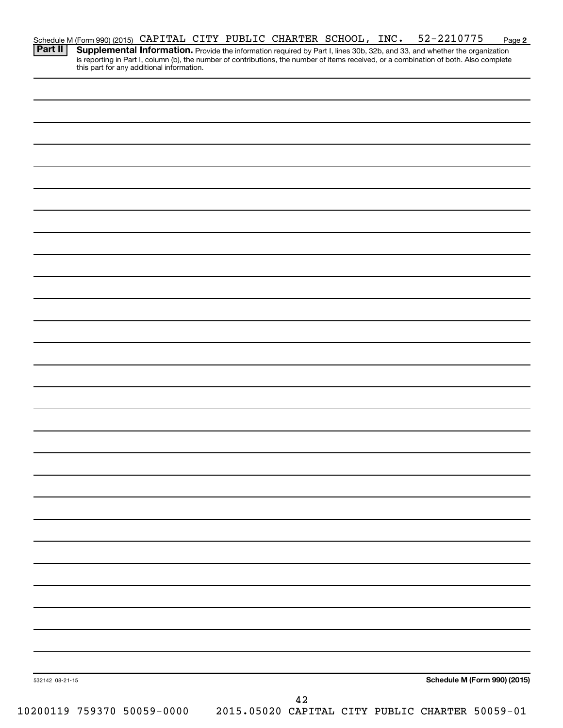|                | Schedule M (Form 990) (2015) CAPITAL CITY PUBLIC CHARTER SCHOOL, INC. |  |  |  | 52-2210775                                                                                                                             | Page 2 |
|----------------|-----------------------------------------------------------------------|--|--|--|----------------------------------------------------------------------------------------------------------------------------------------|--------|
| <b>Part II</b> |                                                                       |  |  |  | Supplemental Information. Provide the information required by Part I, lines 30b, 32b, and 33, and whether the organization             |        |
|                | this part for any additional information.                             |  |  |  | is reporting in Part I, column (b), the number of contributions, the number of items received, or a combination of both. Also complete |        |

| 532142 08-21-15 |             | Schedule M (Form 990) (2015) |
|-----------------|-------------|------------------------------|
|                 | $4\sqrt{2}$ |                              |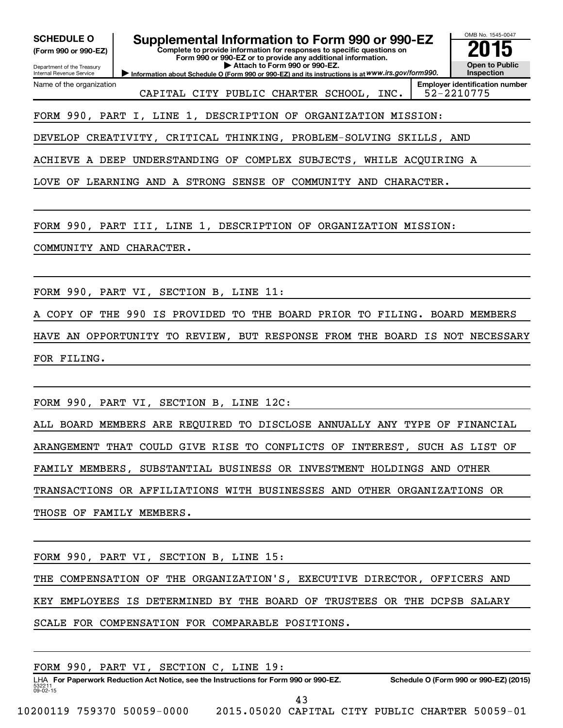| Supplemental Information to Form 990 or 990-EZ<br><b>SCHEDULE O</b><br>Complete to provide information for responses to specific questions on<br>(Form 990 or 990-EZ)<br>Form 990 or 990-EZ or to provide any additional information.<br>Attach to Form 990 or 990-EZ.<br>Department of the Treasury<br>Information about Schedule O (Form 990 or 990-EZ) and its instructions is at WWW.irs.gov/form990.<br>Internal Revenue Service | OMB No. 1545-0047<br><b>Open to Public</b><br><b>Inspection</b> |  |  |  |  |  |  |  |
|---------------------------------------------------------------------------------------------------------------------------------------------------------------------------------------------------------------------------------------------------------------------------------------------------------------------------------------------------------------------------------------------------------------------------------------|-----------------------------------------------------------------|--|--|--|--|--|--|--|
| Name of the organization<br>CAPITAL CITY PUBLIC CHARTER SCHOOL, INC.                                                                                                                                                                                                                                                                                                                                                                  | <b>Employer identification number</b><br>52-2210775             |  |  |  |  |  |  |  |
| FORM 990, PART I, LINE 1, DESCRIPTION OF ORGANIZATION MISSION:                                                                                                                                                                                                                                                                                                                                                                        |                                                                 |  |  |  |  |  |  |  |
| DEVELOP CREATIVITY, CRITICAL THINKING, PROBLEM-SOLVING SKILLS, AND                                                                                                                                                                                                                                                                                                                                                                    |                                                                 |  |  |  |  |  |  |  |
| ACHIEVE A DEEP UNDERSTANDING OF COMPLEX SUBJECTS, WHILE ACQUIRING A<br>LOVE OF LEARNING AND A STRONG SENSE OF COMMUNITY AND CHARACTER.                                                                                                                                                                                                                                                                                                |                                                                 |  |  |  |  |  |  |  |
|                                                                                                                                                                                                                                                                                                                                                                                                                                       |                                                                 |  |  |  |  |  |  |  |
|                                                                                                                                                                                                                                                                                                                                                                                                                                       |                                                                 |  |  |  |  |  |  |  |
| FORM 990, PART III, LINE 1, DESCRIPTION OF ORGANIZATION MISSION:                                                                                                                                                                                                                                                                                                                                                                      |                                                                 |  |  |  |  |  |  |  |
| COMMUNITY AND CHARACTER.                                                                                                                                                                                                                                                                                                                                                                                                              |                                                                 |  |  |  |  |  |  |  |
|                                                                                                                                                                                                                                                                                                                                                                                                                                       |                                                                 |  |  |  |  |  |  |  |
|                                                                                                                                                                                                                                                                                                                                                                                                                                       |                                                                 |  |  |  |  |  |  |  |
| FORM 990, PART VI, SECTION B, LINE 11:                                                                                                                                                                                                                                                                                                                                                                                                |                                                                 |  |  |  |  |  |  |  |
| THE 990 IS PROVIDED TO THE BOARD PRIOR TO FILING. BOARD MEMBERS<br>A COPY OF                                                                                                                                                                                                                                                                                                                                                          |                                                                 |  |  |  |  |  |  |  |
| HAVE AN OPPORTUNITY TO REVIEW, BUT RESPONSE FROM THE BOARD IS NOT NECESSARY                                                                                                                                                                                                                                                                                                                                                           |                                                                 |  |  |  |  |  |  |  |
|                                                                                                                                                                                                                                                                                                                                                                                                                                       |                                                                 |  |  |  |  |  |  |  |
| FOR FILING.                                                                                                                                                                                                                                                                                                                                                                                                                           |                                                                 |  |  |  |  |  |  |  |
|                                                                                                                                                                                                                                                                                                                                                                                                                                       |                                                                 |  |  |  |  |  |  |  |
| FORM 990, PART VI, SECTION B, LINE 12C:                                                                                                                                                                                                                                                                                                                                                                                               |                                                                 |  |  |  |  |  |  |  |
| ALL BOARD MEMBERS ARE REQUIRED TO DISCLOSE ANNUALLY ANY TYPE OF FINANCIAL                                                                                                                                                                                                                                                                                                                                                             |                                                                 |  |  |  |  |  |  |  |
| ARANGEMENT THAT COULD GIVE RISE TO CONFLICTS OF INTEREST, SUCH AS LIST OF                                                                                                                                                                                                                                                                                                                                                             |                                                                 |  |  |  |  |  |  |  |
| FAMILY MEMBERS, SUBSTANTIAL BUSINESS OR INVESTMENT HOLDINGS AND OTHER                                                                                                                                                                                                                                                                                                                                                                 |                                                                 |  |  |  |  |  |  |  |
| TRANSACTIONS OR AFFILIATIONS WITH BUSINESSES AND OTHER ORGANIZATIONS OR                                                                                                                                                                                                                                                                                                                                                               |                                                                 |  |  |  |  |  |  |  |
|                                                                                                                                                                                                                                                                                                                                                                                                                                       |                                                                 |  |  |  |  |  |  |  |
| THOSE OF FAMILY MEMBERS.                                                                                                                                                                                                                                                                                                                                                                                                              |                                                                 |  |  |  |  |  |  |  |
|                                                                                                                                                                                                                                                                                                                                                                                                                                       |                                                                 |  |  |  |  |  |  |  |
| FORM 990, PART VI, SECTION B, LINE 15:                                                                                                                                                                                                                                                                                                                                                                                                |                                                                 |  |  |  |  |  |  |  |
|                                                                                                                                                                                                                                                                                                                                                                                                                                       |                                                                 |  |  |  |  |  |  |  |

THE COMPENSATION OF THE ORGANIZATION'S, EXECUTIVE DIRECTOR, OFFICERS AND KEY EMPLOYEES IS DETERMINED BY THE BOARD OF TRUSTEES OR THE DCPSB SALARY SCALE FOR COMPENSATION FOR COMPARABLE POSITIONS.

532211 09-02-15 LHA For Paperwork Reduction Act Notice, see the Instructions for Form 990 or 990-EZ. Schedule O (Form 990 or 990-EZ) (2015) FORM 990, PART VI, SECTION C, LINE 19: 10200119 759370 50059-0000 2015.05020 CAPITAL CITY PUBLIC CHARTER 50059-01 43